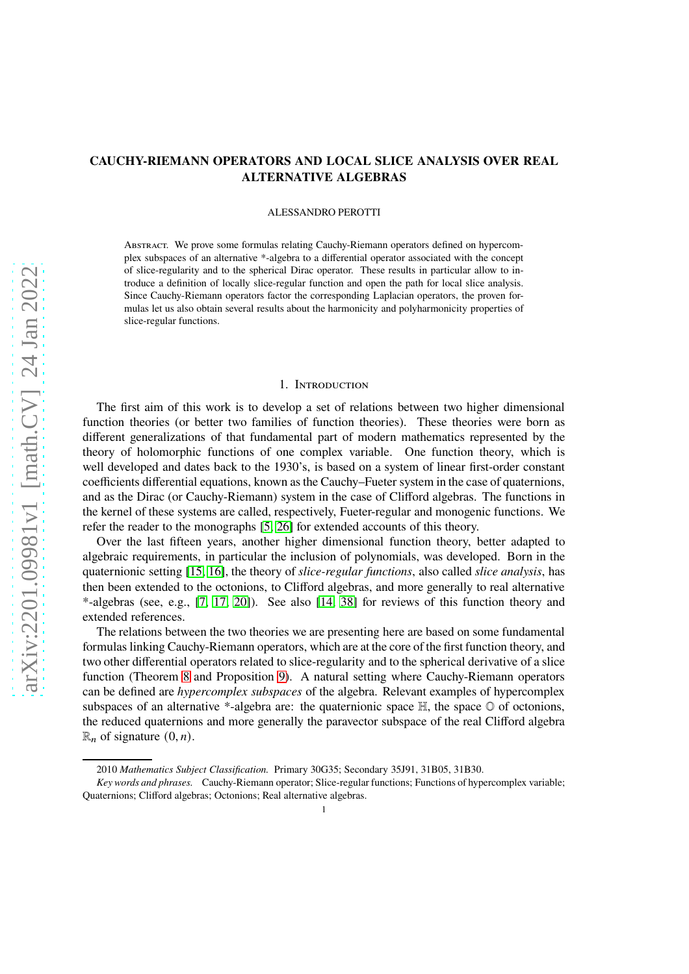# **CAUCHY-RIEMANN OPERATORS AND LOCAL SLICE ANALYSIS OVER REAL ALTERNATIVE ALGEBRAS**

### ALESSANDRO PEROTTI

ABSTRACT. We prove some formulas relating Cauchy-Riemann operators defined on hypercomplex subspaces of an alternative \*-algebra to a differential operator associated with the concept of slice-regularity and to the spherical Dirac operator. These results in particular allow to introduce a definition of locally slice-regular function and open the path for local slice analysis. Since Cauchy-Riemann operators factor the corresponding Laplacian operators, the proven formulas let us also obtain several results about the harmonicity and polyharmonicity properties of slice-regular functions.

### 1. Introduction

The first aim of this work is to develop a set of relations between two higher dimensional function theories (or better two families of function theories). These theories were born as different generalizations of that fundamental part of modern mathematics represented by the theory of holomorphic functions of one complex variable. One function theory, which is well developed and dates back to the 1930's, is based on a system of linear first-order constant coefficients differential equations, known as the Cauchy–Fueter system in the case of quaternions, and as the Dirac (or Cauchy-Riemann) system in the case of Clifford algebras. The functions in the kernel of these systems are called, respectively, Fueter-regular and monogenic functions. We refer the reader to the monographs [\[5,](#page-32-0) [26\]](#page-32-1) for extended accounts of this theory.

Over the last fifteen years, another higher dimensional function theory, better adapted to algebraic requirements, in particular the inclusion of polynomials, was developed. Born in the quaternionic setting [\[15,](#page-32-2) [16\]](#page-32-3), the theory of *slice-regular functions*, also called *slice analysis*, has then been extended to the octonions, to Clifford algebras, and more generally to real alternative \*-algebras (see, e.g., [\[7,](#page-32-4) [17,](#page-32-5) [20\]](#page-32-6)). See also [\[14,](#page-32-7) [38\]](#page-33-0) for reviews of this function theory and extended references.

The relations between the two theories we are presenting here are based on some fundamental formulas linking Cauchy-Riemann operators, which are at the core of the first function theory, and two other differential operators related to slice-regularity and to the spherical derivative of a slice function (Theorem [8](#page-7-0) and Proposition [9\)](#page-7-1). A natural setting where Cauchy-Riemann operators can be defined are *hypercomplex subspaces* of the algebra. Relevant examples of hypercomplex subspaces of an alternative \*-algebra are: the quaternionic space  $\mathbb{H}$ , the space  $\mathbb{O}$  of octonions, the reduced quaternions and more generally the paravector subspace of the real Clifford algebra  $\mathbb{R}_n$  of signature  $(0, n)$ .

<sup>2010</sup> *Mathematics Subject Classification.* Primary 30G35; Secondary 35J91, 31B05, 31B30.

*Key words and phrases.* Cauchy-Riemann operator; Slice-regular functions; Functions of hypercomplex variable; Quaternions; Clifford algebras; Octonions; Real alternative algebras.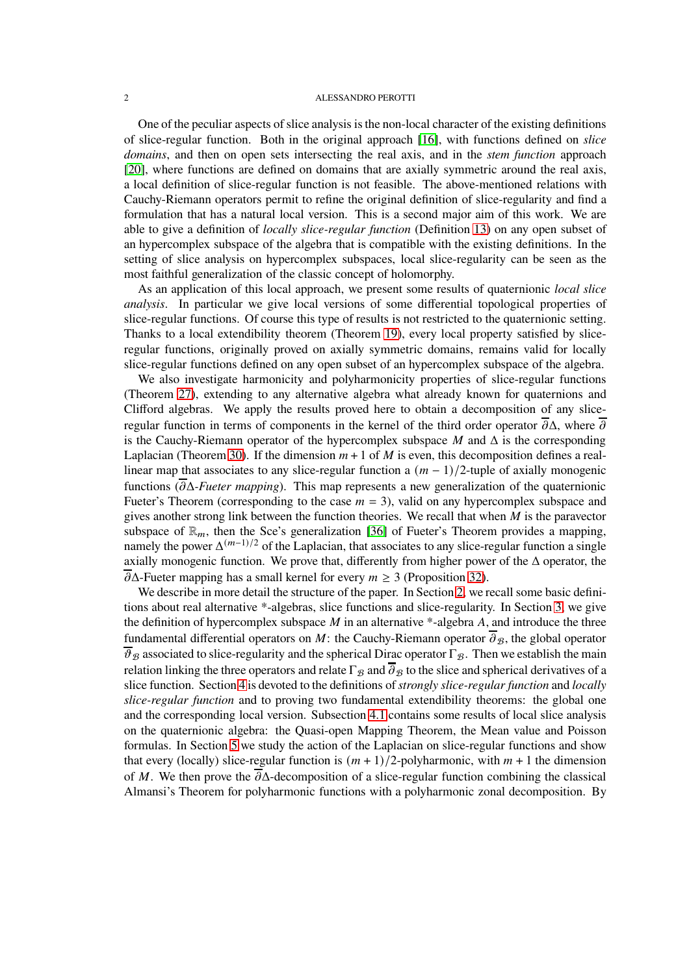One of the peculiar aspects of slice analysis is the non-local character of the existing definitions of slice-regular function. Both in the original approach [\[16\]](#page-32-3), with functions defined on *slice domains*, and then on open sets intersecting the real axis, and in the *stem function* approach [\[20\]](#page-32-6), where functions are defined on domains that are axially symmetric around the real axis, a local definition of slice-regular function is not feasible. The above-mentioned relations with Cauchy-Riemann operators permit to refine the original definition of slice-regularity and find a formulation that has a natural local version. This is a second major aim of this work. We are able to give a definition of *locally slice-regular function* (Definition [13\)](#page-9-0) on any open subset of an hypercomplex subspace of the algebra that is compatible with the existing definitions. In the setting of slice analysis on hypercomplex subspaces, local slice-regularity can be seen as the most faithful generalization of the classic concept of holomorphy.

As an application of this local approach, we present some results of quaternionic *local slice analysis*. In particular we give local versions of some differential topological properties of slice-regular functions. Of course this type of results is not restricted to the quaternionic setting. Thanks to a local extendibility theorem (Theorem [19\)](#page-11-0), every local property satisfied by sliceregular functions, originally proved on axially symmetric domains, remains valid for locally slice-regular functions defined on any open subset of an hypercomplex subspace of the algebra.

We also investigate harmonicity and polyharmonicity properties of slice-regular functions (Theorem [27\)](#page-16-0), extending to any alternative algebra what already known for quaternions and Clifford algebras. We apply the results proved here to obtain a decomposition of any sliceregular function in terms of components in the kernel of the third order operator  $\overline{\partial}\Delta$ , where  $\overline{\partial}$ is the Cauchy-Riemann operator of the hypercomplex subspace  $M$  and  $\Delta$  is the corresponding Laplacian (Theorem [30\)](#page-18-0). If the dimension  $m + 1$  of M is even, this decomposition defines a reallinear map that associates to any slice-regular function a  $(m - 1)/2$ -tuple of axially monogenic functions (𝜕Δ*-Fueter mapping*). This map represents a new generalization of the quaternionic Fueter's Theorem (corresponding to the case  $m = 3$ ), valid on any hypercomplex subspace and gives another strong link between the function theories. We recall that when  $M$  is the paravector subspace of  $\mathbb{R}_m$ , then the Sce's generalization [\[36\]](#page-33-1) of Fueter's Theorem provides a mapping, namely the power  $\Delta^{(m-1)/2}$  of the Laplacian, that associates to any slice-regular function a single axially monogenic function. We prove that, differently from higher power of the  $\Delta$  operator, the  $\overline{\partial}\Delta$ -Fueter mapping has a small kernel for every  $m > 3$  (Proposition [32\)](#page-21-0).

We describe in more detail the structure of the paper. In Section [2,](#page-2-0) we recall some basic definitions about real alternative \*-algebras, slice functions and slice-regularity. In Section [3,](#page-4-0) we give the definition of hypercomplex subspace  $M$  in an alternative \*-algebra  $A$ , and introduce the three fundamental differential operators on M: the Cauchy-Riemann operator  $\overline{\partial}_{\beta}$ , the global operator  $\overline{\vartheta}_B$  associated to slice-regularity and the spherical Dirac operator  $\Gamma_B$ . Then we establish the main relation linking the three operators and relate  $\Gamma_B$  and  $\overline{\partial}_B$  to the slice and spherical derivatives of a slice function. Section [4](#page-9-1) is devoted to the definitions of*strongly slice-regular function* and *locally slice-regular function* and to proving two fundamental extendibility theorems: the global one and the corresponding local version. Subsection [4.1](#page-12-0) contains some results of local slice analysis on the quaternionic algebra: the Quasi-open Mapping Theorem, the Mean value and Poisson formulas. In Section [5](#page-14-0) we study the action of the Laplacian on slice-regular functions and show that every (locally) slice-regular function is  $(m + 1)/2$ -polyharmonic, with  $m + 1$  the dimension of M. We then prove the  $\partial \Delta$ -decomposition of a slice-regular function combining the classical Almansi's Theorem for polyharmonic functions with a polyharmonic zonal decomposition. By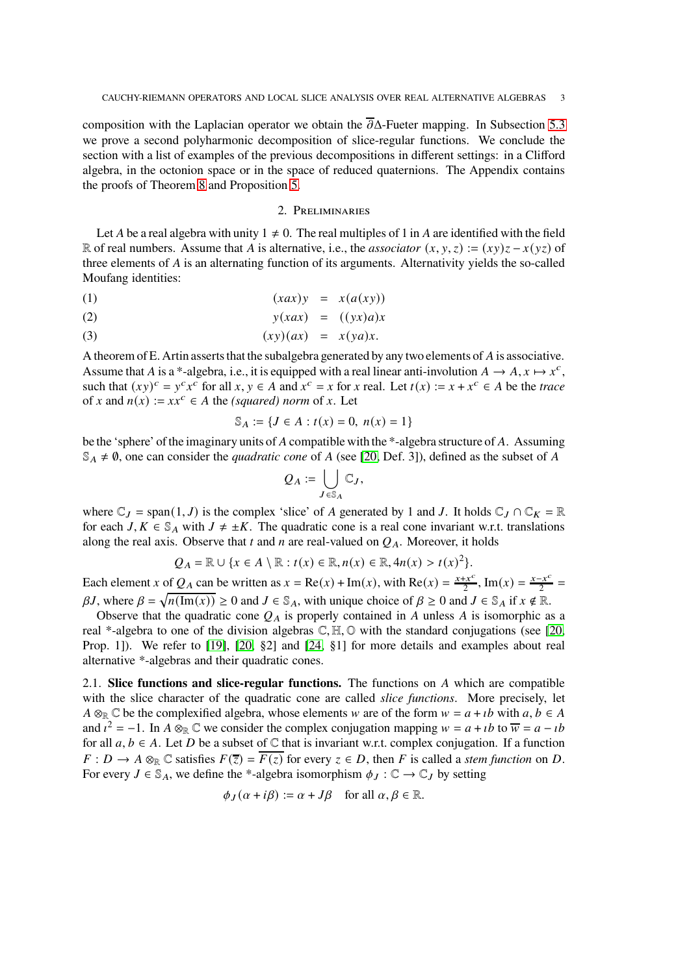composition with the Laplacian operator we obtain the  $\overline{\partial}\Delta$ -Fueter mapping. In Subsection [5.3](#page-23-0) we prove a second polyharmonic decomposition of slice-regular functions. We conclude the section with a list of examples of the previous decompositions in different settings: in a Clifford algebra, in the octonion space or in the space of reduced quaternions. The Appendix contains the proofs of Theorem [8](#page-7-0) and Proposition [5.](#page-6-0)

# <span id="page-2-1"></span>2. Preliminaries

<span id="page-2-0"></span>Let A be a real algebra with unity  $1 \neq 0$ . The real multiples of 1 in A are identified with the field R of real numbers. Assume that A is alternative, i.e., the *associator*  $(x, y, z) := (xy)z - x(yz)$  of three elements of  $A$  is an alternating function of its arguments. Alternativity yields the so-called Moufang identities:

$$
(1) \qquad (xax)y = x(a(xy))
$$

$$
y(xax) = ((yx)a)x
$$

$$
(3) \t\t (xy)(ax) = x(ya)x.
$$

A theorem of E. Artin asserts that the subalgebra generated by any two elements of  $A$  is associative. Assume that A is a \*-algebra, i.e., it is equipped with a real linear anti-involution  $A \to A$ ,  $x \mapsto x^c$ , such that  $(xy)^c = y^c x^c$  for all  $x, y \in A$  and  $x^c = x$  for  $x$  real. Let  $t(x) := x + x^c \in A$  be the *trace* of x and  $n(x) := xx^c \in A$  the *(squared) norm* of x. Let

$$
\mathbb{S}_A := \{ J \in A : t(x) = 0, \ n(x) = 1 \}
$$

be the 'sphere' of the imaginary units of A compatible with the \*-algebra structure of A. Assuming  $\mathbb{S}_A \neq \emptyset$ , one can consider the *quadratic cone* of A (see [\[20,](#page-32-6) Def. 3]), defined as the subset of A

$$
Q_A := \bigcup_{J \in \mathbb{S}_A} \mathbb{C}_J,
$$

where  $\mathbb{C}_J$  = span(1, J) is the complex 'slice' of A generated by 1 and J. It holds  $\mathbb{C}_J \cap \mathbb{C}_K = \mathbb{R}$ for each  $J, K \in \mathcal{S}_A$  with  $J \neq \pm K$ . The quadratic cone is a real cone invariant w.r.t. translations along the real axis. Observe that  $t$  and  $n$  are real-valued on  $Q_A$ . Moreover, it holds

$$
Q_A = \mathbb{R} \cup \{x \in A \setminus \mathbb{R} : t(x) \in \mathbb{R}, n(x) \in \mathbb{R}, 4n(x) > t(x)^2\}.
$$

Each element x of  $Q_A$  can be written as  $x = \text{Re}(x) + \text{Im}(x)$ , with  $\text{Re}(x) = \frac{x + x^c}{2}$  $\frac{2+x^c}{2}$ , Im(x) =  $\frac{x-x^c}{2}$  $rac{1}{2}$  =  $\beta J$ , where  $\beta = \sqrt{n(\text{Im}(x))} \ge 0$  and  $J \in \mathbb{S}_A$ , with unique choice of  $\beta \ge 0$  and  $J \in \mathbb{S}_A$  if  $x \notin \mathbb{R}$ .

Observe that the quadratic cone  $Q_A$  is properly contained in A unless A is isomorphic as a real \*-algebra to one of the division algebras  $\mathbb{C}, \mathbb{H}, \mathbb{O}$  with the standard conjugations (see [\[20,](#page-32-6) Prop. 1]). We refer to [\[19\]](#page-32-8), [\[20,](#page-32-6) §2] and [\[24,](#page-32-9) §1] for more details and examples about real alternative \*-algebras and their quadratic cones.

2.1. **Slice functions and slice-regular functions.** The functions on A which are compatible with the slice character of the quadratic cone are called *slice functions*. More precisely, let  $A \otimes_{\mathbb{R}} \mathbb{C}$  be the complexified algebra, whose elements w are of the form  $w = a + ib$  with  $a, b \in A$ and  $i^2 = -1$ . In  $A \otimes_{\mathbb{R}} \mathbb{C}$  we consider the complex conjugation mapping  $w = a + ib$  to  $\overline{w} = a - ib$ for all  $a, b \in A$ . Let D be a subset of  $\mathbb C$  that is invariant w.r.t. complex conjugation. If a function  $F: D \to A \otimes_{\mathbb{R}} \mathbb{C}$  satisfies  $F(\overline{z}) = \overline{F(z)}$  for every  $z \in D$ , then F is called a *stem function* on D. For every  $J \in \mathbb{S}_A$ , we define the \*-algebra isomorphism  $\phi_J : \mathbb{C} \to \mathbb{C}_J$  by setting

$$
\phi_J(\alpha + i\beta) := \alpha + J\beta \quad \text{for all } \alpha, \beta \in \mathbb{R}.
$$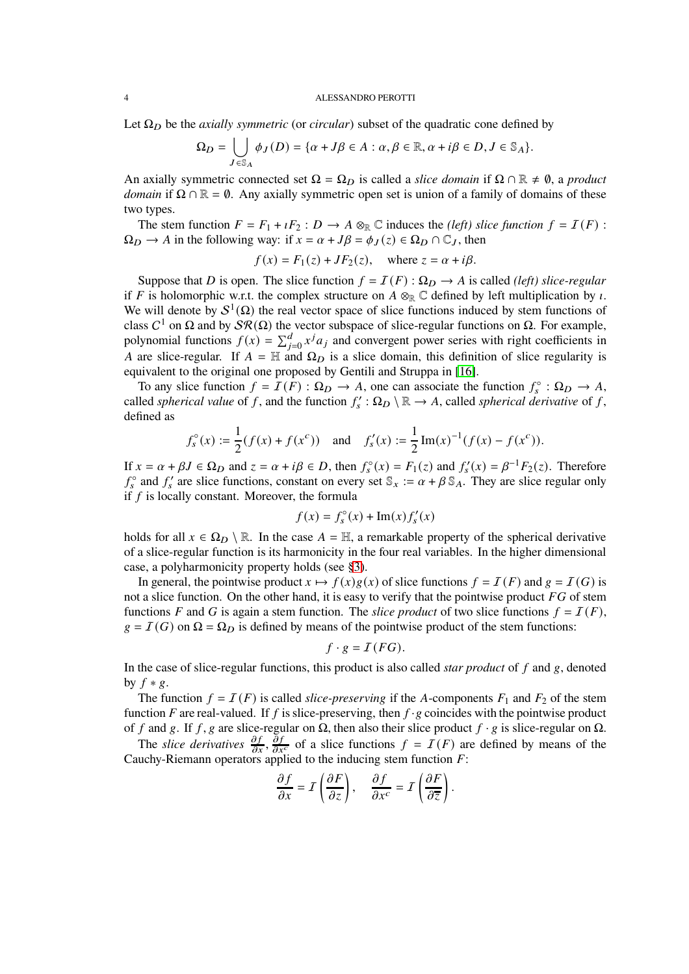Let  $\Omega_D$  be the *axially symmetric* (or *circular*) subset of the quadratic cone defined by

$$
\Omega_D = \bigcup_{J \in \mathbb{S}_A} \phi_J(D) = \{ \alpha + J\beta \in A : \alpha, \beta \in \mathbb{R}, \alpha + i\beta \in D, J \in \mathbb{S}_A \}.
$$

An axially symmetric connected set  $\Omega = \Omega_D$  is called a *slice domain* if  $\Omega \cap \mathbb{R} \neq \emptyset$ , a *product domain* if  $\Omega \cap \mathbb{R} = \emptyset$ . Any axially symmetric open set is union of a family of domains of these two types.

The stem function  $F = F_1 + iF_2 : D \to A \otimes_{\mathbb{R}} \mathbb{C}$  induces the *(left) slice function*  $f = I(F)$ :  $\Omega_D \to A$  in the following way: if  $x = \alpha + J\beta = \phi_J(z) \in \Omega_D \cap \mathbb{C}_J$ , then

$$
f(x) = F_1(z) + JF_2(z)
$$
, where  $z = \alpha + i\beta$ .

Suppose that D is open. The slice function  $f = I(F)$ :  $\Omega_D \rightarrow A$  is called *(left) slice-regular* if F is holomorphic w.r.t. the complex structure on  $A \otimes_{\mathbb{R}} \mathbb{C}$  defined by left multiplication by  $\iota$ . We will denote by  $S^1(\Omega)$  the real vector space of slice functions induced by stem functions of class  $C^1$  on  $\Omega$  and by  $\mathcal{SR}(\Omega)$  the vector subspace of slice-regular functions on  $\Omega$ . For example, polynomial functions  $f(x) = \sum_{j=0}^{d} x^{j} a_{j}$  and convergent power series with right coefficients in A are slice-regular. If  $A = \mathbb{H}$  and  $\Omega_D$  is a slice domain, this definition of slice regularity is equivalent to the original one proposed by Gentili and Struppa in [\[16\]](#page-32-3).

To any slice function  $f = I(F) : \Omega_D \to A$ , one can associate the function  $f_s^{\circ} : \Omega_D \to A$ , called *spherical value* of f, and the function  $f'_s : \Omega_D \setminus \mathbb{R} \to A$ , called *spherical derivative* of f, defined as

$$
f_s^{\circ}(x) := \frac{1}{2}(f(x) + f(x^c))
$$
 and  $f_s'(x) := \frac{1}{2}Im(x)^{-1}(f(x) - f(x^c)).$ 

If  $x = \alpha + \beta J \in \Omega_D$  and  $z = \alpha + i\beta \in D$ , then  $f_s^{\circ}(x) = F_1(z)$  and  $f_s'(x) = \beta^{-1}F_2(z)$ . Therefore  $f_s^{\circ}$  and  $f_s'$  are slice functions, constant on every set  $\mathbb{S}_x := \alpha + \beta \mathbb{S}_A$ . They are slice regular only if  $f$  is locally constant. Moreover, the formula

$$
f(x) = f_s^{\circ}(x) + \operatorname{Im}(x) f_s'(x)
$$

holds for all  $x \in \Omega_D \setminus \mathbb{R}$ . In the case  $A = \mathbb{H}$ , a remarkable property of the spherical derivative of a slice-regular function is its harmonicity in the four real variables. In the higher dimensional case, a polyharmonicity property holds (see [§3\)](#page-4-0).

In general, the pointwise product  $x \mapsto f(x)g(x)$  of slice functions  $f = I(F)$  and  $g = I(G)$  is not a slice function. On the other hand, it is easy to verify that the pointwise product  $FG$  of stem functions F and G is again a stem function. The *slice product* of two slice functions  $f = I(F)$ ,  $g = I(G)$  on  $\Omega = \Omega_D$  is defined by means of the pointwise product of the stem functions:

$$
f \cdot g = \mathcal{I}(FG).
$$

In the case of slice-regular functions, this product is also called *star product* of  $f$  and  $g$ , denoted by  $f * g$ .

The function  $f = I(F)$  is called *slice-preserving* if the A-components  $F_1$  and  $F_2$  of the stem function  $F$  are real-valued. If  $f$  is slice-preserving, then  $f \cdot g$  coincides with the pointwise product of f and g. If f, g are slice-regular on  $\Omega$ , then also their slice product f · g is slice-regular on  $\Omega$ .

The *slice derivatives*  $\frac{\partial f}{\partial x}$ ,  $\frac{\partial f}{\partial x^c}$  of a slice functions  $f = I(F)$  are defined by means of the Cauchy-Riemann operators applied to the inducing stem function  $F$ :

$$
\frac{\partial f}{\partial x} = I\left(\frac{\partial F}{\partial z}\right), \quad \frac{\partial f}{\partial x^c} = I\left(\frac{\partial F}{\partial \overline{z}}\right).
$$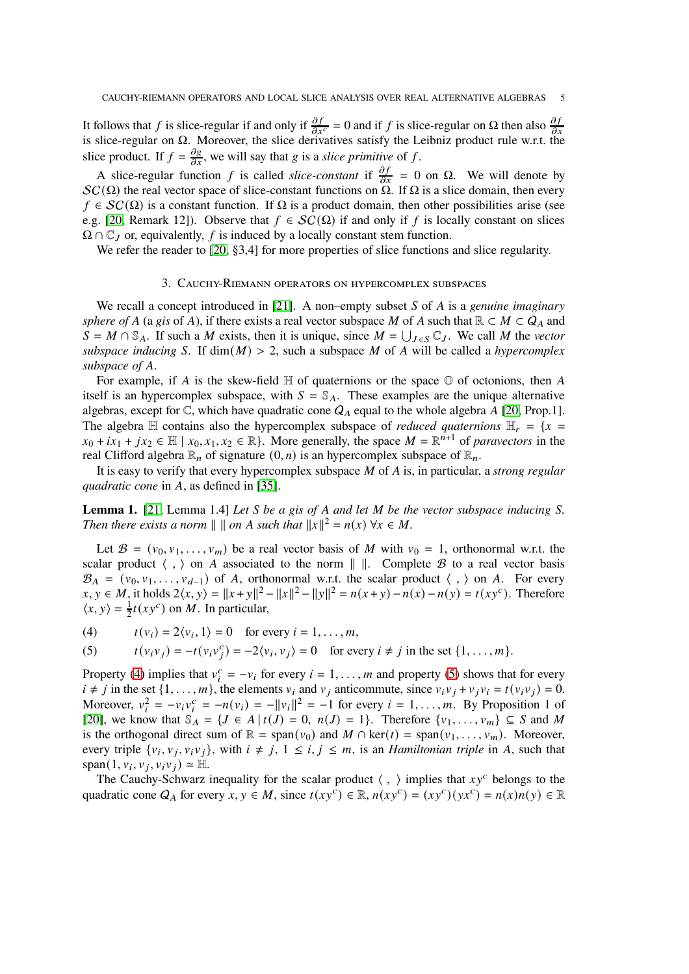It follows that f is slice-regular if and only if  $\frac{\partial f}{\partial x^c} = 0$  and if f is slice-regular on  $\Omega$  then also  $\frac{\partial f}{\partial x}$ is slice-regular on  $\Omega$ . Moreover, the slice derivatives satisfy the Leibniz product rule w.r.t. the slice product. If  $f = \frac{\partial g}{\partial x}$ , we will say that g is a *slice primitive* of f.

A slice-regular function f is called *slice-constant* if  $\frac{\partial f}{\partial x} = 0$  on  $\Omega$ . We will denote by  $SC(\Omega)$  the real vector space of slice-constant functions on  $\Omega$ . If  $\Omega$  is a slice domain, then every  $f \in SC(\Omega)$  is a constant function. If  $\Omega$  is a product domain, then other possibilities arise (see e.g. [\[20,](#page-32-6) Remark 12]). Observe that  $f \in SC(\Omega)$  if and only if f is locally constant on slices  $\Omega \cap \mathbb{C}_I$  or, equivalently, f is induced by a locally constant stem function.

<span id="page-4-0"></span>We refer the reader to [\[20,](#page-32-6) §3,4] for more properties of slice functions and slice regularity.

### 3. Cauchy-Riemann operators on hypercomplex subspaces

We recall a concept introduced in [\[21\]](#page-32-10). A non–empty subset S of A is a *genuine imaginary sphere of* A (a *gis* of A), if there exists a real vector subspace M of A such that  $\mathbb{R} \subset M \subset Q_A$  and  $S = M \cap \mathbb{S}_A$ . If such a M exists, then it is unique, since  $M = \bigcup_{J \in S} \mathbb{C}_J$ . We call M the *vector subspace inducing* S. If  $dim(M) > 2$ , such a subspace M of A will be called a *hypercomplex* subspace of A.

For example, if A is the skew-field  $\mathbb H$  of quaternions or the space  $\mathbb O$  of octonions, then A itself is an hypercomplex subspace, with  $S = \mathcal{S}_A$ . These examples are the unique alternative algebras, except for  $\mathbb{C}$ , which have quadratic cone  $Q_A$  equal to the whole algebra A [\[20,](#page-32-6) Prop.1]. The algebra H contains also the hypercomplex subspace of *reduced quaternions*  $H_r = \{x =$  $x_0 + ix_1 + jx_2 \in \mathbb{H} \mid x_0, x_1, x_2 \in \mathbb{R}$ . More generally, the space  $M = \mathbb{R}^{n+1}$  of *paravectors* in the real Clifford algebra  $\mathbb{R}_n$  of signature  $(0, n)$  is an hypercomplex subspace of  $\mathbb{R}_n$ .

It is easy to verify that every hypercomplex subspace M of A is, in particular, a *strong regular quadratic cone* in A, as defined in [\[35\]](#page-33-2).

**Lemma 1.** [\[21,](#page-32-10) Lemma 1.4] *Let S be a gis of A and let M be the vector subspace inducing S*. *Then there exists a norm*  $|| \cdot ||$  *on A such that*  $||x||^2 = n(x) \forall x \in M$ .

Let  $\mathcal{B} = (v_0, v_1, \dots, v_m)$  be a real vector basis of M with  $v_0 = 1$ , orthonormal w.r.t. the scalar product  $\langle , \rangle$  on A associated to the norm  $\| \cdot \|$ . Complete B to a real vector basis  $\mathcal{B}_A = (v_0, v_1, \ldots, v_{d-1})$  of A, orthonormal w.r.t. the scalar product  $\langle , \rangle$  on A. For every  $x, y \in M$ , it holds  $2\langle x, y \rangle = ||x + y||^2 - ||x||^2 - ||y||^2 = n(x + y) - n(x) - n(y) = t(xy^c)$ . Therefore  $\langle x, y \rangle = \frac{1}{2}$  $\frac{1}{2}t(xy^c)$  on *M*. In particular,

<span id="page-4-1"></span>(4)  $t(v_i) = 2\langle v_i, 1 \rangle = 0$  for every  $i = 1, ..., m$ ,

<span id="page-4-2"></span>(5) 
$$
t(v_i v_j) = -t(v_i v_j^c) = -2\langle v_i, v_j \rangle = 0 \text{ for every } i \neq j \text{ in the set } \{1, \dots, m\}.
$$

Property [\(4\)](#page-4-1) implies that  $v_i^c = -v_i$  for every  $i = 1, ..., m$  and property [\(5\)](#page-4-2) shows that for every  $i \neq j$  in the set  $\{1, \ldots, m\}$ , the elements  $v_i$  and  $v_j$  anticommute, since  $v_i v_j + v_j v_i = t(v_i v_j) = 0$ . Moreover,  $v_i^2 = -v_i v_i^c = -n(v_i) = -||v_i||^2 = -1$  for every  $i = 1, ..., m$ . By Proposition 1 of [\[20\]](#page-32-6), we know that  $\mathbb{S}_A = \{J \in A \mid t(J) = 0, n(J) = 1\}$ . Therefore  $\{v_1, \ldots, v_m\} \subseteq S$  and M is the orthogonal direct sum of  $\mathbb{R} = \text{span}(v_0)$  and  $M \cap \text{ker}(t) = \text{span}(v_1, \dots, v_m)$ . Moreover, every triple  $\{v_i, v_j, v_i v_j\}$ , with  $i \neq j$ ,  $1 \leq i, j \leq m$ , is an *Hamiltonian triple* in A, such that  $span(1, v_i, v_j, v_i v_j) \approx \mathbb{H}.$ 

The Cauchy-Schwarz inequality for the scalar product  $\langle , \rangle$  implies that  $xy^c$  belongs to the quadratic cone  $Q_A$  for every  $x, y \in M$ , since  $t(xy^c) \in \mathbb{R}$ ,  $n(xy^c) = (xy^c)(yx^c) = n(x)n(y) \in \mathbb{R}$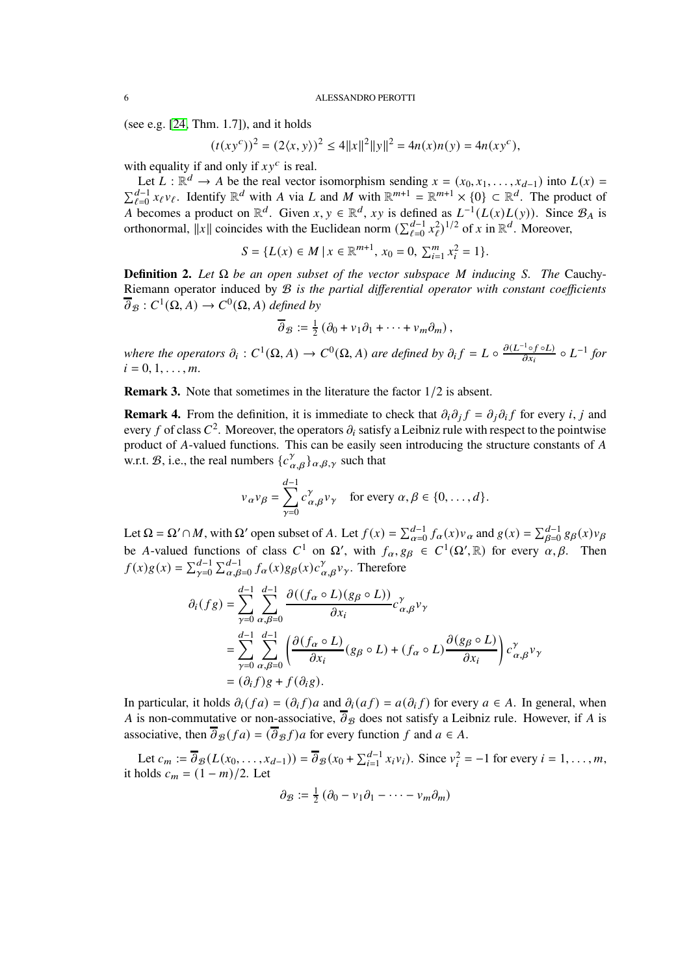(see e.g. [\[24,](#page-32-9) Thm. 1.7]), and it holds

$$
(t(xy^{c}))^{2} = (2\langle x, y \rangle)^{2} \le 4||x||^{2}||y||^{2} = 4n(x)n(y) = 4n(xy^{c}),
$$

with equality if and only if  $xy^c$  is real.

Let  $L : \mathbb{R}^d \to A$  be the real vector isomorphism sending  $x = (x_0, x_1, \dots, x_{d-1})$  into  $L(x) = \sum_{\ell=0}^{d-1} x_{\ell} y_{\ell}$ . Identify  $\mathbb{R}^d$  with A via L and M with  $\mathbb{R}^{m+1} = \mathbb{R}^{m+1} \times \{0\} \subset \mathbb{R}^d$ . The product of  $_{\ell=0}^{d-1} x_{\ell}v_{\ell}$ . Identify  $\mathbb{R}^d$  with A via L and M with  $\mathbb{R}^{m+1} = \mathbb{R}^{m+1} \times \{0\} \subset \mathbb{R}^d$ . The product of A becomes a product on  $\mathbb{R}^d$ . Given  $x, y \in \mathbb{R}^d$ ,  $xy$  is defined as  $L^{-1}(L(x)L(y))$ . Since  $\mathcal{B}_A$  is orthonormal,  $||x||$  coincides with the Euclidean norm  $(\sum_{\ell=0}^{d-1} x_{\ell}^2)^{1/2}$  of x in  $\mathbb{R}^d$ . Moreover,

$$
S = \{L(x) \in M \mid x \in \mathbb{R}^{m+1}, x_0 = 0, \sum_{i=1}^{m} x_i^2 = 1\}.
$$

<span id="page-5-0"></span>**Definition 2.** Let  $\Omega$  be an open subset of the vector subspace M inducing S. The Cauchy-Riemann operator induced by B *is the partial differential operator with constant coefficients*  $\overline{\partial}_{\mathcal{B}}: C^1(\Omega, A) \to C^0(\Omega, A)$  defined by

$$
\overline{\partial}_{\mathcal{B}} := \frac{1}{2} \left( \partial_0 + v_1 \partial_1 + \cdots + v_m \partial_m \right),
$$

where the operators  $\partial_i : C^1(\Omega, A) \to C^0(\Omega, A)$  are defined by  $\partial_i f = L \circ \frac{\partial (L^{-1} \circ f \circ L)}{\partial x_i}$  $rac{f \circ f \circ L}{\partial x_i} \circ L^{-1}$  for  $i = 0, 1, \ldots, m$ .

**Remark 3.** Note that sometimes in the literature the factor  $1/2$  is absent.

**Remark 4.** From the definition, it is immediate to check that  $\partial_i \partial_j f = \partial_j \partial_i f$  for every *i*, *j* and every f of class  $C^2$ . Moreover, the operators  $\partial_i$  satisfy a Leibniz rule with respect to the pointwise product of A-valued functions. This can be easily seen introducing the structure constants of A w.r.t.  $\mathcal{B}$ , i.e., the real numbers  $\{c^{\gamma}_{\alpha,\beta}\}_{\alpha,\beta,\gamma}$  such that

$$
v_{\alpha}v_{\beta} = \sum_{\gamma=0}^{d-1} c_{\alpha,\beta}^{\gamma} v_{\gamma} \quad \text{for every } \alpha, \beta \in \{0, \dots, d\}.
$$

Let  $\Omega = \Omega' \cap M$ , with  $\Omega'$  open subset of A. Let  $f(x) = \sum_{\alpha=0}^{d-1} f_{\alpha}(x) v_{\alpha}$  and  $g(x) = \sum_{\beta=0}^{d-1} g_{\beta}(x) v_{\beta}$ be A-valued functions of class  $C^1$  on  $\Omega'$ , with  $f_\alpha, g_\beta \in C^1(\Omega', \mathbb{R})$  for every  $\alpha, \beta$ . Then  $f(x)g(x) = \sum_{\gamma=0}^{d-1} \sum_{\alpha,\beta=0}^{d-1} f_{\alpha}(x)g_{\beta}(x) c_{\alpha,\beta}^{\gamma} v_{\gamma}$ . Therefore

$$
\partial_i(fg) = \sum_{\gamma=0}^{d-1} \sum_{\alpha,\beta=0}^{d-1} \frac{\partial((f_\alpha \circ L)(g_\beta \circ L))}{\partial x_i} c_{\alpha,\beta}^{\gamma} v_{\gamma}
$$
  
= 
$$
\sum_{\gamma=0}^{d-1} \sum_{\alpha,\beta=0}^{d-1} \left( \frac{\partial (f_\alpha \circ L)}{\partial x_i} (g_\beta \circ L) + (f_\alpha \circ L) \frac{\partial (g_\beta \circ L)}{\partial x_i} \right) c_{\alpha,\beta}^{\gamma} v_{\gamma}
$$
  
= 
$$
(\partial_i f)g + f(\partial_i g).
$$

In particular, it holds  $\partial_i(fa) = (\partial_i f)a$  and  $\partial_i(af) = a(\partial_i f)$  for every  $a \in A$ . In general, when A is non-commutative or non-associative,  $\overline{\partial}_{\beta}$  does not satisfy a Leibniz rule. However, if A is associative, then  $\overline{\partial}_{\mathcal{B}} (fa) = (\overline{\partial}_{\mathcal{B}} f)a$  for every function f and  $a \in A$ .

Let  $c_m := \overline{\partial}_{\mathcal{B}}(L(x_0, \ldots, x_{d-1})) = \overline{\partial}_{\mathcal{B}}(x_0 + \sum_{i=1}^{d-1} x_i v_i)$ . Since  $v_i^2 = -1$  for every  $i = 1, \ldots, m$ , it holds  $c_m = (1 - m)/2$ . Let

$$
\partial_{\mathcal{B}} := \frac{1}{2} \left( \partial_0 - v_1 \partial_1 - \dots - v_m \partial_m \right)
$$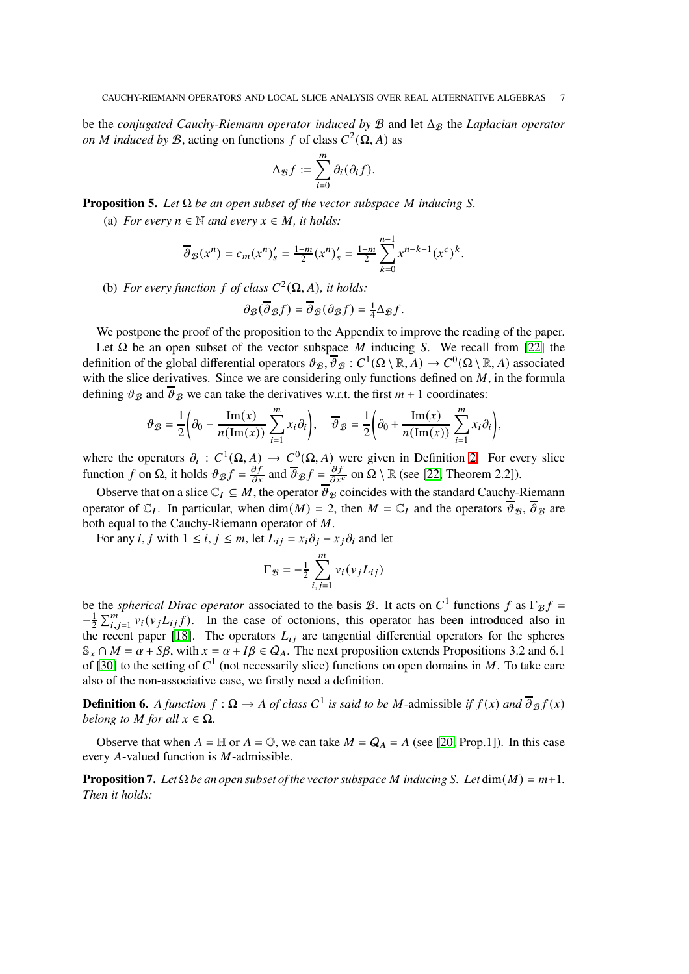be the *conjugated Cauchy-Riemann operator induced by*  $\mathcal B$  and let  $\Delta_{\mathcal B}$  the *Laplacian operator on M* induced by B, acting on functions f of class  $C^2(\Omega, A)$  as

$$
\Delta_{\mathcal{B}}f := \sum_{i=0}^m \partial_i(\partial_i f).
$$

<span id="page-6-0"></span>**Proposition 5.** *Let*  $\Omega$  *be an open subset of the vector subspace M inducing S*.

(a) *For every*  $n \in \mathbb{N}$  *and every*  $x \in M$ *, it holds:* 

$$
\overline{\partial}_{\mathcal{B}}(x^n) = c_m(x^n)'_s = \frac{1-m}{2} (x^n)'_s = \frac{1-m}{2} \sum_{k=0}^{n-1} x^{n-k-1} (x^c)^k.
$$

(b) *For every function*  $f$  *of class*  $C^2(\Omega, A)$ *, it holds:* 

$$
\partial_{\mathcal{B}}(\overline{\partial}_{\mathcal{B}}f) = \overline{\partial}_{\mathcal{B}}(\partial_{\mathcal{B}}f) = \frac{1}{4}\Delta_{\mathcal{B}}f.
$$

We postpone the proof of the proposition to the Appendix to improve the reading of the paper. Let  $\Omega$  be an open subset of the vector subspace M inducing S. We recall from [\[22\]](#page-32-11) the definition of the global differential operators  $\vartheta_{\mathcal{B}}, \overline{\vartheta}_{\mathcal{B}} : C^1(\Omega \setminus \mathbb{R}, A) \to C^0(\Omega \setminus \mathbb{R}, A)$  associated with the slice derivatives. Since we are considering only functions defined on  $M$ , in the formula defining  $\vartheta_B$  and  $\overline{\vartheta}_B$  we can take the derivatives w.r.t. the first  $m + 1$  coordinates:

$$
\vartheta_{\mathcal{B}} = \frac{1}{2} \left( \partial_0 - \frac{\operatorname{Im}(x)}{n(\operatorname{Im}(x))} \sum_{i=1}^m x_i \partial_i \right), \quad \overline{\vartheta}_{\mathcal{B}} = \frac{1}{2} \left( \partial_0 + \frac{\operatorname{Im}(x)}{n(\operatorname{Im}(x))} \sum_{i=1}^m x_i \partial_i \right),
$$

where the operators  $\partial_i : C^1(\Omega, A) \to C^0(\Omega, A)$  were given in Definition [2.](#page-5-0) For every slice function f on  $\Omega$ , it holds  $\vartheta_{\mathcal{B}}f = \frac{\partial f}{\partial x}$  and  $\overline{\vartheta}_{\mathcal{B}}f = \frac{\partial f}{\partial x^c}$  on  $\Omega \setminus \mathbb{R}$  (see [\[22,](#page-32-11) Theorem 2.2]).

Observe that on a slice  $\mathbb{C}_I \subseteq M$ , the operator  $\overline{\vartheta}_B$  coincides with the standard Cauchy-Riemann operator of  $\mathbb{C}_I$ . In particular, when dim(M) = 2, then  $M = \mathbb{C}_I$  and the operators  $\overline{\vartheta}_B$ ,  $\overline{\partial}_B$  are both equal to the Cauchy-Riemann operator of  $M$ .

For any *i*, *j* with  $1 \le i, j \le m$ , let  $L_{ij} = x_i \partial_j - x_j \partial_i$  and let

$$
\Gamma_{\mathcal{B}} = -\frac{1}{2} \sum_{i,j=1}^{m} v_i(v_j L_{ij})
$$

be the *spherical Dirac operator* associated to the basis *B*. It acts on  $C^1$  functions *f* as  $\Gamma_{\mathcal{B}} f =$  $-\frac{1}{2}$  $\frac{1}{2} \sum_{i,j=1}^{m} v_i(v_j L_{ij} f)$ . In the case of octonions, this operator has been introduced also in the recent paper [\[18\]](#page-32-12). The operators  $L_{ij}$  are tangential differential operators for the spheres  $\mathbb{S}_x \cap M = \alpha + S\beta$ , with  $x = \alpha + I\beta \in Q_A$ . The next proposition extends Propositions 3.2 and 6.1 of [\[30\]](#page-33-3) to the setting of  $C<sup>1</sup>$  (not necessarily slice) functions on open domains in M. To take care also of the non-associative case, we firstly need a definition.

**Definition 6.** A function  $f : \Omega \to A$  of class  $C^1$  is said to be M-admissible if  $f(x)$  and  $\overline{\partial}_B f(x)$ *belong to M* for all  $x \in \Omega$ .

Observe that when  $A = \mathbb{H}$  or  $A = \mathbb{O}$ , we can take  $M = Q_A = A$  (see [\[20,](#page-32-6) Prop.1]). In this case every A-valued function is  $M$ -admissible.

<span id="page-6-1"></span>**Proposition 7.** Let  $\Omega$  be an open subset of the vector subspace M inducing S. Let  $\dim(M) = m+1$ . *Then it holds:*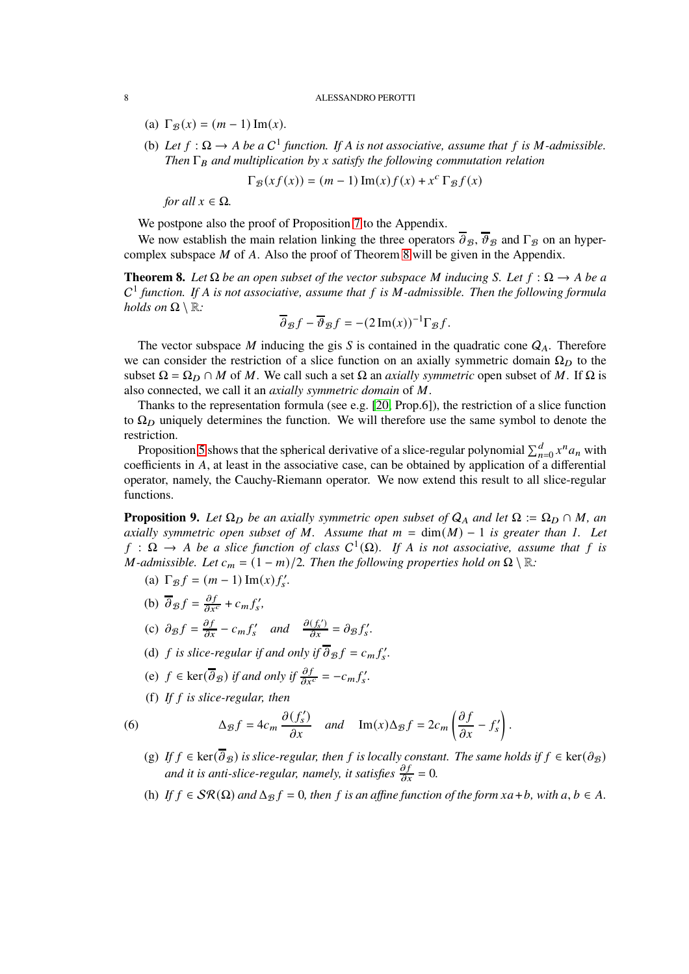- (a)  $\Gamma_{\mathcal{B}}(x) = (m-1) \operatorname{Im}(x)$ .
- (b) Let  $f : \Omega \to A$  be a  $C^1$  function. If A is not associative, assume that f is M-admissible. *Then*  $\Gamma_B$  *and multiplication by x satisfy the following commutation relation*

$$
\Gamma_{\mathcal{B}}(xf(x)) = (m-1)\operatorname{Im}(x)f(x) + x^c \Gamma_{\mathcal{B}}f(x)
$$

*for all*  $x \in \Omega$ *.* 

We postpone also the proof of Proposition [7](#page-6-1) to the Appendix.

We now establish the main relation linking the three operators  $\overline{\partial}_B$ ,  $\overline{\partial}_B$  and  $\Gamma_B$  on an hypercomplex subspace  $M$  of  $A$ . Also the proof of Theorem [8](#page-7-0) will be given in the Appendix.

<span id="page-7-0"></span>**Theorem 8.** Let  $\Omega$  be an open subset of the vector subspace M inducing S. Let  $f : \Omega \to A$  be a C<sup>1</sup> function. If A is not associative, assume that f is M-admissible. Then the following formula *holds on*  $\Omega \setminus \mathbb{R}$ *:* 

$$
\overline{\partial}_{\mathcal{B}}f - \overline{\partial}_{\mathcal{B}}f = -(2 \operatorname{Im}(x))^{-1} \Gamma_{\mathcal{B}}f.
$$

The vector subspace  $M$  inducing the gis  $S$  is contained in the quadratic cone  $Q_A$ . Therefore we can consider the restriction of a slice function on an axially symmetric domain  $\Omega_D$  to the subset  $\Omega = \Omega_D \cap M$  of M. We call such a set  $\Omega$  an *axially symmetric* open subset of M. If  $\Omega$  is also connected, we call it an *axially symmetric domain* of M.

Thanks to the representation formula (see e.g. [\[20,](#page-32-6) Prop.6]), the restriction of a slice function to  $\Omega_D$  uniquely determines the function. We will therefore use the same symbol to denote the restriction.

Proposition [5](#page-6-0) shows that the spherical derivative of a slice-regular polynomial  $\sum_{n=0}^{d} x^n a_n$  with coefficients in A, at least in the associative case, can be obtained by application of a differential operator, namely, the Cauchy-Riemann operator. We now extend this result to all slice-regular functions.

<span id="page-7-1"></span>**Proposition 9.** Let  $\Omega_D$  be an axially symmetric open subset of  $Q_A$  and let  $\Omega := \Omega_D \cap M$ , an *axially symmetric open subset of*  $M$ *. Assume that*  $m = \dim(M) - 1$  *is greater than 1. Let*  $f : \Omega \to A$  be a slice function of class  $C^1(\Omega)$ . If A is not associative, assume that f is *M*-admissible. Let  $c_m = (1 - m)/2$ . Then the following properties hold on  $\Omega \setminus \mathbb{R}$ :

- (a)  $\Gamma_{\mathcal{B}} f = (m-1) \operatorname{Im}(x) f'_{s}.$
- (b)  $\overline{\partial}_{\mathcal{B}} f = \frac{\partial f}{\partial x^c} + c_m f'_s$ , (c)  $\partial_{\mathcal{B}}f = \frac{\partial f}{\partial x} - c_m f'_s$  and  $\frac{\partial (f'_s)}{\partial x} = \partial_{\mathcal{B}} f'_s$ .
- (d) *f* is slice-regular if and only if  $\overline{\partial}_{\mathcal{B}} f = c_m f'_s$ .
- (e)  $f \in \text{ker}(\overline{\partial}_{\mathcal{B}})$  *if and only if*  $\frac{\partial f}{\partial x^c} = -c_m f'_s$ .
- <span id="page-7-2"></span>(f) *If* 𝑓 *is slice-regular, then*

(6) 
$$
\Delta_{\mathcal{B}}f = 4c_m \frac{\partial (f'_s)}{\partial x} \quad and \quad \text{Im}(x)\Delta_{\mathcal{B}}f = 2c_m \left(\frac{\partial f}{\partial x} - f'_s\right).
$$

- (g) *If*  $f \in \text{ker}(\overline{\partial}_B)$  *is slice-regular, then*  $f$  *is locally constant. The same holds if*  $f \in \text{ker}(\partial_B)$ *and it is anti-slice-regular, namely, it satisfies*  $\frac{\partial f}{\partial x} = 0$ .
- (h) *If*  $f \in \mathcal{SR}(\Omega)$  *and*  $\Delta_{\mathcal{B}} f = 0$ *, then*  $f$  *is an affine function of the form*  $xa + b$ *, with*  $a, b \in A$ .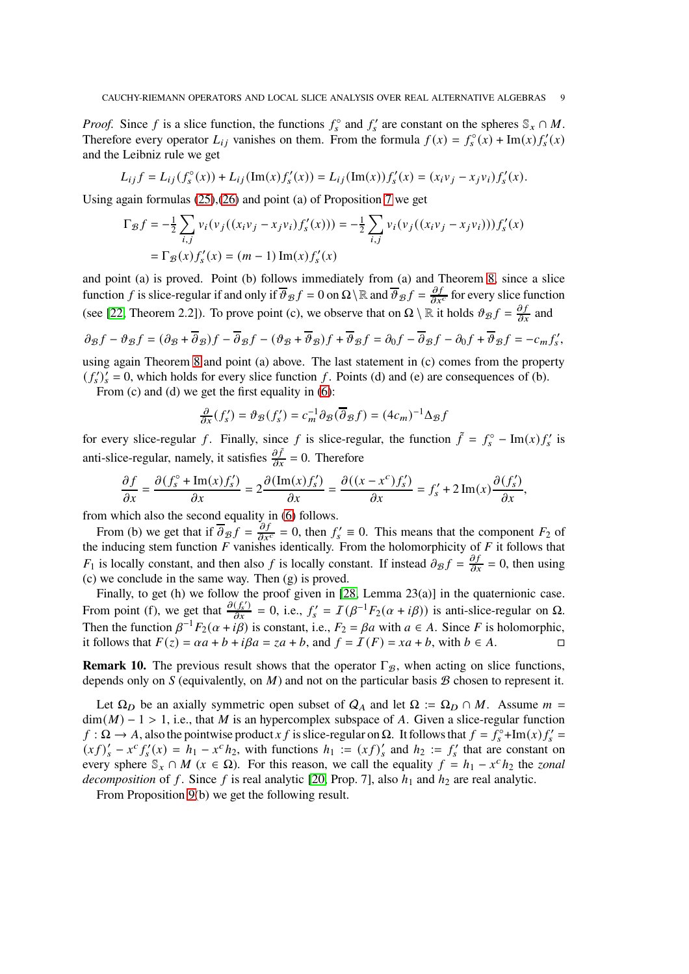*Proof.* Since f is a slice function, the functions  $f_s^{\circ}$  and  $f_s'$  are constant on the spheres  $\mathcal{S}_x \cap M$ . Therefore every operator  $L_{ij}$  vanishes on them. From the formula  $f(x) = f_s^{\circ}(x) + \text{Im}(x) f_s'(x)$ and the Leibniz rule we get

$$
L_{ij} f = L_{ij} (f_s^{\circ}(x)) + L_{ij} (\text{Im}(x) f_s'(x)) = L_{ij} (\text{Im}(x)) f_s'(x) = (x_i v_j - x_j v_i) f_s'(x).
$$

Using again formulas [\(25\)](#page-29-0),[\(26\)](#page-29-1) and point (a) of Proposition [7](#page-6-1) we get

$$
\Gamma_{\mathcal{B}}f = -\frac{1}{2} \sum_{i,j} v_i (v_j ((x_i v_j - x_j v_i) f'_s(x))) = -\frac{1}{2} \sum_{i,j} v_i (v_j ((x_i v_j - x_j v_i))) f'_s(x)
$$
  
=  $\Gamma_{\mathcal{B}}(x) f'_s(x) = (m-1) \operatorname{Im}(x) f'_s(x)$ 

and point (a) is proved. Point (b) follows immediately from (a) and Theorem [8,](#page-7-0) since a slice function f is slice-regular if and only if  $\theta_{\mathcal{B}}f = 0$  on  $\Omega \setminus \mathbb{R}$  and  $\theta_{\mathcal{B}}f = \frac{\partial f}{\partial x^c}$  for every slice function (see [\[22,](#page-32-11) Theorem 2.2]). To prove point (c), we observe that on  $\Omega \setminus \mathbb{R}$  it holds  $\vartheta_{\mathcal{B}}f = \frac{\partial f}{\partial x}$  and

$$
\partial_{\mathcal{B}}f - \partial_{\mathcal{B}}f = (\partial_{\mathcal{B}} + \overline{\partial}_{\mathcal{B}})f - \overline{\partial}_{\mathcal{B}}f - (\partial_{\mathcal{B}} + \overline{\partial}_{\mathcal{B}})f + \overline{\partial}_{\mathcal{B}}f = \partial_{0}f - \overline{\partial}_{\mathcal{B}}f - \partial_{0}f + \overline{\partial}_{\mathcal{B}}f = -c_{m}f'_{s},
$$

using again Theorem [8](#page-7-0) and point (a) above. The last statement in (c) comes from the property  $(f'_s)'_s = 0$ , which holds for every slice function f. Points (d) and (e) are consequences of (b).

From (c) and (d) we get the first equality in [\(6\)](#page-7-2):

$$
\frac{\partial}{\partial x}(f'_{s}) = \vartheta_{\mathcal{B}}(f'_{s}) = c_{m}^{-1} \partial_{\mathcal{B}}(\overline{\partial}_{\mathcal{B}}f) = (4c_{m})^{-1} \Delta_{\mathcal{B}}f
$$

for every slice-regular f. Finally, since f is slice-regular, the function  $\tilde{f} = f_s^{\circ} - \text{Im}(x) f_s'$  is anti-slice-regular, namely, it satisfies  $\frac{\partial \tilde{f}}{\partial x} = 0$ . Therefore

$$
\frac{\partial f}{\partial x} = \frac{\partial (f_s^\circ + \text{Im}(x)f_s')}{\partial x} = 2 \frac{\partial (\text{Im}(x)f_s')}{\partial x} = \frac{\partial ((x - x^\circ)f_s')}{\partial x} = f_s' + 2\text{Im}(x)\frac{\partial (f_s')}{\partial x},
$$

from which also the second equality in [\(6\)](#page-7-2) follows.

From (b) we get that if  $\overline{\partial}_{\mathcal{B}} f = \frac{\partial f}{\partial x^c} = 0$ , then  $f'_s \equiv 0$ . This means that the component  $F_2$  of the inducing stem function  $F$  vanishes identically. From the holomorphicity of  $F$  it follows that  $F_1$  is locally constant, and then also f is locally constant. If instead  $\partial_\mathcal{B} f = \frac{\partial f}{\partial x} = 0$ , then using (c) we conclude in the same way. Then (g) is proved.

Finally, to get (h) we follow the proof given in [\[28,](#page-32-13) Lemma 23(a)] in the quaternionic case. From point (f), we get that  $\frac{\partial (f'_s)}{\partial x} = 0$ , i.e.,  $f'_s = I(\beta^{-1}F_2(\alpha + i\beta))$  is anti-slice-regular on  $\Omega$ . Then the function  $\beta^{-1}F_2(\alpha + i\beta)$  is constant, i.e.,  $F_2 = \beta a$  with  $a \in A$ . Since F is holomorphic, it follows that  $F(z) = \alpha a + b + i\beta a = za + b$ , and  $f = I(F) = xa + b$ , with  $b \in A$ .

**Remark 10.** The previous result shows that the operator  $\Gamma_{\mathcal{B}}$ , when acting on slice functions, depends only on S (equivalently, on  $M$ ) and not on the particular basis  $B$  chosen to represent it.

Let  $\Omega_D$  be an axially symmetric open subset of  $Q_A$  and let  $\Omega := \Omega_D \cap M$ . Assume  $m =$  $\dim(M) - 1 > 1$ , i.e., that M is an hypercomplex subspace of A. Given a slice-regular function  $f : \Omega \to A$ , also the pointwise product x f is slice-regular on  $\Omega$ . It follows that  $f = f_s^{\circ} + \text{Im}(x) f_s' = f_s$  $(x f)'_s - x^c f'_s(x) = h_1 - x^c h_2$ , with functions  $h_1 := (xf)'_s$  and  $h_2 := f'_s$  that are constant on every sphere  $\mathbb{S}_x \cap M$  ( $x \in \Omega$ ). For this reason, we call the equality  $f = h_1 - x^c h_2$  the *zonal decomposition* of f. Since f is real analytic [\[20,](#page-32-6) Prop. 7], also  $h_1$  and  $h_2$  are real analytic.

From Proposition [9\(](#page-7-1)b) we get the following result.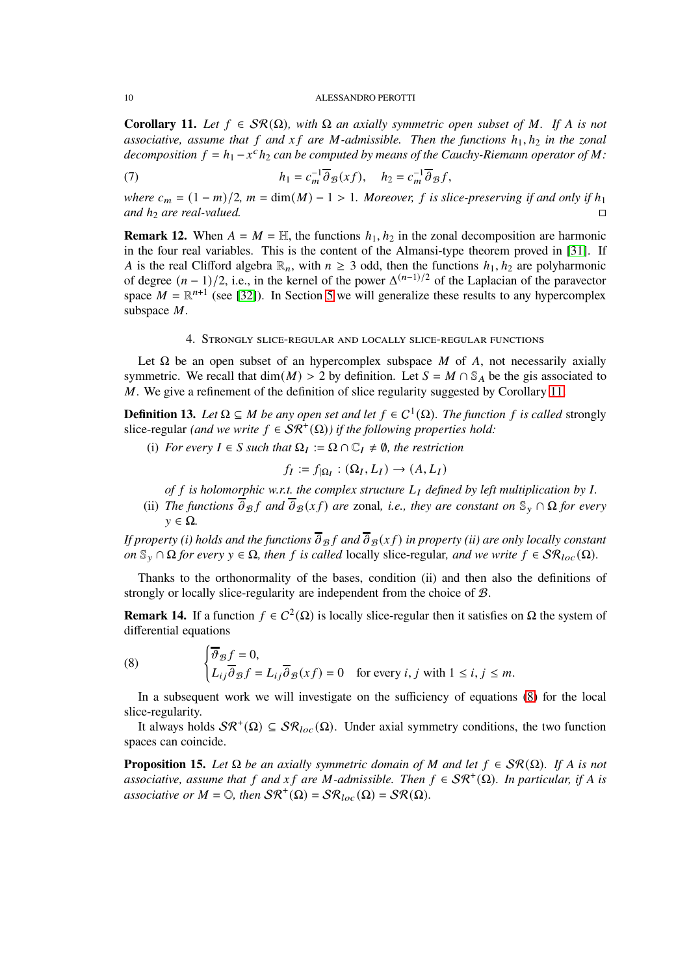<span id="page-9-2"></span>**Corollary 11.** Let  $f \in \mathcal{SR}(\Omega)$ , with  $\Omega$  an axially symmetric open subset of M. If A is not *associative, assume that* 𝑓 *and* 𝑥 𝑓 *are* 𝑀*-admissible. Then the functions* ℎ1, ℎ<sup>2</sup> *in the zonal decomposition*  $f = h_1 - x^c h_2$  *can be computed by means of the Cauchy-Riemann operator of*  $M$ *:* 

(7) 
$$
h_1 = c_m^{-1} \overline{\partial}_{\mathcal{B}}(xf), \quad h_2 = c_m^{-1} \overline{\partial}_{\mathcal{B}}f,
$$

*where*  $c_m = (1 - m)/2$ ,  $m = \dim(M) - 1 > 1$ . Moreover, f is slice-preserving if and only if  $h_1$ *and*  $h_2$  *are real-valued.*  $\Box$ 

**Remark 12.** When  $A = M = H$ , the functions  $h_1, h_2$  in the zonal decomposition are harmonic in the four real variables. This is the content of the Almansi-type theorem proved in [\[31\]](#page-33-4). If A is the real Clifford algebra  $\mathbb{R}_n$ , with  $n \geq 3$  odd, then the functions  $h_1, h_2$  are polyharmonic of degree  $(n-1)/2$ , i.e., in the kernel of the power  $\Delta^{(n-1)/2}$  of the Laplacian of the paravector space  $M = \mathbb{R}^{n+1}$  (see [\[32\]](#page-33-5)). In Section [5](#page-14-0) we will generalize these results to any hypercomplex subspace M.

# 4. Strongly slice-regular and locally slice-regular functions

<span id="page-9-1"></span>Let  $\Omega$  be an open subset of an hypercomplex subspace M of A, not necessarily axially symmetric. We recall that dim( $M$ ) > 2 by definition. Let  $S = M \cap \mathbb{S}<sub>A</sub>$  be the gis associated to  $M$ . We give a refinement of the definition of slice regularity suggested by Corollary [11.](#page-9-2)

<span id="page-9-0"></span>**Definition 13.** Let  $\Omega \subseteq M$  be any open set and let  $f \in C^1(\Omega)$ . The function f is called strongly slice-regular *(and we write*  $f \in \mathcal{SR}^+(\Omega)$ ) if the following properties hold:

(i) *For every*  $I \in S$  *such that*  $\Omega_I := \Omega \cap \mathbb{C}_I \neq \emptyset$ *, the restriction* 

$$
f_I := f_{|\Omega_I} : (\Omega_I, L_I) \to (A, L_I)
$$

*of*  $f$  *is holomorphic w.r.t. the complex structure*  $L_I$  *defined by left multiplication by*  $I$ *.* 

(ii) *The functions*  $\overline{\partial}_{\mathcal{B}} f$  *and*  $\overline{\partial}_{\mathcal{B}} (xf)$  *are* zonal, *i.e., they are constant on*  $\mathbb{S}_y \cap \Omega$  *for every*  $y \in \Omega$ .

*If property (i) holds and the functions*  $\overline{\partial}_B f$  and  $\overline{\partial}_B(x f)$  *in property (ii) are only locally constant on*  $\mathbb{S}_{\nu} \cap \Omega$  *for every*  $\nu \in \Omega$ *, then f is called* locally slice-regular, *and we write*  $f \in \mathcal{SR}_{loc}(\Omega)$ *.* 

Thanks to the orthonormality of the bases, condition (ii) and then also the definitions of strongly or locally slice-regularity are independent from the choice of B.

**Remark 14.** If a function  $f \in C^2(\Omega)$  is locally slice-regular then it satisfies on  $\Omega$  the system of differential equations

<span id="page-9-3"></span>(8) 
$$
\begin{cases} \overline{\vartheta}_{\mathcal{B}} f = 0, \\ L_{ij} \overline{\vartheta}_{\mathcal{B}} f = L_{ij} \overline{\vartheta}_{\mathcal{B}} (xf) = 0 \quad \text{for every } i, j \text{ with } 1 \le i, j \le m. \end{cases}
$$

In a subsequent work we will investigate on the sufficiency of equations [\(8\)](#page-9-3) for the local slice-regularity.

It always holds  $\mathcal{SR}^+(\Omega) \subseteq \mathcal{SR}_{loc}(\Omega)$ . Under axial symmetry conditions, the two function spaces can coincide.

**Proposition 15.** *Let*  $\Omega$  *be an axially symmetric domain of M and let*  $f \in \mathcal{SR}(\Omega)$ *. If A is not associative, assume that*  $f$  *and*  $xf$  *are*  $M$ -admissible. Then  $f \in \mathcal{SR}^+(\Omega)$ . In particular, if A is *associative or*  $M = \mathbb{O}$ , then  $\mathcal{SR}^+(\Omega) = \mathcal{SR}_{loc}(\Omega) = \mathcal{SR}(\Omega)$ .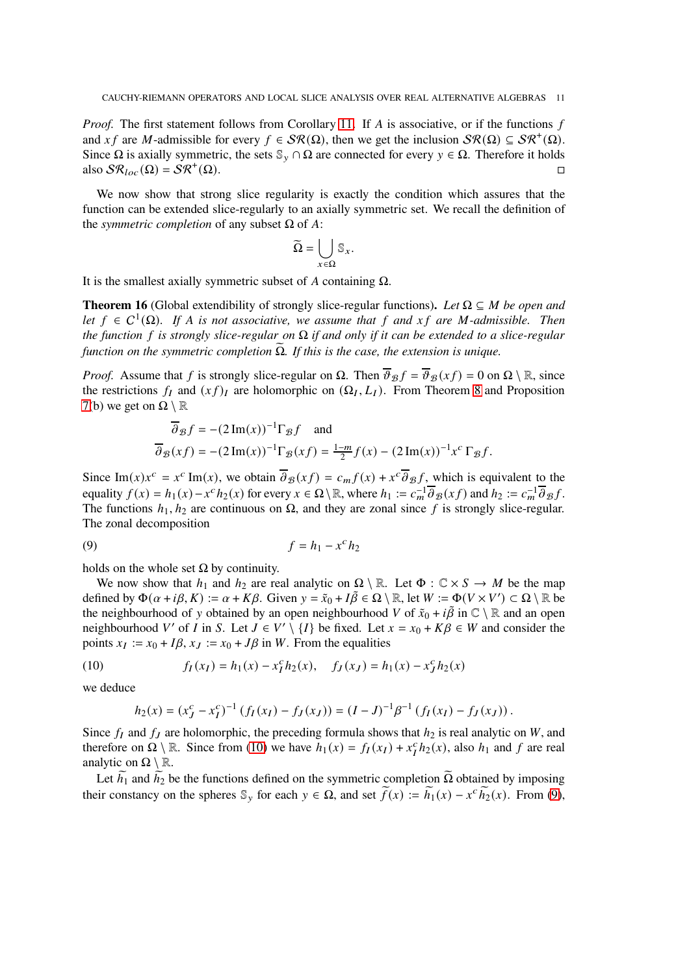*Proof.* The first statement follows from Corollary [11.](#page-9-2) If A is associative, or if the functions  $f$ and x f are M-admissible for every  $f \in \mathcal{SR}(\Omega)$ , then we get the inclusion  $\mathcal{SR}(\Omega) \subseteq \mathcal{SR}^+(\Omega)$ . Since  $\Omega$  is axially symmetric, the sets  $\mathbb{S}_{\nu} \cap \Omega$  are connected for every  $y \in \Omega$ . Therefore it holds also  $\mathcal{SR}_{loc}(\Omega) = \mathcal{SR}^+(\Omega)$ .  $(\Omega)$ .

We now show that strong slice regularity is exactly the condition which assures that the function can be extended slice-regularly to an axially symmetric set. We recall the definition of the *symmetric completion* of any subset  $Ω$  of  $A$ :

$$
\widetilde{\Omega} = \bigcup_{x \in \Omega} \mathbb{S}_x.
$$

It is the smallest axially symmetric subset of  $A$  containing  $\Omega$ .

<span id="page-10-2"></span>**Theorem 16** (Global extendibility of strongly slice-regular functions). Let  $\Omega \subseteq M$  be open and *let*  $f \in C^1(\Omega)$ . If A is not associative, we assume that f and  $xf$  are M-admissible. Then *the function* 𝑓 *is strongly slice-regular on* Ω *if and only if it can be extended to a slice-regular function on the symmetric completion*  $Ω$ *. If this is the case, the extension is unique.* 

*Proof.* Assume that f is strongly slice-regular on  $\Omega$ . Then  $\overline{\vartheta}_{\mathcal{B}} f = \overline{\vartheta}_{\mathcal{B}} (xf) = 0$  on  $\Omega \setminus \mathbb{R}$ , since the restrictions  $f_I$  and  $(xf)_I$  are holomorphic on  $(\Omega_I, L_I)$ . From Theorem [8](#page-7-0) and Proposition [7\(](#page-6-1)b) we get on  $\Omega \setminus \mathbb{R}$ 

<span id="page-10-1"></span>
$$
\overline{\partial}_{\mathcal{B}} f = -(2 \operatorname{Im}(x))^{-1} \Gamma_{\mathcal{B}} f \quad \text{and}
$$

$$
\overline{\partial}_{\mathcal{B}} (xf) = -(2 \operatorname{Im}(x))^{-1} \Gamma_{\mathcal{B}} (xf) = \frac{1-m}{2} f(x) - (2 \operatorname{Im}(x))^{-1} x^c \Gamma_{\mathcal{B}} f.
$$

Since Im(x) $x^c = x^c$  Im(x), we obtain  $\overline{\partial}_{\mathcal{B}}(xf) = c_m f(x) + x^c \overline{\partial}_{\mathcal{B}}f$ , which is equivalent to the equality  $f(x) = h_1(x) - x^c h_2(x)$  for every  $x \in \Omega \setminus \mathbb{R}$ , where  $h_1 := c_m^{-1} \overline{\partial}_{\mathcal{B}}(xf)$  and  $h_2 := c_m^{-1} \overline{\partial}_{\mathcal{B}}f$ . The functions  $h_1, h_2$  are continuous on  $\Omega$ , and they are zonal since f is strongly slice-regular. The zonal decomposition

$$
(9) \t\t f = h_1 - x^c h_2
$$

holds on the whole set  $\Omega$  by continuity.

We now show that  $h_1$  and  $h_2$  are real analytic on  $\Omega \setminus \mathbb{R}$ . Let  $\Phi : \mathbb{C} \times S \to M$  be the map defined by  $\Phi(\alpha + i\beta, K) := \alpha + K\beta$ . Given  $y = \tilde{x}_0 + I\tilde{\beta} \in \Omega \setminus \mathbb{R}$ , let  $W := \Phi(V \times V') \subset \Omega \setminus \mathbb{R}$  be the neighbourhood of y obtained by an open neighbourhood V of  $\tilde{x}_0 + i\tilde{\beta}$  in  $\mathbb{C} \setminus \mathbb{R}$  and an open neighbourhood V' of I in S. Let  $J \in V' \setminus \{I\}$  be fixed. Let  $x = x_0 + K\beta \in W$  and consider the points  $x_I := x_0 + I\beta$ ,  $x_J := x_0 + J\beta$  in W. From the equalities

(10) 
$$
f_I(x_I) = h_1(x) - x_I^c h_2(x), \quad f_J(x_J) = h_1(x) - x_J^c h_2(x)
$$

we deduce

<span id="page-10-0"></span>
$$
h_2(x) = (x_J^c - x_I^c)^{-1} \left( f_I(x_I) - f_J(x_J) \right) = (I - J)^{-1} \beta^{-1} \left( f_I(x_I) - f_J(x_J) \right).
$$

Since  $f_I$  and  $f_J$  are holomorphic, the preceding formula shows that  $h_2$  is real analytic on W, and therefore on  $\Omega \setminus \mathbb{R}$ . Since from [\(10\)](#page-10-0) we have  $h_1(x) = f_1(x_1) + x_1^c h_2(x)$ , also  $h_1$  and f are real analytic on  $\Omega \setminus \mathbb{R}$ .

Let  $\tilde{h}_1$  and  $\tilde{h}_2$  be the functions defined on the symmetric completion  $\tilde{\Omega}$  obtained by imposing their constancy on the spheres  $\mathbb{S}_y$  for each  $y \in \Omega$ , and set  $\widetilde{f}(x) := \widetilde{h}_1(x) - x^c \widetilde{h}_2(x)$ . From [\(9\)](#page-10-1),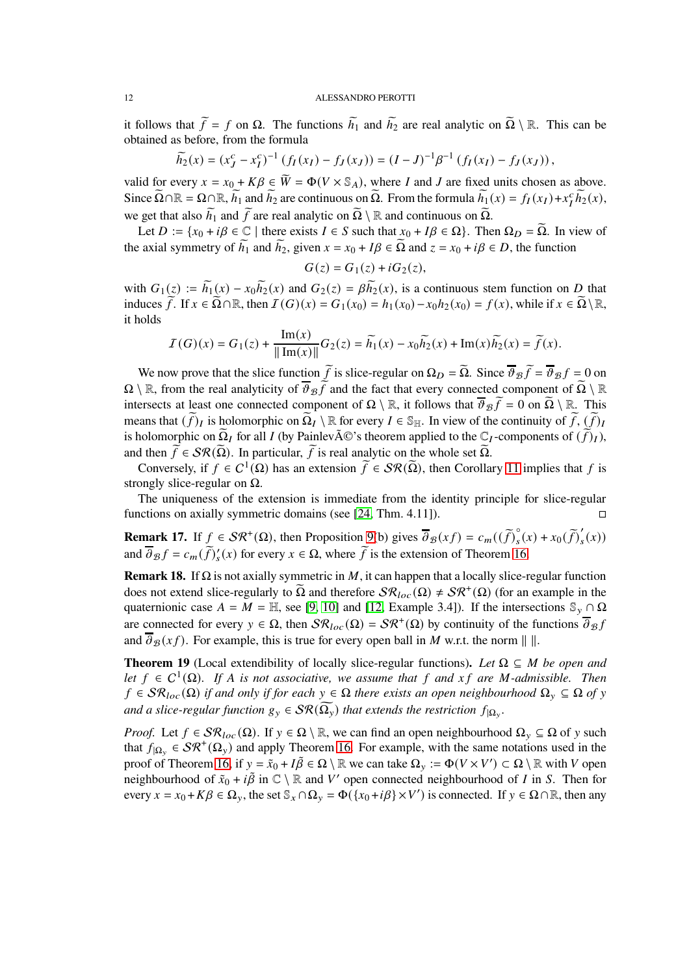it follows that  $\tilde{f} = f$  on  $\Omega$ . The functions  $\tilde{h}_1$  and  $\tilde{h}_2$  are real analytic on  $\tilde{\Omega} \setminus \mathbb{R}$ . This can be obtained as before, from the formula

$$
\widetilde{h_2}(x) = (x_J^c - x_I^c)^{-1} \left( f_I(x_I) - f_J(x_J) \right) = (I - J)^{-1} \beta^{-1} \left( f_I(x_I) - f_J(x_J) \right),
$$

valid for every  $x = x_0 + K\beta \in \overline{W} = \Phi(V \times \mathbb{S}_A)$ , where *I* and *J* are fixed units chosen as above. Since  $\Omega \cap \mathbb{R} = \Omega \cap \mathbb{R}$ ,  $\widetilde{h_1}$  and  $\widetilde{h_2}$  are continuous on  $\Omega$ . From the formula  $\widetilde{h_1}(x) = f_I(x_I) + x_I^c \widetilde{h_2}(x)$ , we get that also  $\widetilde{h}_1$  and  $\widetilde{f}$  are real analytic on  $\widetilde{\Omega} \setminus \mathbb{R}$  and continuous on  $\widetilde{\Omega}$ .

Let  $D := \{x_0 + i\beta \in \mathbb{C} \mid \text{there exists } I \in S \text{ such that } x_0 + I\beta \in \Omega\}$ . Then  $\Omega_D = \Omega$ . In view of the axial symmetry of  $h_1$  and  $h_2$ , given  $x = x_0 + IB \in \Omega$  and  $z = x_0 + i\beta \in D$ , the function

$$
G(z) = G_1(z) + iG_2(z),
$$

with  $G_1(z) := \widetilde{h_1}(x) - x_0 \widetilde{h_2}(x)$  and  $G_2(z) = \beta \widetilde{h_2}(x)$ , is a continuous stem function on D that induces  $\widetilde{f}$ . If  $x \in \widetilde{\Omega} \cap \mathbb{R}$ , then  $\mathcal{I}(G)(x) = G_1(x_0) = h_1(x_0) - x_0h_2(x_0) = f(x)$ , while if  $x \in \widetilde{\Omega} \setminus \mathbb{R}$ , it holds

$$
I(G)(x) = G_1(z) + \frac{\text{Im}(x)}{\|\text{Im}(x)\|} G_2(z) = \widetilde{h_1}(x) - x_0 \widetilde{h_2}(x) + \text{Im}(x) \widetilde{h_2}(x) = \widetilde{f}(x).
$$

We now prove that the slice function  $\hat{f}$  is slice-regular on  $\Omega_D = \Omega$ . Since  $\hat{\theta}_B f = \hat{\theta}_B f = 0$  on  $\Omega \setminus \mathbb{R}$ , from the real analyticity of  $\overline{\vartheta}_{\mathcal{B}} f$  and the fact that every connected component of  $\overline{\Omega} \setminus \mathbb{R}$ intersects at least one connected component of  $\Omega \setminus \mathbb{R}$ , it follows that  $\overline{\vartheta_{\mathcal{B}}f} = 0$  on  $\Omega \setminus \mathbb{R}$ . This means that  $(f)_I$  is holomorphic on  $\Omega_I \setminus \mathbb{R}$  for every  $I \in \mathbb{S}_{\mathbb{H}}$ . In view of the continuity of  $\widehat{f}$ ,  $(\widehat{f})_I$ is holomorphic on  $\widetilde{\Omega}_I$  for all I (by Painlev $\widetilde{A} \mathbb{C}$ 's theorem applied to the  $\mathbb{C}_I$ -components of  $(\widetilde{f})_I$ ), and then  $\widetilde{f} \in \mathcal{SR}(\widetilde{\Omega})$ . In particular,  $\widetilde{f}$  is real analytic on the whole set  $\widetilde{\Omega}$ .

Conversely, if  $f \in C^1(\Omega)$  has an extension  $\widetilde{f} \in \mathcal{SR}(\widetilde{\Omega})$ , then Corollary [11](#page-9-2) implies that f is strongly slice-regular on  $\Omega$ .

The uniqueness of the extension is immediate from the identity principle for slice-regular functions on axially symmetric domains (see [\[24,](#page-32-9) Thm. 4.11]).  $\square$ 

**Remark 17.** If  $\underline{f} \in \mathcal{SR}^+(\Omega)$ , then Proposition [9\(](#page-7-1)b) gives  $\overline{\partial}_{\mathcal{B}}(xf) = c_m((\widetilde{f})_s^{\circ}$  $\int_{s}^{\infty} (x) + x_0 \left( \widetilde{f} \right)'_{s}$  $\int_{S}(x)$ and  $\overline{\partial}_{\mathcal{B}} f = c_m(\widetilde{f})_s'(x)$  for every  $x \in \Omega$ , where  $\widetilde{f}$  is the extension of Theorem [16.](#page-10-2)

<span id="page-11-1"></span>**Remark 18.** If  $\Omega$  is not axially symmetric in M, it can happen that a locally slice-regular function does not extend slice-regularly to  $\tilde{\Omega}$  and therefore  $\mathcal{SR}_{loc}(\Omega) \neq \mathcal{SR}^+(\Omega)$  (for an example in the quaternionic case  $A = M = \mathbb{H}$ , see [\[9,](#page-32-14) [10\]](#page-32-15) and [\[12,](#page-32-16) Example 3.4]). If the intersections  $\mathbb{S}_{\gamma} \cap \Omega$ are connected for every  $y \in \Omega$ , then  $\mathcal{SR}_{loc}(\Omega) = \mathcal{SR}^+(\Omega)$  by continuity of the functions  $\overline{\partial}_{\mathcal{B}} f$ and  $\overline{\partial}_{\mathcal{B}}(xf)$ . For example, this is true for every open ball in M w.r.t. the norm  $\| \cdot \|$ .

<span id="page-11-0"></span>**Theorem 19** (Local extendibility of locally slice-regular functions). Let  $\Omega \subseteq M$  be open and *let*  $f \in C^1(\Omega)$ . If A is not associative, we assume that f and xf are M-admissible. Then  $f \in \mathcal{SR}_{loc}(\Omega)$  *if and only if for each*  $y \in \Omega$  *there exists an open neighbourhood*  $\Omega_y \subseteq \Omega$  *of*  $y$ and a slice-regular function  $g_y \in \mathcal{SR}(\overline{\Omega_y})$  that extends the restriction  $f_{|\Omega_y}$ .

*Proof.* Let  $f \in \mathcal{SR}_{loc}(\Omega)$ . If  $y \in \Omega \setminus \mathbb{R}$ , we can find an open neighbourhood  $\Omega_y \subseteq \Omega$  of y such that  $f_{|\Omega_y} \in \mathcal{SR}^+(\Omega_y)$  and apply Theorem [16.](#page-10-2) For example, with the same notations used in the proof of Theorem [16,](#page-10-2) if  $y = \tilde{x}_0 + I\tilde{\beta} \in \Omega \setminus \mathbb{R}$  we can take  $\Omega_y := \Phi(V \times V') \subset \Omega \setminus \mathbb{R}$  with V open neighbourhood of  $\tilde{x}_0 + i\tilde{\beta}$  in  $\mathbb{C} \setminus \mathbb{R}$  and V' open connected neighbourhood of I in S. Then for every  $x = x_0 + K\beta \in \Omega_y$ , the set  $\mathbb{S}_x \cap \Omega_y = \Phi(\{x_0 + i\beta\} \times V')$  is connected. If  $y \in \Omega \cap \mathbb{R}$ , then any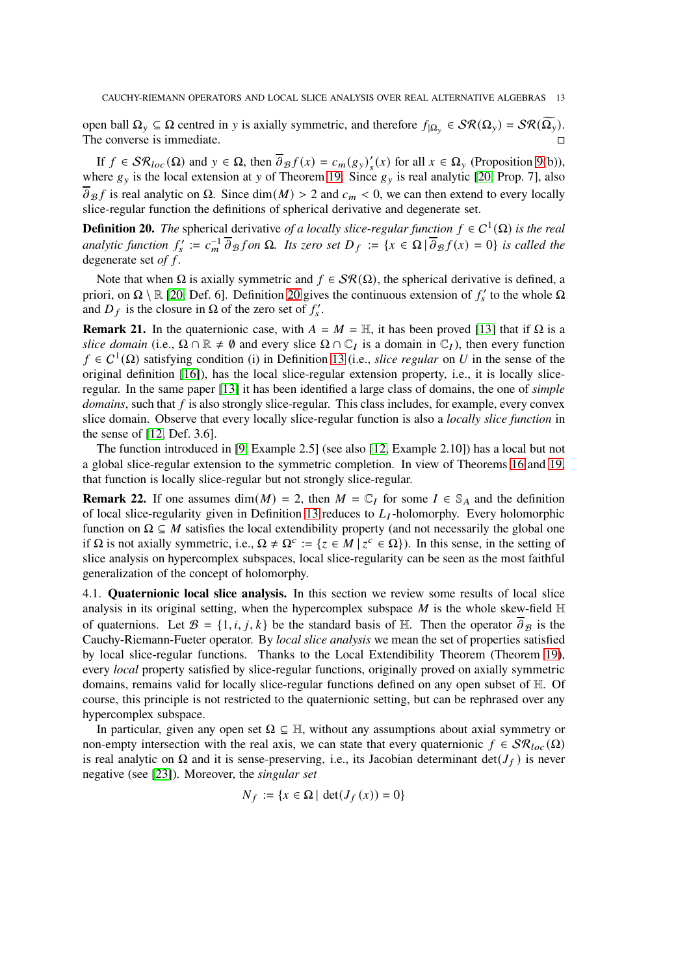open ball  $\Omega_y$  ⊆ Ω centred in y is axially symmetric, and therefore  $f_{|\Omega_y}$  ∈  $\mathcal{SR}(\Omega_y) = \mathcal{SR}(\Omega_y)$ . The converse is immediate.

If  $f \in \mathcal{SR}_{loc}(\Omega)$  and  $y \in \Omega$ , then  $\overline{\partial}_{\mathcal{B}} f(x) = c_m(g_y)'$  $'_{s}(x)$  for all  $x \in \Omega_{y}$  (Proposition [9\(](#page-7-1)b)), where  $g_y$  is the local extension at y of Theorem [19.](#page-11-0) Since  $g_y$  is real analytic [\[20,](#page-32-6) Prop. 7], also  $\overline{\partial}_{\mathcal{B}} f$  is real analytic on  $\Omega$ . Since dim(M) > 2 and  $c_m < 0$ , we can then extend to every locally slice-regular function the definitions of spherical derivative and degenerate set.

<span id="page-12-1"></span>**Definition 20.** *The* spherical derivative *of a locally slice-regular function*  $f \in C^1(\Omega)$  *is the real*  $\text{analytic function } f_s := c_m^{-1} \overline{\partial}_{\mathcal{B}} f$  on  $\Omega$ . Its zero set  $D_f := \{x \in \Omega \mid \overline{\partial}_{\mathcal{B}} f(x) = 0\}$  is called the degenerate set *of f*.

Note that when  $\Omega$  is axially symmetric and  $f \in \mathcal{SR}(\Omega)$ , the spherical derivative is defined, a priori, on  $\Omega \setminus \mathbb{R}$  [\[20,](#page-32-6) Def. 6]. Definition [20](#page-12-1) gives the continuous extension of  $f'_s$  to the whole  $\Omega$ and  $D_f$  is the closure in  $\Omega$  of the zero set of  $f'_s$ .

**Remark 21.** In the quaternionic case, with  $A = M = H$ , it has been proved [\[13\]](#page-32-17) that if  $\Omega$  is a *slice domain* (i.e.,  $\Omega \cap \mathbb{R} \neq \emptyset$  and every slice  $\Omega \cap \mathbb{C}_I$  is a domain in  $\mathbb{C}_I$ ), then every function  $f \in C^1(\Omega)$  satisfying condition (i) in Definition [13](#page-9-0) (i.e., *slice regular* on U in the sense of the original definition [\[16\]](#page-32-3)), has the local slice-regular extension property, i.e., it is locally sliceregular. In the same paper [\[13\]](#page-32-17) it has been identified a large class of domains, the one of *simple*  $domains$ , such that  $f$  is also strongly slice-regular. This class includes, for example, every convex slice domain. Observe that every locally slice-regular function is also a *locally slice function* in the sense of [\[12,](#page-32-16) Def. 3.6].

The function introduced in [\[9,](#page-32-14) Example 2.5] (see also [\[12,](#page-32-16) Example 2.10]) has a local but not a global slice-regular extension to the symmetric completion. In view of Theorems [16](#page-10-2) and [19,](#page-11-0) that function is locally slice-regular but not strongly slice-regular.

**Remark 22.** If one assumes dim( $M$ ) = 2, then  $M = \mathbb{C}<sub>I</sub>$  for some  $I \in \mathbb{S}<sub>A</sub>$  and the definition of local slice-regularity given in Definition [13](#page-9-0) reduces to  $L_I$ -holomorphy. Every holomorphic function on  $\Omega \subseteq M$  satisfies the local extendibility property (and not necessarily the global one if Ω is not axially symmetric, i.e.,  $\Omega \neq \Omega^c := \{z \in M \mid z^c \in \Omega\}$ ). In this sense, in the setting of slice analysis on hypercomplex subspaces, local slice-regularity can be seen as the most faithful generalization of the concept of holomorphy.

<span id="page-12-0"></span>4.1. **Quaternionic local slice analysis.** In this section we review some results of local slice analysis in its original setting, when the hypercomplex subspace  $M$  is the whole skew-field  $\mathbb H$ of quaternions. Let  $\mathcal{B} = \{1, i, j, k\}$  be the standard basis of H. Then the operator  $\partial \mathcal{B}$  is the Cauchy-Riemann-Fueter operator. By *local slice analysis* we mean the set of properties satisfied by local slice-regular functions. Thanks to the Local Extendibility Theorem (Theorem [19\)](#page-11-0), every *local* property satisfied by slice-regular functions, originally proved on axially symmetric domains, remains valid for locally slice-regular functions defined on any open subset of H. Of course, this principle is not restricted to the quaternionic setting, but can be rephrased over any hypercomplex subspace.

In particular, given any open set  $\Omega \subseteq \mathbb{H}$ , without any assumptions about axial symmetry or non-empty intersection with the real axis, we can state that every quaternionic  $f \in \mathcal{SR}_{loc}(\Omega)$ is real analytic on  $\Omega$  and it is sense-preserving, i.e., its Jacobian determinant det( $J_f$ ) is never negative (see [\[23\]](#page-32-18)). Moreover, the *singular set*

$$
N_f := \{x \in \Omega \mid \det(J_f(x)) = 0\}
$$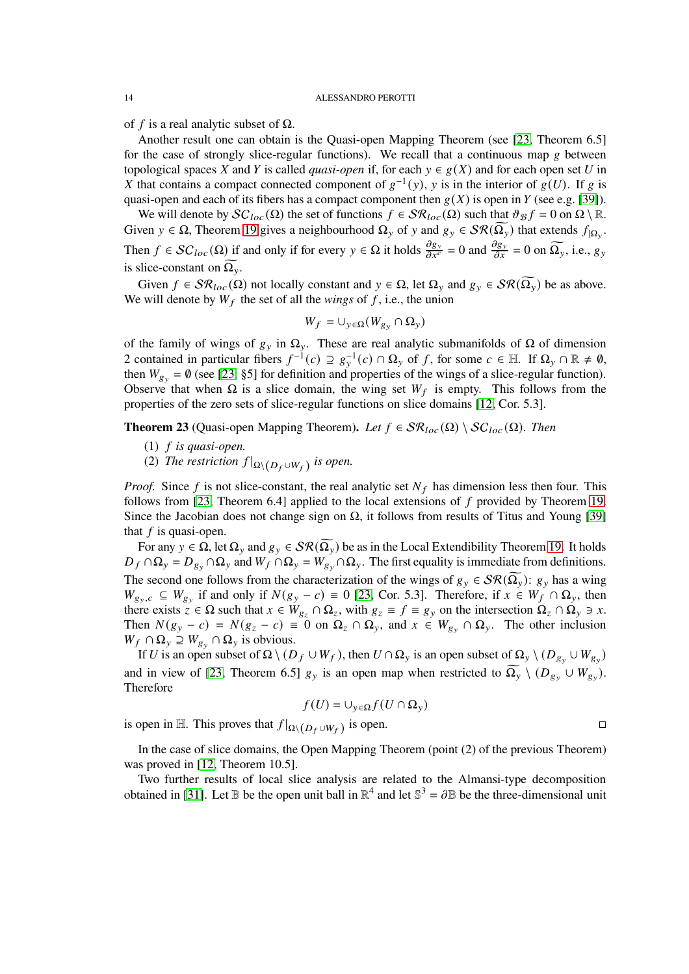of f is a real analytic subset of  $\Omega$ .

Another result one can obtain is the Quasi-open Mapping Theorem (see [\[23,](#page-32-18) Theorem 6.5] for the case of strongly slice-regular functions). We recall that a continuous map  $g$  between topological spaces X and Y is called *quasi-open* if, for each  $y \in g(X)$  and for each open set U in X that contains a compact connected component of  $g^{-1}(y)$ , y is in the interior of  $g(U)$ . If g is quasi-open and each of its fibers has a compact component then  $g(X)$  is open in Y (see e.g. [\[39\]](#page-33-6)).

We will denote by  $SC<sub>loc</sub>(\Omega)$  the set of functions  $f \in SR<sub>loc</sub>(\Omega)$  such that  $\vartheta_B f = 0$  on  $\Omega \setminus \mathbb{R}$ . Given  $y \in \Omega$ , Theorem [19](#page-11-0) gives a neighbourhood  $\Omega_y$  of y and  $g_y \in \mathcal{SR}(\Omega_y)$  that extends  $f_{|\Omega_y}$ . Then  $f \in SC_{loc}(\Omega)$  if and only if for every  $y \in \Omega$  it holds  $\frac{\partial g_y}{\partial x^c} = 0$  and  $\frac{\partial g_y}{\partial x} = 0$  on  $\Omega_y$ , i.e.,  $g_y$ is slice-constant on  $\Omega_{v}$ .

Given  $f \in \mathcal{SR}_{loc}(\Omega)$  not locally constant and  $y \in \Omega$ , let  $\Omega_y$  and  $g_y \in \mathcal{SR}(\Omega_y)$  be as above. We will denote by  $W_f$  the set of all the *wings* of  $f$ , i.e., the union

$$
W_f = \cup_{y \in \Omega} (W_{g_y} \cap \Omega_y)
$$

of the family of wings of  $g_y$  in  $\Omega_y$ . These are real analytic submanifolds of  $\Omega$  of dimension 2 contained in particular fibers  $f^{-1}(c) \supseteq g_y^{-1}(c) \cap \Omega_y$  of f, for some  $c \in \mathbb{H}$ . If  $\Omega_y \cap \mathbb{R} \neq \emptyset$ , then  $W_{g_v} = \emptyset$  (see [\[23,](#page-32-18) §5] for definition and properties of the wings of a slice-regular function). Observe that when  $\Omega$  is a slice domain, the wing set  $W_f$  is empty. This follows from the properties of the zero sets of slice-regular functions on slice domains [\[12,](#page-32-16) Cor. 5.3].

**Theorem 23** (Quasi-open Mapping Theorem). Let  $f \in \mathcal{SR}_{loc}(\Omega) \setminus \mathcal{SC}_{loc}(\Omega)$ . Then

- $(1)$  *f is quasi-open.*
- (2) *The restriction*  $f|_{\Omega \setminus (D_f \cup W_f)}$  *is open.*

*Proof.* Since  $f$  is not slice-constant, the real analytic set  $N_f$  has dimension less then four. This follows from [\[23,](#page-32-18) Theorem 6.4] applied to the local extensions of  $f$  provided by Theorem [19.](#page-11-0) Since the Jacobian does not change sign on  $\Omega$ , it follows from results of Titus and Young [\[39\]](#page-33-6) that  $f$  is quasi-open.

For any  $y \in \Omega$ , let  $\Omega_y$  and  $g_y \in \mathcal{SR}(\Omega_y)$  be as in the Local Extendibility Theorem [19.](#page-11-0) It holds  $D_f \cap \Omega_y = D_{g_y} \cap \Omega_y$  and  $W_f \cap \Omega_y = W_{g_y} \cap \Omega_y$ . The first equality is immediate from definitions. The second one follows from the characterization of the wings of  $g_y \in \mathcal{SR}(\Omega_y)$ :  $g_y$  has a wing  $W_{g_y,c} \subseteq W_{g_y}$  if and only if  $N(g_y - c) \equiv 0$  [\[23,](#page-32-18) Cor. 5.3]. Therefore, if  $x \in W_f \cap \Omega_y$ , then there exists  $\overline{z} \in \Omega$  such that  $x \in W_{g_z} \cap \Omega_z$ , with  $g_z \equiv f \equiv g_y$  on the intersection  $\Omega_z \cap \Omega_y \ni x$ . Then  $N(g_y - c) = N(g_z - c) = 0$  on  $\Omega_z \cap \Omega_y$ , and  $x \in W_{g_y} \cap \Omega_y$ . The other inclusion  $W_f \cap \Omega_v \supseteq W_{g_v} \cap \Omega_v$  is obvious.

If U is an open subset of  $\Omega \setminus (D_f \cup W_f)$ , then  $U \cap \Omega_y$  is an open subset of  $\Omega_y \setminus (D_{g_y} \cup W_{g_y})$ and in view of [\[23,](#page-32-18) Theorem 6.5]  $g_y$  is an open map when restricted to  $\Omega_y \setminus (D_{g_y} \cup W_{g_y})$ . Therefore

$$
f(U) = \cup_{y \in \Omega} f(U \cap \Omega_y)
$$

is open in H. This proves that  $f|_{\Omega \setminus (D_f \cup W_f)}$  is open.

In the case of slice domains, the Open Mapping Theorem (point (2) of the previous Theorem) was proved in [\[12,](#page-32-16) Theorem 10.5].

Two further results of local slice analysis are related to the Almansi-type decomposition obtained in [\[31\]](#page-33-4). Let B be the open unit ball in  $\mathbb{R}^4$  and let  $\mathbb{S}^3 = \partial \mathbb{B}$  be the three-dimensional unit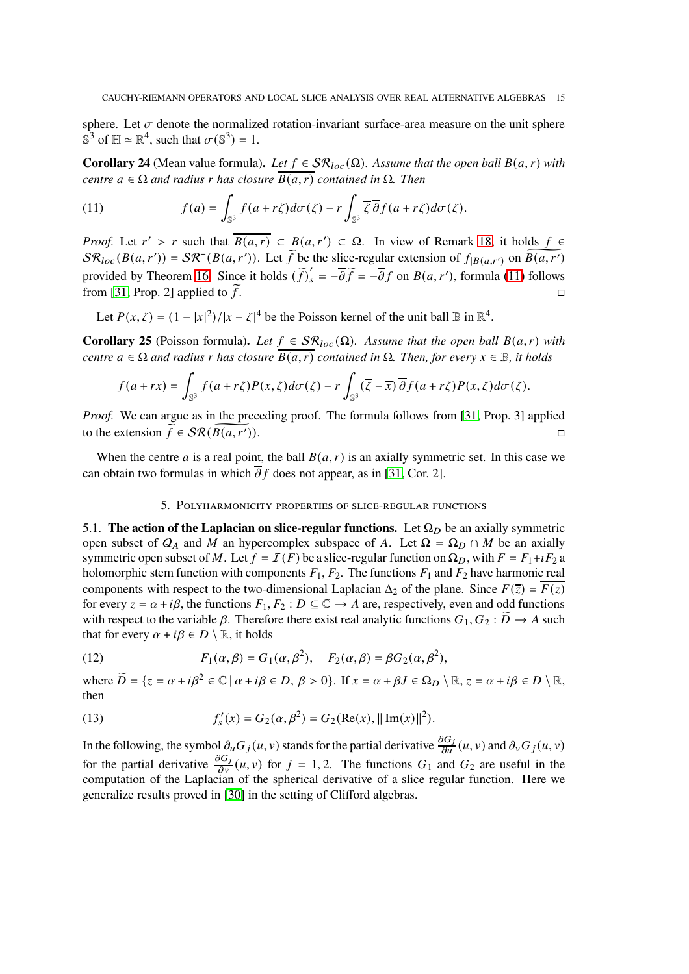sphere. Let  $\sigma$  denote the normalized rotation-invariant surface-area measure on the unit sphere  $\mathbb{S}^3$  of  $\mathbb{H} \simeq \mathbb{R}^4$ , such that  $\sigma(\mathbb{S}^3) = 1$ .

**Corollary 24** (Mean value formula). Let  $f \in \mathcal{SR}_{loc}(\Omega)$ . Assume that the open ball  $B(a, r)$  with *centre*  $a \in \Omega$  *and radius r has closure*  $\overline{B(a,r)}$  *contained in*  $\Omega$ *. Then* 

<span id="page-14-1"></span>(11) 
$$
f(a) = \int_{\mathbb{S}^3} f(a+r\zeta) d\sigma(\zeta) - r \int_{\mathbb{S}^3} \overline{\zeta} \, \overline{\partial} f(a+r\zeta) d\sigma(\zeta).
$$

*Proof.* Let  $r' > r$  such that  $\overline{B(a,r)} \subset B(a,r') \subset \Omega$ . In view of Remark [18,](#page-11-1) it holds  $f \in$  $\mathcal{SR}_{loc}(B(a,r')) = \mathcal{SR}^+(B(a,r'))$ . Let  $\widetilde{f}$  be the slice-regular extension of  $f_{|B(a,r')}$  on  $\widetilde{B(a,r')}$ provided by Theorem [16.](#page-10-2) Since it holds  $(\tilde{f})'_{s} = -\overline{\partial} \tilde{f} = -\overline{\partial} f$  on  $B(a, r')$ , formula [\(11\)](#page-14-1) follows from [\[31,](#page-33-4) Prop. 2] applied to  $\tilde{f}$ .

Let  $P(x, \zeta) = (1 - |x|^2)/|x - \zeta|^4$  be the Poisson kernel of the unit ball  $\mathbb B$  in  $\mathbb R^4$ .

**Corollary 25** (Poisson formula). Let  $f \in \mathcal{SR}_{loc}(\Omega)$ . Assume that the open ball  $B(a, r)$  with *centre*  $a \in \Omega$  *and radius r has closure*  $\overline{B(a,r)}$  *contained in*  $\Omega$ *. Then, for every*  $x \in \mathbb{B}$ *, it holds* 

$$
f(a+rx) = \int_{\mathbb{S}^3} f(a+r\zeta)P(x,\zeta)d\sigma(\zeta) - r \int_{\mathbb{S}^3} (\overline{\zeta}-\overline{x}) \overline{\partial} f(a+r\zeta)P(x,\zeta)d\sigma(\zeta).
$$

*Proof.* We can argue as in the preceding proof. The formula follows from [\[31,](#page-33-4) Prop. 3] applied to the extension  $\widetilde{f} \in \mathcal{SR}(B(a,r'))$ .  $\Box$ ).

<span id="page-14-0"></span>When the centre *a* is a real point, the ball  $B(a, r)$  is an axially symmetric set. In this case we can obtain two formulas in which  $\overline{\partial} f$  does not appear, as in [\[31,](#page-33-4) Cor. 2].

## 5. Polyharmonicity properties of slice-regular functions

5.1. **The action of the Laplacian on slice-regular functions.** Let  $\Omega_D$  be an axially symmetric open subset of  $Q_A$  and M an hypercomplex subspace of A. Let  $\Omega = \Omega_D \cap M$  be an axially symmetric open subset of M. Let  $f = I(F)$  be a slice-regular function on  $\Omega_D$ , with  $F = F_1 + iF_2$  a holomorphic stem function with components  $F_1, F_2$ . The functions  $F_1$  and  $F_2$  have harmonic real components with respect to the two-dimensional Laplacian  $\Delta_2$  of the plane. Since  $F(\overline{z}) = \overline{F(z)}$ for every  $z = \alpha + i\beta$ , the functions  $F_1, F_2 : D \subseteq \mathbb{C} \rightarrow A$  are, respectively, even and odd functions with respect to the variable  $\beta$ . Therefore there exist real analytic functions  $G_1, G_2 : \widetilde{D} \to A$  such that for every  $\alpha + i\beta \in D \setminus \mathbb{R}$ , it holds

<span id="page-14-3"></span>(12) 
$$
F_1(\alpha, \beta) = G_1(\alpha, \beta^2), \quad F_2(\alpha, \beta) = \beta G_2(\alpha, \beta^2),
$$

where  $\widetilde{D} = \{z = \alpha + i\beta^2 \in \mathbb{C} \mid \alpha + i\beta \in D, \beta > 0\}$ . If  $x = \alpha + \beta J \in \Omega_D \setminus \mathbb{R}, z = \alpha + i\beta \in D \setminus \mathbb{R}$ , then

<span id="page-14-2"></span>(13) 
$$
f'_{s}(x) = G_{2}(\alpha, \beta^{2}) = G_{2}(\text{Re}(x), ||\text{Im}(x)||^{2}).
$$

In the following, the symbol  $\partial_u G_j(u, v)$  stands for the partial derivative  $\frac{\partial G_j}{\partial u}(u, v)$  and  $\partial_v G_j(u, v)$ for the partial derivative  $\frac{\partial G_j}{\partial v}(u, v)$  for  $j = 1, 2$ . The functions  $G_1$  and  $G_2$  are useful in the computation of the Laplacian of the spherical derivative of a slice regular function. Here we generalize results proved in [\[30\]](#page-33-3) in the setting of Clifford algebras.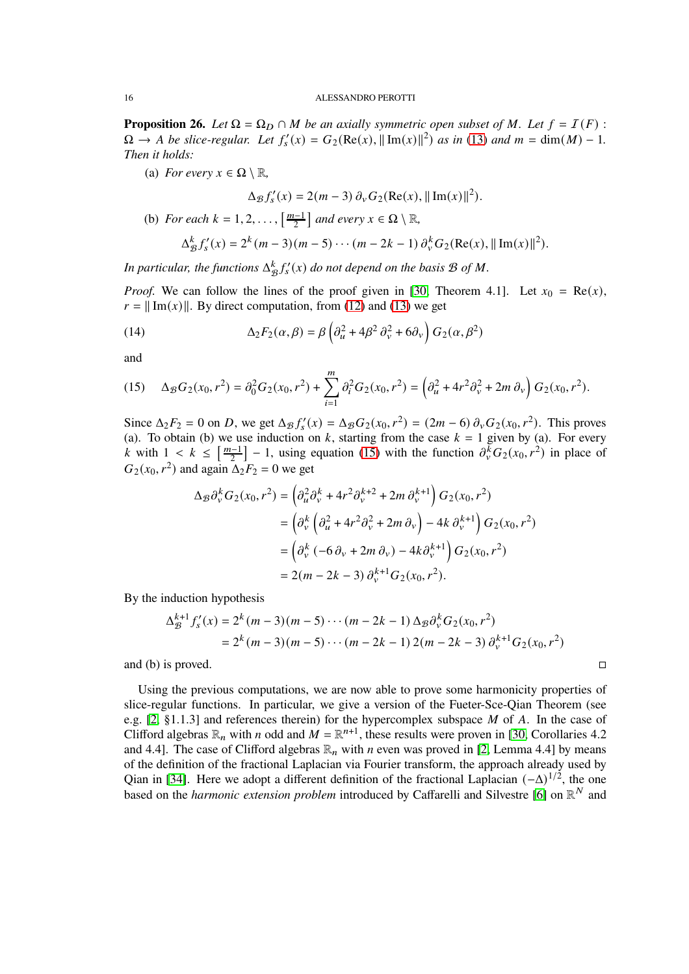<span id="page-15-1"></span>**Proposition 26.** *Let*  $\Omega = \Omega_D \cap M$  *be an axially symmetric open subset of* M. Let  $f = I(F)$ :  $\Omega \to A$  *be slice-regular. Let*  $f'_s(x) = G_2(\text{Re}(x), ||\text{Im}(x)||^2)$  *as in* [\(13\)](#page-14-2) *and*  $m = \text{dim}(M) - 1$ *. Then it holds:*

(a) *For every*  $x \in \Omega \setminus \mathbb{R}$ ,

$$
\Delta_{\mathcal{B}} f_s'(x) = 2(m-3) \, \partial_v G_2(\text{Re}(x), ||\, \text{Im}(x)||^2).
$$

(b) *For each*  $k = 1, 2, ..., \left[\frac{m-1}{2}\right]$  *and every*  $x \in \Omega \setminus \mathbb{R}$ ,

<span id="page-15-2"></span>
$$
\Delta_{\mathcal{B}}^{k} f'_{s}(x) = 2^{k} (m-3) (m-5) \cdots (m-2k-1) \partial_{v}^{k} G_{2}(\text{Re}(x), ||\text{Im}(x)||^{2}).
$$

In particular, the functions  $\Delta^k_{\mathcal{B}} f'_s(x)$  do not depend on the basis  $\mathcal B$  of M.

*Proof.* We can follow the lines of the proof given in [\[30,](#page-33-3) Theorem 4.1]. Let  $x_0 = \text{Re}(x)$ ,  $r = ||Im(x)||$ . By direct computation, from [\(12\)](#page-14-3) and [\(13\)](#page-14-2) we get

(14) 
$$
\Delta_2 F_2(\alpha, \beta) = \beta \left( \partial_u^2 + 4\beta^2 \partial_v^2 + 6\partial_v \right) G_2(\alpha, \beta^2)
$$

and

<span id="page-15-0"></span>(15) 
$$
\Delta_{\mathcal{B}}G_2(x_0,r^2) = \partial_0^2 G_2(x_0,r^2) + \sum_{i=1}^m \partial_i^2 G_2(x_0,r^2) = \left(\partial_u^2 + 4r^2 \partial_v^2 + 2m \partial_v\right) G_2(x_0,r^2).
$$

Since  $\Delta_2 F_2 = 0$  on D, we get  $\Delta_{\mathcal{B}} f'_s(x) = \Delta_{\mathcal{B}} G_2(x_0, r^2) = (2m - 6) \partial_v G_2(x_0, r^2)$ . This proves (a). To obtain (b) we use induction on k, starting from the case  $k = 1$  given by (a). For every k with  $1 < k \leq \left[\frac{m-1}{2}\right] - 1$ , using equation [\(15\)](#page-15-0) with the function  $\partial_{\nu}^{\bar{k}} G_2(x_0, r^2)$  in place of  $G_2(x_0, r^2)$  and again  $\Delta_2 F_2 = 0$  we get

$$
\Delta_{\mathcal{B}} \partial_{\nu}^{k} G_{2}(x_{0}, r^{2}) = \left( \partial_{u}^{2} \partial_{\nu}^{k} + 4r^{2} \partial_{\nu}^{k+2} + 2m \partial_{\nu}^{k+1} \right) G_{2}(x_{0}, r^{2})
$$
  
=  $\left( \partial_{\nu}^{k} \left( \partial_{u}^{2} + 4r^{2} \partial_{\nu}^{2} + 2m \partial_{\nu} \right) - 4k \partial_{\nu}^{k+1} \right) G_{2}(x_{0}, r^{2})$   
=  $\left( \partial_{\nu}^{k} \left( -6 \partial_{\nu} + 2m \partial_{\nu} \right) - 4k \partial_{\nu}^{k+1} \right) G_{2}(x_{0}, r^{2})$   
=  $2(m - 2k - 3) \partial_{\nu}^{k+1} G_{2}(x_{0}, r^{2}).$ 

By the induction hypothesis

$$
\Delta_{\mathcal{B}}^{k+1} f_s'(x) = 2^k (m-3)(m-5) \cdots (m-2k-1) \Delta_{\mathcal{B}} \partial_{\nu}^k G_2(x_0, r^2)
$$
  
= 2<sup>k</sup> (m-3)(m-5) \cdots (m-2k-1) 2(m-2k-3) \partial\_{\nu}^{k+1} G\_2(x\_0, r^2)

and (b) is proved.  $\square$ 

Using the previous computations, we are now able to prove some harmonicity properties of slice-regular functions. In particular, we give a version of the Fueter-Sce-Qian Theorem (see e.g.  $[2, §1.1.3]$  and references therein) for the hypercomplex subspace M of A. In the case of Clifford algebras  $\mathbb{R}_n$  with *n* odd and  $M = \mathbb{R}^{n+1}$ , these results were proven in [\[30,](#page-33-3) Corollaries 4.2] and 4.4]. The case of Clifford algebras  $\mathbb{R}_n$  with *n* even was proved in [\[2,](#page-32-19) Lemma 4.4] by means of the definition of the fractional Laplacian via Fourier transform, the approach already used by Qian in [\[34\]](#page-33-7). Here we adopt a different definition of the fractional Laplacian  $(-\Delta)^{1/2}$ , the one based on the *harmonic extension problem* introduced by Caffarelli and Silvestre [\[6\]](#page-32-20) on  $\mathbb{R}^N$  and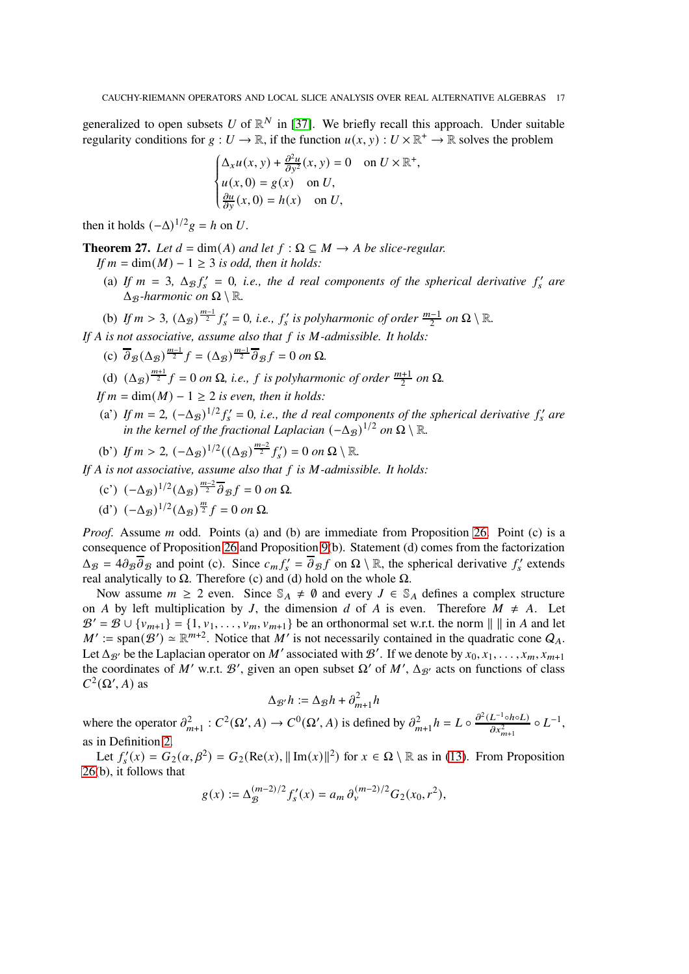generalized to open subsets U of  $\mathbb{R}^N$  in [\[37\]](#page-33-8). We briefly recall this approach. Under suitable regularity conditions for  $g: U \to \mathbb{R}$ , if the function  $u(x, y): U \times \mathbb{R}^+ \to \mathbb{R}$  solves the problem

$$
\begin{cases} \Delta_x u(x, y) + \frac{\partial^2 u}{\partial y^2}(x, y) = 0 & \text{on } U \times \mathbb{R}^+, \\ u(x, 0) = g(x) & \text{on } U, \\ \frac{\partial u}{\partial y}(x, 0) = h(x) & \text{on } U, \end{cases}
$$

then it holds  $(-\Delta)^{1/2}g = h$  on U.

<span id="page-16-0"></span>**Theorem 27.** *Let*  $d = \dim(A)$  *and let*  $f : \Omega \subseteq M \rightarrow A$  *be slice-regular.* 

*If*  $m = \dim(M) - 1 \geq 3$  *is odd, then it holds:* 

- (a) If  $m = 3$ ,  $\Delta_{\mathcal{B}} f'_s = 0$ , *i.e.*, the *d* real components of the spherical derivative  $f'_s$  are  $\Delta$ <sub>*B</sub>*-harmonic on  $\Omega \setminus \mathbb{R}$ .</sub>
- (b) If  $m > 3$ ,  $(\Delta_{\mathcal{B}})^{\frac{m-1}{2}} f'_{s} = 0$ , *i.e.*,  $f'_{s}$  is polyharmonic of order  $\frac{m-1}{2}$  on  $\Omega \setminus \mathbb{R}$ .

*If A is not associative, assume also that f is M*-*admissible. It holds:* 

- (c)  $\overline{\partial}_{\mathcal{B}}(\Delta_{\mathcal{B}})^{\frac{m-1}{2}}f = (\Delta_{\mathcal{B}})^{\frac{m-1}{2}}\overline{\partial}_{\mathcal{B}}f = 0$  on  $\Omega$ .
- (d)  $(\Delta_{\mathcal{B}})^{\frac{m+1}{2}}f = 0$  *on*  $\Omega$ *, i.e., f is polyharmonic of order*  $\frac{m+1}{2}$  *on*  $\Omega$ *.*
- *If*  $m = \dim(M) 1 \geq 2$  *is even, then it holds:*
- (a') If  $m = 2$ ,  $(-\Delta_B)^{1/2} f_s' = 0$ , *i.e.*, the *d* real components of the spherical derivative  $f_s'$  are in the kernel of the fractional Laplacian  $(-\Delta_{\mathcal{B}})^{1/2}$  on  $\Omega \setminus \mathbb{R}$ .

(b') If 
$$
m > 2
$$
,  $(-\Delta_{\mathcal{B}})^{1/2}((\Delta_{\mathcal{B}})^{\frac{m-2}{2}}f'_{s}) = 0$  on  $\Omega \setminus \mathbb{R}$ .

*If* A is not associative, assume also that f is M-admissible. It holds:

(c') 
$$
(-\Delta_{\mathcal{B}})^{1/2} (\Delta_{\mathcal{B}})^{\frac{m-2}{2}} \overline{\partial}_{\mathcal{B}} f = 0
$$
 on  $\Omega$ .

(d')  $(-\Delta_{\mathcal{B}})^{1/2}(\Delta_{\mathcal{B}})^{\frac{m}{2}}f = 0$  on  $\Omega$ .

*Proof.* Assume *m* odd. Points (a) and (b) are immediate from Proposition [26.](#page-15-1) Point (c) is a consequence of Proposition [26](#page-15-1) and Proposition [9\(](#page-7-1)b). Statement (d) comes from the factorization  $\Delta_{\mathcal{B}} = 4\partial_{\mathcal{B}}\overline{\partial}_{\mathcal{B}}$  and point (c). Since  $c_m f'_{s} = \overline{\partial}_{\mathcal{B}} f$  on  $\Omega \setminus \mathbb{R}$ , the spherical derivative  $f'_{s}$  extends real analytically to  $Ω$ . Therefore (c) and (d) hold on the whole  $Ω$ .

Now assume  $m \ge 2$  even. Since  $\mathbb{S}_A \neq \emptyset$  and every  $J \in \mathbb{S}_A$  defines a complex structure on A by left multiplication by J, the dimension d of A is even. Therefore  $M \neq A$ . Let  $\mathcal{B}' = \mathcal{B} \cup \{v_{m+1}\} = \{1, v_1, \ldots, v_m, v_{m+1}\}\$  be an orthonormal set w.r.t. the norm  $\| \cdot \|$  in A and let  $M' := \text{span}(\mathcal{B}') \simeq \mathbb{R}^{m+2}$ . Notice that M' is not necessarily contained in the quadratic cone  $Q_A$ . Let  $\Delta_{\mathcal{B}'}$  be the Laplacian operator on M' associated with  $\mathcal{B}'$ . If we denote by  $x_0, x_1, \ldots, x_m, x_{m+1}$ the coordinates of M' w.r.t.  $\mathcal{B}'$ , given an open subset  $\Omega'$  of M',  $\Delta_{\mathcal{B}'}$  acts on functions of class  $C^2(\Omega', A)$  as

$$
\Delta_{\mathcal{B}'}h:=\Delta_{\mathcal{B}}h+\partial_{m+1}^2h
$$

where the operator  $\partial_{m+1}^2$ :  $C^2(\Omega', A) \to C^0(\Omega', A)$  is defined by  $\partial_{m+1}^2 h = L \circ \frac{\partial^2 (L^{-1} \circ h \circ L)}{\partial x^2}$  $rac{L^{-1} \circ h \circ L}{\partial x_{m+1}^2} \circ L^{-1},$ as in Definition [2.](#page-5-0)

Let  $f'_s(x) = G_2(\alpha, \beta^2) = G_2(\text{Re}(x), ||\text{Im}(x)||^2)$  for  $x \in \Omega \setminus \mathbb{R}$  as in [\(13\)](#page-14-2). From Proposition [26\(](#page-15-1)b), it follows that

$$
g(x) := \Delta_{\mathcal{B}}^{(m-2)/2} f'_{s}(x) = a_m \, \partial_{v}^{(m-2)/2} G_2(x_0, r^2),
$$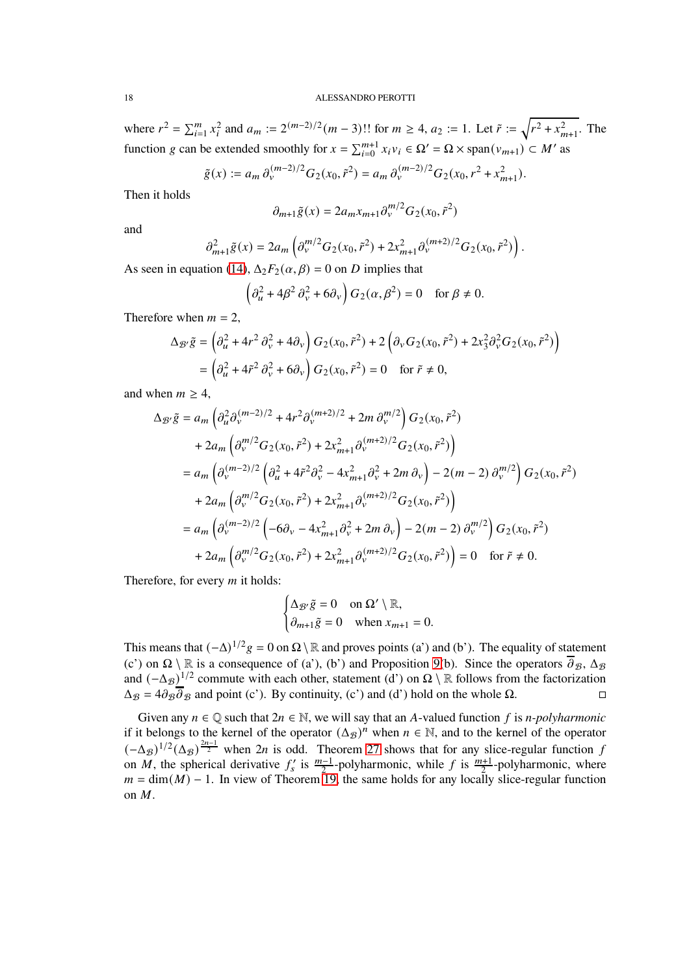where  $r^2 = \sum_{i=1}^m x_i^2$  and  $a_m := 2^{(m-2)/2} (m-3)!!$  for  $m \ge 4$ ,  $a_2 := 1$ . Let  $\tilde{r} := \sqrt{r^2 + x_{m+1}^2}$ . The function g can be extended smoothly for  $x = \sum_{i=0}^{m+1} x_i v_i \in \Omega' = \Omega \times \text{span}(v_{m+1}) \subset M'$  as

$$
\tilde{g}(x) := a_m \, \partial_v^{(m-2)/2} G_2(x_0, \tilde{r}^2) = a_m \, \partial_v^{(m-2)/2} G_2(x_0, r^2 + x_{m+1}^2).
$$

Then it holds

$$
\partial_{m+1}\tilde{g}(x) = 2a_m x_{m+1} \partial_v^{m/2} G_2(x_0, \tilde{r}^2)
$$

and

$$
\partial_{m+1}^2 \tilde{g}(x) = 2a_m \left( \partial_v^{m/2} G_2(x_0, \tilde{r}^2) + 2x_{m+1}^2 \partial_v^{(m+2)/2} G_2(x_0, \tilde{r}^2) \right).
$$

As seen in equation [\(14\)](#page-15-2),  $\Delta_2 F_2(\alpha, \beta) = 0$  on D implies that

$$
\left(\partial_u^2 + 4\beta^2 \partial_v^2 + 6\partial_v\right) G_2(\alpha, \beta^2) = 0 \quad \text{for } \beta \neq 0.
$$

Therefore when  $m = 2$ ,

$$
\Delta_{\mathcal{B}'}\tilde{g} = \left(\partial_{u}^{2} + 4r^{2} \partial_{v}^{2} + 4\partial_{v}\right) G_{2}(x_{0}, \tilde{r}^{2}) + 2\left(\partial_{v} G_{2}(x_{0}, \tilde{r}^{2}) + 2x_{3}^{2} \partial_{v}^{2} G_{2}(x_{0}, \tilde{r}^{2})\right)
$$

$$
= \left(\partial_{u}^{2} + 4\tilde{r}^{2} \partial_{v}^{2} + 6\partial_{v}\right) G_{2}(x_{0}, \tilde{r}^{2}) = 0 \quad \text{for } \tilde{r} \neq 0,
$$

and when  $m \geq 4$ ,

$$
\Delta_{\mathcal{B}'}\tilde{g} = a_m \left( \partial_u^2 \partial_v^{(m-2)/2} + 4r^2 \partial_v^{(m+2)/2} + 2m \partial_v^{m/2} \right) G_2(x_0, \tilde{r}^2)
$$
  
+ 
$$
2a_m \left( \partial_v^{m/2} G_2(x_0, \tilde{r}^2) + 2x_{m+1}^2 \partial_v^{(m+2)/2} G_2(x_0, \tilde{r}^2) \right)
$$
  
= 
$$
a_m \left( \partial_v^{(m-2)/2} \left( \partial_u^2 + 4\tilde{r}^2 \partial_v^2 - 4x_{m+1}^2 \partial_v^2 + 2m \partial_v \right) - 2(m-2) \partial_v^{m/2} \right) G_2(x_0, \tilde{r}^2)
$$
  
+ 
$$
2a_m \left( \partial_v^{m/2} G_2(x_0, \tilde{r}^2) + 2x_{m+1}^2 \partial_v^{(m+2)/2} G_2(x_0, \tilde{r}^2) \right)
$$
  
= 
$$
a_m \left( \partial_v^{(m-2)/2} \left( -6 \partial_v - 4x_{m+1}^2 \partial_v^2 + 2m \partial_v \right) - 2(m-2) \partial_v^{m/2} \right) G_2(x_0, \tilde{r}^2)
$$
  
+ 
$$
2a_m \left( \partial_v^{m/2} G_2(x_0, \tilde{r}^2) + 2x_{m+1}^2 \partial_v^{(m+2)/2} G_2(x_0, \tilde{r}^2) \right) = 0 \quad \text{for } \tilde{r} \neq 0.
$$

Therefore, for every  $m$  it holds:

$$
\begin{cases} \Delta_{\mathcal{B}'}\tilde{g} = 0 & \text{on } \Omega' \setminus \mathbb{R}, \\ \partial_{m+1}\tilde{g} = 0 & \text{when } x_{m+1} = 0. \end{cases}
$$

This means that  $(-\Delta)^{1/2}g = 0$  on  $\Omega \setminus \mathbb{R}$  and proves points (a') and (b'). The equality of statement (c') on  $\Omega \setminus \mathbb{R}$  is a consequence of (a'), (b') and Proposition [9\(](#page-7-1)b). Since the operators  $\overline{\partial}_B$ ,  $\Delta_B$ and  $(-\Delta_{\mathcal{B}})^{1/2}$  commute with each other, statement (d') on  $\Omega \setminus \mathbb{R}$  follows from the factorization  $\Delta_{\mathcal{B}} = 4\partial_{\mathcal{B}}\overline{\partial}_{\mathcal{B}}$  and point (c'). By continuity, (c') and (d') hold on the whole  $\Omega$ .

Given any  $n \in \mathbb{Q}$  such that  $2n \in \mathbb{N}$ , we will say that an A-valued function f is *n-polyharmonic* if it belongs to the kernel of the operator  $(\Delta_{\mathcal{B}})^n$  when  $n \in \mathbb{N}$ , and to the kernel of the operator  $(-\Delta_{\mathcal{B}})^{1/2}(\Delta_{\mathcal{B}})^{2n-1}$  when 2n is odd. Theorem [27](#page-16-0) shows that for any slice-regular function f on *M*, the spherical derivative  $f'_s$  is  $\frac{m-1}{2}$ -polyharmonic, while f is  $\frac{m+1}{2}$ -polyharmonic, where  $m = \dim(M) - 1$ . In view of Theorem [19,](#page-11-0) the same holds for any locally slice-regular function on M.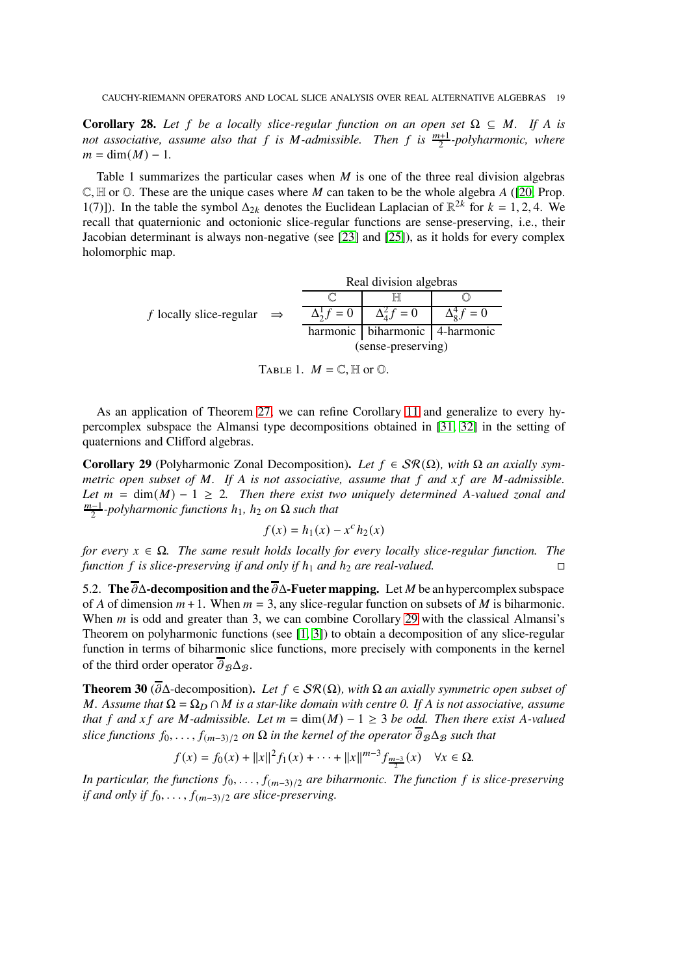**Corollary 28.** Let f be a locally slice-regular function on an open set  $\Omega \subseteq M$ . If A is *not associative, assume also that*  $f$  *is M-admissible. Then*  $f$  *is*  $\frac{m+1}{2}$ -polyharmonic, where  $m = \dim(M) - 1.$ 

Table 1 summarizes the particular cases when  $M$  is one of the three real division algebras  $\mathbb{C}, \mathbb{H}$  or  $\mathbb{O}$ . These are the unique cases where M can taken to be the whole algebra A ([\[20,](#page-32-6) Prop. 1(7)]). In the table the symbol  $\Delta_{2k}$  denotes the Euclidean Laplacian of  $\mathbb{R}^{2k}$  for  $k = 1, 2, 4$ . We recall that quaternionic and octonionic slice-regular functions are sense-preserving, i.e., their Jacobian determinant is always non-negative (see [\[23\]](#page-32-18) and [\[25\]](#page-32-21)), as it holds for every complex holomorphic map.

|                                       |  | Real division algebras |                                    |                          |
|---------------------------------------|--|------------------------|------------------------------------|--------------------------|
| f locally slice-regular $\Rightarrow$ |  |                        |                                    |                          |
|                                       |  | $\Delta_2^1 f = 0$     | $\Delta_4^2 f = 0$                 | $\Delta_{\rm o}^4 f = 0$ |
|                                       |  |                        | harmonic   biharmonic   4-harmonic |                          |
|                                       |  | (sense-preserving)     |                                    |                          |

TABLE 1.  $M = \mathbb{C}$ , H or  $\mathbb{O}$ .

As an application of Theorem [27,](#page-16-0) we can refine Corollary [11](#page-9-2) and generalize to every hypercomplex subspace the Almansi type decompositions obtained in [\[31,](#page-33-4) [32\]](#page-33-5) in the setting of quaternions and Clifford algebras.

<span id="page-18-1"></span>**Corollary 29** (Polyharmonic Zonal Decomposition). Let  $f \in \mathcal{SR}(\Omega)$ , with  $\Omega$  an axially sym*metric open subset of M. If A is not associative, assume that f and xf are M-admissible. Let*  $m = \dim(M) - 1 \ge 2$ *. Then there exist two uniquely determined A-valued zonal and*  $\frac{m-1}{2}$ -polyharmonic functions h<sub>1</sub>, h<sub>2</sub> on Ω such that

$$
f(x) = h_1(x) - x^c h_2(x)
$$

*for every*  $x \in \Omega$ . The same result holds locally for every locally slice-regular function. The *function*  $f$  *is slice-preserving if and only if*  $h_1$  *and*  $h_2$  *are real-valued.* 

5.2. **The**  $\overline{\partial}$ Δ**-decomposition and the**  $\overline{\partial}$ Δ**-Fueter mapping.** Let *M* be an hypercomplex subspace of A of dimension  $m+1$ . When  $m=3$ , any slice-regular function on subsets of M is biharmonic. When  *is odd and greater than 3, we can combine Corollary [29](#page-18-1) with the classical Almansi's* Theorem on polyharmonic functions (see [\[1,](#page-32-22) [3\]](#page-32-23)) to obtain a decomposition of any slice-regular function in terms of biharmonic slice functions, more precisely with components in the kernel of the third order operator  $\overline{\partial}_{\mathcal{B}} \Delta_{\mathcal{B}}$ .

<span id="page-18-0"></span>**Theorem 30** ( $\overline{\partial}$ Δ-decomposition). Let  $f \in \mathcal{SR}(\Omega)$ , with  $\Omega$  an axially symmetric open subset of M. Assume that  $\Omega = \Omega_D \cap M$  is a star-like domain with centre 0. If A is not associative, assume *that*  $f$  *and*  $xf$  *are*  $M$ -*admissible. Let*  $m = \dim(M) - 1 \geq 3$  *be odd. Then there exist* A-*valued slice functions*  $f_0, \ldots, f_{(m-3)/2}$  *on*  $\Omega$  *in the kernel of the operator*  $\overline{\partial}_B \Delta_B$  *such that* 

$$
f(x) = f_0(x) + ||x||^2 f_1(x) + \dots + ||x||^{m-3} f_{\frac{m-3}{2}}(x) \quad \forall x \in \Omega.
$$

*In particular, the functions*  $f_0, \ldots, f_{(m-3)/2}$  *are biharmonic. The function*  $f$  *is slice-preserving if and only if*  $f_0, \ldots, f_{(m-3)/2}$  *are slice-preserving.*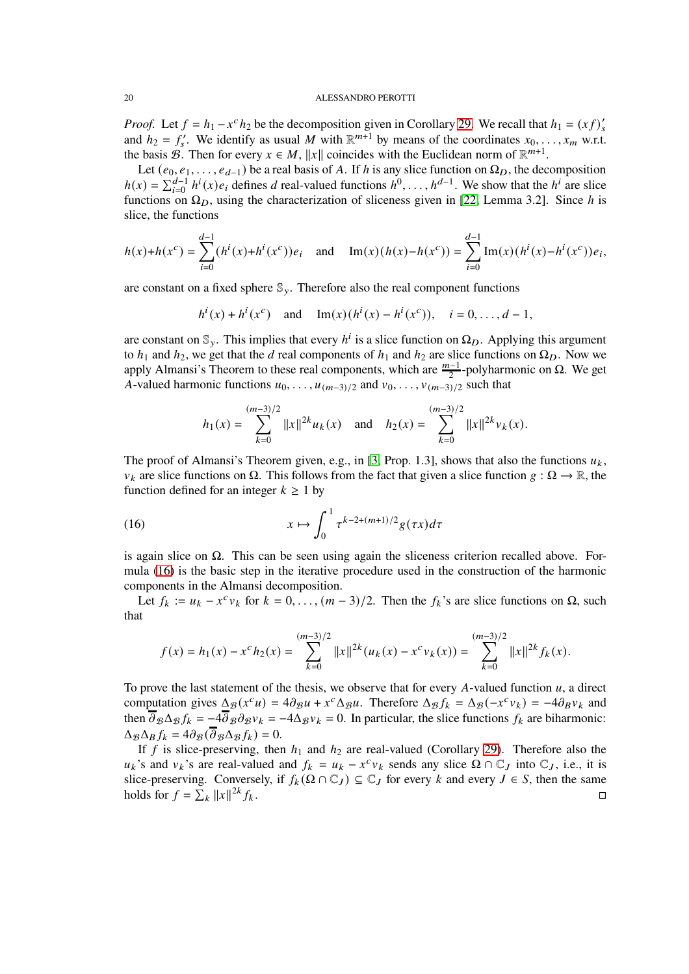*Proof.* Let  $f = h_1 - x^c h_2$  be the decomposition given in Corollary [29.](#page-18-1) We recall that  $h_1 = (xf)'_s$ and  $h_2 = f'_s$ . We identify as usual M with  $\mathbb{R}^{m+1}$  by means of the coordinates  $x_0, \ldots, x_m$  w.r.t. the basis B. Then for every  $x \in M$ ,  $||x||$  coincides with the Euclidean norm of  $\mathbb{R}^{m+1}$ .

Let  $(e_0, e_1, \ldots, e_{d-1})$  be a real basis of A. If h is any slice function on  $\Omega_D$ , the decomposition  $h(x) = \sum_{i=0}^{d-1} h^i(x) e_i$  defines d real-valued functions  $h^0, \ldots, h^{d-1}$ . We show that the  $h^i$  are slice functions on  $\Omega_D$ , using the characterization of sliceness given in [\[22,](#page-32-11) Lemma 3.2]. Since h is slice, the functions

$$
h(x) + h(x^{c}) = \sum_{i=0}^{d-1} (h^{i}(x) + h^{i}(x^{c}))e_{i} \text{ and } \text{Im}(x)(h(x) - h(x^{c})) = \sum_{i=0}^{d-1} \text{Im}(x)(h^{i}(x) - h^{i}(x^{c}))e_{i},
$$

are constant on a fixed sphere  $\mathbb{S}_{v}$ . Therefore also the real component functions

$$
h^{i}(x) + h^{i}(x^{c})
$$
 and  $Im(x)(h^{i}(x) - h^{i}(x^{c}))$ ,  $i = 0, ..., d - 1$ ,

are constant on  $\mathbb{S}_y$ . This implies that every  $h^i$  is a slice function on  $\Omega_D$ . Applying this argument to  $h_1$  and  $h_2$ , we get that the d real components of  $h_1$  and  $h_2$  are slice functions on  $\Omega_D$ . Now we apply Almansi's Theorem to these real components, which are  $\frac{m-1}{2}$ -polyharmonic on Ω. We get A-valued harmonic functions  $u_0, \ldots, u_{(m-3)/2}$  and  $v_0, \ldots, v_{(m-3)/2}$  such that

<span id="page-19-0"></span>
$$
h_1(x) = \sum_{k=0}^{(m-3)/2} ||x||^{2k} u_k(x) \text{ and } h_2(x) = \sum_{k=0}^{(m-3)/2} ||x||^{2k} v_k(x).
$$

The proof of Almansi's Theorem given, e.g., in [\[3,](#page-32-23) Prop. 1.3], shows that also the functions  $u_k$ ,  $v_k$  are slice functions on  $\Omega$ . This follows from the fact that given a slice function  $g : \Omega \to \mathbb{R}$ , the function defined for an integer  $k \geq 1$  by

(16) 
$$
x \mapsto \int_0^1 \tau^{k-2+(m+1)/2} g(\tau x) d\tau
$$

is again slice on  $Ω$ . This can be seen using again the sliceness criterion recalled above. Formula [\(16\)](#page-19-0) is the basic step in the iterative procedure used in the construction of the harmonic components in the Almansi decomposition.

Let  $f_k := u_k - x^c v_k$  for  $k = 0, ..., (m-3)/2$ . Then the  $f_k$ 's are slice functions on  $\Omega$ , such that

$$
f(x) = h_1(x) - x^c h_2(x) = \sum_{k=0}^{(m-3)/2} ||x||^{2k} (u_k(x) - x^c v_k(x)) = \sum_{k=0}^{(m-3)/2} ||x||^{2k} f_k(x).
$$

To prove the last statement of the thesis, we observe that for every A-valued function  $u$ , a direct computation gives  $\Delta_{\mathcal{B}} (x^c u) = 4 \partial_{\mathcal{B}} u + x^c \Delta_{\mathcal{B}} u$ . Therefore  $\Delta_{\mathcal{B}} f_k = \Delta_{\mathcal{B}} (-x^c v_k) = -4 \partial_{\mathcal{B}} v_k$  and then  $\overline{\partial}_{\beta} \Delta_{\beta} f_k = -4 \overline{\partial}_{\beta} \partial_{\beta} v_k = -4 \Delta_{\beta} v_k = 0$ . In particular, the slice functions  $f_k$  are biharmonic:  $\Delta_{\mathcal{B}}\Delta_{\mathcal{B}}f_k = 4\partial_{\mathcal{B}}(\overline{\partial}_{\mathcal{B}}\Delta_{\mathcal{B}}f_k) = 0.$ 

If f is slice-preserving, then  $h_1$  and  $h_2$  are real-valued (Corollary [29\)](#page-18-1). Therefore also the  $u_k$ 's and  $v_k$ 's are real-valued and  $f_k = u_k - x^c v_k$  sends any slice  $\Omega \cap \mathbb{C}_J$  into  $\mathbb{C}_J$ , i.e., it is slice-preserving. Conversely, if  $f_k(\Omega \cap \mathbb{C}_J) \subseteq \mathbb{C}_J$  for every k and every  $J \in S$ , then the same holds for  $f = \sum_k ||x||^{2k}$  $f_k$ .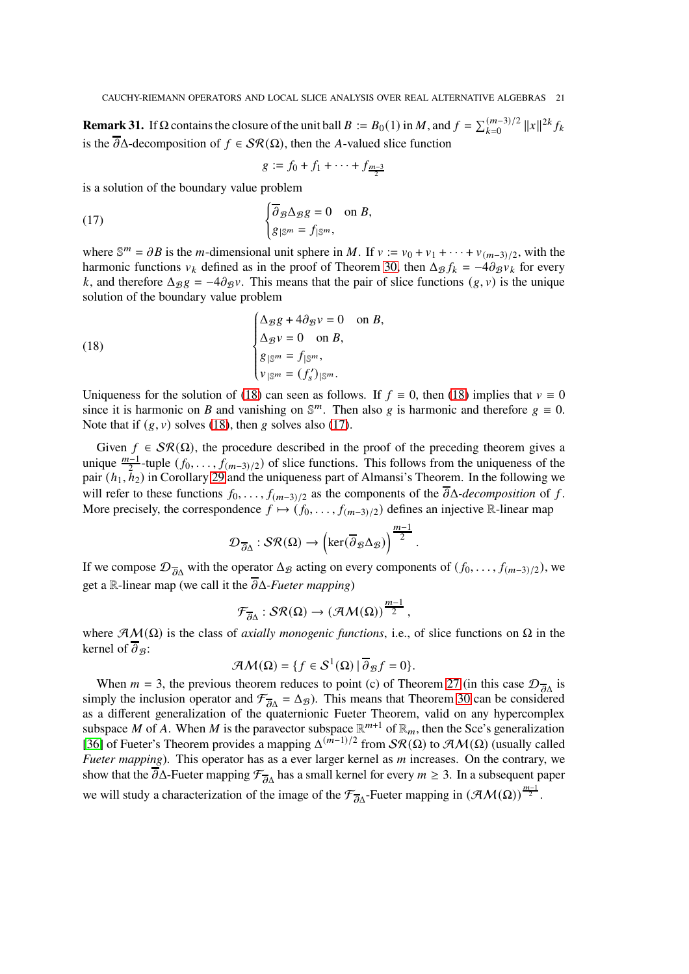**Remark 31.** If  $\Omega$  contains the closure of the unit ball  $B := B_0(1)$  in M, and  $f = \sum_{k=0}^{(m-3)/2} ||x||^{2k} f_k$ is the  $\overline{\partial}$  $\Delta$ -decomposition of  $f \in \mathcal{SR}(\Omega)$ , then the A-valued slice function

<span id="page-20-1"></span>
$$
g := f_0 + f_1 + \cdots + f_{\frac{m-3}{2}}
$$

is a solution of the boundary value problem

(17) 
$$
\begin{cases} \overline{\partial}_{\mathcal{B}} \Delta_{\mathcal{B}} g = 0 & \text{on } B, \\ g_{|\mathbb{S}^m} = f_{|\mathbb{S}^m}, \end{cases}
$$

where  $\mathbb{S}^m = \partial B$  is the *m*-dimensional unit sphere in *M*. If  $v := v_0 + v_1 + \cdots + v_{(m-3)/2}$ , with the harmonic functions  $v_k$  defined as in the proof of Theorem [30,](#page-18-0) then  $\Delta_g f_k = -4\partial_g v_k$  for every k, and therefore  $\Delta_{\mathcal{B}}g = -4\partial_{\mathcal{B}}y$ . This means that the pair of slice functions  $(g, v)$  is the unique solution of the boundary value problem

<span id="page-20-0"></span>(18)  
\n
$$
\begin{cases}\n\Delta_{\mathcal{B}}g + 4\partial_{\mathcal{B}}v = 0 & \text{on } B, \\
\Delta_{\mathcal{B}}v = 0 & \text{on } B, \\
g_{|\mathbb{S}^m} = f_{|\mathbb{S}^m}, \\
v_{|\mathbb{S}^m} = (f'_s)|_{\mathbb{S}^m}.\n\end{cases}
$$

 $\ddot{\phantom{a}}$ Uniqueness for the solution of [\(18\)](#page-20-0) can seen as follows. If  $f \equiv 0$ , then (18) implies that  $v \equiv 0$ since it is harmonic on B and vanishing on  $\mathbb{S}^m$ . Then also g is harmonic and therefore  $g \equiv 0$ . Note that if  $(g, y)$  solves [\(18\)](#page-20-0), then g solves also [\(17\)](#page-20-1).

Given  $f \in \mathcal{SR}(\Omega)$ , the procedure described in the proof of the preceding theorem gives a unique  $\frac{m-1}{2}$ -tuple  $(f_0, \ldots, f_{(m-3)/2})$  of slice functions. This follows from the uniqueness of the pair  $(h_1, \bar{h}_2)$  in Corollary [29](#page-18-1) and the uniqueness part of Almansi's Theorem. In the following we will refer to these functions  $f_0, \ldots, f_{(m-3)/2}$  as the components of the  $\overline{\partial}\Delta$ *-decomposition* of f. More precisely, the correspondence  $f \mapsto (f_0, \ldots, f_{(m-3)/2})$  defines an injective R-linear map

$$
\mathcal{D}_{\overline{\partial}\Delta}: \mathcal{SR}(\Omega) \to \left(\ker(\overline{\partial}_{\mathcal{B}}\Delta_{\mathcal{B}})\right)^{\frac{m-1}{2}}
$$

.

If we compose  $\mathcal{D}_{\overline{A}}$  with the operator  $\Delta_{\mathcal{B}}$  acting on every components of  $(f_0, \ldots, f_{(m-3)/2})$ , we get a R-linear map (we call it the  $\overline{\partial}\Delta$ *-Fueter mapping*)

$$
\mathcal{F}_{\overline{\partial}\Delta}:\mathcal{SR}(\Omega)\to (\mathcal{AM}(\Omega))^{\tfrac{m-1}{2}},
$$

where  $\mathcal{AM}(\Omega)$  is the class of *axially monogenic functions*, i.e., of slice functions on  $\Omega$  in the kernel of  $\overline{\partial}_{\mathcal{B}}$ :

$$
\mathcal{AM}(\Omega) = \{ f \in \mathcal{S}^1(\Omega) \mid \overline{\partial}_{\mathcal{B}} f = 0 \}.
$$

When  $m = 3$ , the previous theorem reduces to point (c) of Theorem [27](#page-16-0) (in this case  $\mathcal{D}_{\overline{\partial}\Delta}$  is simply the inclusion operator and  $\mathcal{F}_{\overline{\partial}\Delta} = \Delta_{\mathcal{B}}$ ). This means that Theorem [30](#page-18-0) can be considered as a different generalization of the quaternionic Fueter Theorem, valid on any hypercomplex subspace M of A. When M is the paravector subspace  $\mathbb{R}^{m+1}$  of  $\mathbb{R}_m$ , then the Sce's generalization [\[36\]](#page-33-1) of Fueter's Theorem provides a mapping  $\Delta^{(m-1)/2}$  from  $\mathcal{SR}(\Omega)$  to  $\mathcal{AM}(\Omega)$  (usually called *Fueter mapping*). This operator has as a ever larger kernel as m increases. On the contrary, we show that the  $\overline{\partial}\Delta$ -Fueter mapping  $\mathcal{F}_{\overline{\partial}\Delta}$  has a small kernel for every  $m \geq 3$ . In a subsequent paper we will study a characterization of the image of the  $\mathcal{F}_{\overline{\partial}\Delta}$ -Fueter mapping in  $(\mathcal{AM}(\Omega))^{\frac{m-1}{2}}$ .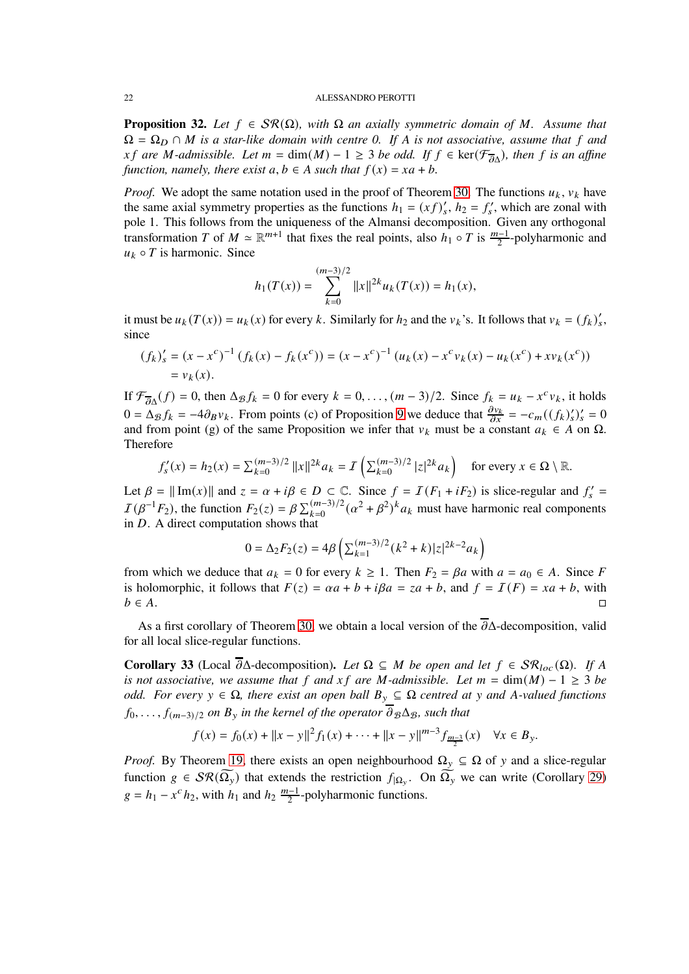<span id="page-21-0"></span>**Proposition 32.** Let  $f \in \mathcal{SR}(\Omega)$ , with  $\Omega$  an axially symmetric domain of M. Assume that  $\Omega = \Omega_D \cap M$  *is a star-like domain with centre 0. If* A *is not associative, assume that* f and  $xf$  are M-admissible. Let  $m = \dim(M) - 1 \ge 3$  be odd. If  $f \in \text{ker}(\mathcal{F}_{\overline{\partial}\Delta})$ , then f is an affine *function, namely, there exist*  $a, b \in A$  *such that*  $f(x) = xa + b$ .

*Proof.* We adopt the same notation used in the proof of Theorem [30.](#page-18-0) The functions  $u_k$ ,  $v_k$  have the same axial symmetry properties as the functions  $h_1 = (xf)'_s$ ,  $h_2 = f'_s$ , which are zonal with pole 1. This follows from the uniqueness of the Almansi decomposition. Given any orthogonal transformation T of  $M \simeq \mathbb{R}^{m+1}$  that fixes the real points, also  $h_1 \circ T$  is  $\frac{m-1}{2}$ -polyharmonic and  $u_k \circ T$  is harmonic. Since

$$
h_1(T(x)) = \sum_{k=0}^{(m-3)/2} ||x||^{2k} u_k(T(x)) = h_1(x),
$$

it must be  $u_k(T(x)) = u_k(x)$  for every k. Similarly for  $h_2$  and the  $v_k$ 's. It follows that  $v_k = (f_k)'_s$ , since

$$
(f_k)'_s = (x - x^c)^{-1} (f_k(x) - f_k(x^c)) = (x - x^c)^{-1} (u_k(x) - x^c v_k(x) - u_k(x^c) + x v_k(x^c))
$$
  
=  $v_k(x)$ .

If  $\mathcal{F}_{\overline{\partial}\Delta}(f) = 0$ , then  $\Delta_{\mathcal{B}} f_k = 0$  for every  $k = 0, \ldots, (m-3)/2$ . Since  $f_k = u_k - x^c v_k$ , it holds  $0 = \Delta_{\mathcal{B}} f_k = -4 \partial_{\mathcal{B}} v_k$ . From points (c) of Proposition [9](#page-7-1) we deduce that  $\frac{\partial v_k}{\partial x} = -c_m((f_k)'_s)'_s = 0$ and from point (g) of the same Proposition we infer that  $v_k$  must be a constant  $a_k \in A$  on  $\Omega$ . Therefore

$$
f_s'(x) = h_2(x) = \sum_{k=0}^{(m-3)/2} ||x||^{2k} a_k = I\left(\sum_{k=0}^{(m-3)/2} |z|^{2k} a_k\right) \text{ for every } x \in \Omega \setminus \mathbb{R}.
$$

Let  $\beta = ||Im(x)||$  and  $z = \alpha + i\beta \in D \subset \mathbb{C}$ . Since  $f = I(F_1 + iF_2)$  is slice-regular and  $f'_s =$  $I(\beta^{-1}F_2)$ , the function  $F_2(z) = \beta \sum_{k=0}^{(m-3)/2} (\alpha^2 + \beta^2)^k a_k$  must have harmonic real components in  $D$ . A direct computation shows that

$$
0=\Delta_2F_2(z)=4\beta\left(\textstyle\sum\limits_{k=1}^{(m-3)/2}(k^2+k)|z|^{2k-2}a_k\right)
$$

from which we deduce that  $a_k = 0$  for every  $k \ge 1$ . Then  $F_2 = \beta a$  with  $a = a_0 \in A$ . Since F is holomorphic, it follows that  $F(z) = \alpha a + b + i\beta a = z a + b$ , and  $f = I(F) = x a + b$ , with  $b \in A$ .

As a first corollary of Theorem [30,](#page-18-0) we obtain a local version of the  $\overline{\partial}$  $\Delta$ -decomposition, valid for all local slice-regular functions.

<span id="page-21-1"></span>**Corollary 33** (Local  $\overline{\partial}$ Δ-decomposition). Let  $\Omega \subseteq M$  be open and let  $f \in \mathcal{SR}_{loc}(\Omega)$ . If A *is not associative, we assume that*  $f$  *and*  $xf$  *are*  $M$ -*admissible. Let*  $m = \dim(M) - 1 \ge 3$  *be odd. For every*  $y \in \Omega$ , there exist an open ball  $B_y \subseteq \Omega$  centred at y and A-valued functions  $f_0, \ldots, f_{(m-3)/2}$  *on*  $B_y$  *in the kernel of the operator*  $\overline{\partial}_B \Delta_B$ *, such that* 

$$
f(x) = f_0(x) + ||x - y||^2 f_1(x) + \dots + ||x - y||^{m-3} f_{\frac{m-3}{2}}(x) \quad \forall x \in B_y.
$$

*Proof.* By Theorem [19,](#page-11-0) there exists an open neighbourhood  $\Omega_y \subseteq \Omega$  of y and a slice-regular function  $g \in \mathcal{SR}(\Omega_y)$  that extends the restriction  $f_{|\Omega_y}$ . On  $\Omega_y$  we can write (Corollary [29\)](#page-18-1)  $g = h_1 - x^c h_2$ , with  $h_1$  and  $h_2 \frac{m-1}{2}$ -polyharmonic functions.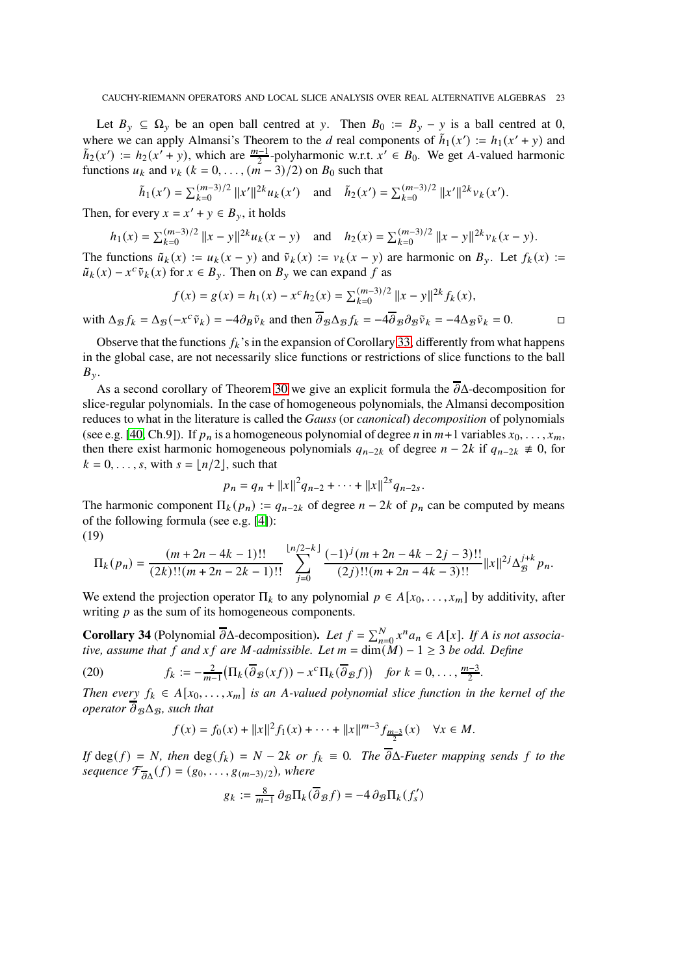Let  $B_{y} \subseteq \Omega_{y}$  be an open ball centred at y. Then  $B_{0} := B_{y} - y$  is a ball centred at 0, where we can apply Almansi's Theorem to the d real components of  $\tilde{h}_1(x') := h_1(x' + y)$  and  $\tilde{h}_2(x') := h_2(x'+y)$ , which are  $\frac{m-1}{2}$ -polyharmonic w.r.t.  $x' \in B_0$ . We get A-valued harmonic functions  $u_k$  and  $v_k$  ( $k = 0, \ldots, (m-3)/2$ ) on  $B_0$  such that

$$
\tilde{h}_1(x') = \sum_{k=0}^{(m-3)/2} ||x'||^{2k} u_k(x') \quad \text{and} \quad \tilde{h}_2(x') = \sum_{k=0}^{(m-3)/2} ||x'||^{2k} v_k(x').
$$

Then, for every  $x = x' + y \in B_y$ , it holds

$$
h_1(x) = \sum_{k=0}^{(m-3)/2} ||x - y||^{2k} u_k(x - y) \quad \text{and} \quad h_2(x) = \sum_{k=0}^{(m-3)/2} ||x - y||^{2k} v_k(x - y).
$$

The functions  $\tilde{u}_k(x) := u_k(x - y)$  and  $\tilde{v}_k(x) := v_k(x - y)$  are harmonic on  $B_y$ . Let  $f_k(x) :=$  $\tilde{u}_k(x) - x^c \tilde{v}_k(x)$  for  $x \in B_y$ . Then on  $B_y$  we can expand f as

$$
f(x) = g(x) = h_1(x) - x^c h_2(x) = \sum_{k=0}^{(m-3)/2} ||x - y||^{2k} f_k(x),
$$
  
 
$$
f(x) = \sum_{k=0}^{(m-3)/2} ||x - y||^{2k} f_k(x),
$$

with  $\Delta_{\mathcal{B}} f_k = \Delta_{\mathcal{B}} (-x^c \tilde{v}_k) = -4 \partial_{\mathcal{B}} \tilde{v}_k$  and then  $\overline{\partial}_{\mathcal{B}} \Delta_{\mathcal{B}} f_k = -4 \overline{\partial}_{\mathcal{B}} \partial_{\mathcal{B}} \tilde{v}_k = -4 \Delta_{\mathcal{B}} \tilde{v}_k = 0.$ 

Observe that the functions  $f_k$ 's in the expansion of Corollary [33,](#page-21-1) differently from what happens in the global case, are not necessarily slice functions or restrictions of slice functions to the ball  $B_{\nu}$ .

As a second corollary of Theorem [30](#page-18-0) we give an explicit formula the  $\overline{\partial} \Delta$ -decomposition for slice-regular polynomials. In the case of homogeneous polynomials, the Almansi decomposition reduces to what in the literature is called the *Gauss* (or *canonical*) *decomposition* of polynomials (see e.g. [\[40,](#page-33-9) Ch.9]). If  $p_n$  is a homogeneous polynomial of degree n in  $m+1$  variables  $x_0, \ldots, x_m$ , then there exist harmonic homogeneous polynomials  $q_{n-2k}$  of degree  $n-2k$  if  $q_{n-2k} \neq 0$ , for  $k = 0, \ldots, s$ , with  $s = \lfloor n/2 \rfloor$ , such that

$$
p_n = q_n + ||x||^2 q_{n-2} + \cdots + ||x||^{2s} q_{n-2s}.
$$

The harmonic component  $\Pi_k(p_n) := q_{n-2k}$  of degree  $n-2k$  of  $p_n$  can be computed by means of the following formula (see e.g. [\[4\]](#page-32-24)): (19)

<span id="page-22-0"></span>
$$
\Pi_k(p_n) = \frac{(m+2n-4k-1)!!}{(2k)!!(m+2n-2k-1)!!} \sum_{j=0}^{\lfloor n/2-k \rfloor} \frac{(-1)^j(m+2n-4k-2j-3)!!}{(2j)!!(m+2n-4k-3)!!} ||x||^{2j} \Delta_{\mathcal{B}}^{j+k} p_n.
$$

We extend the projection operator  $\Pi_k$  to any polynomial  $p \in A[x_0, \ldots, x_m]$  by additivity, after writing  $p$  as the sum of its homogeneous components.

<span id="page-22-2"></span>**Corollary 34** (Polynomial  $\overline{\partial}$ Δ-decomposition). Let  $f = \sum_{n=0}^{N} x^n a_n \in A[x]$ . If A is not associa*tive, assume that*  $f$  *and*  $xf$  *are*  $M$ -admissible. Let  $m = \dim(M) - 1 \geq 3$  be odd. Define

(20) 
$$
f_k := -\frac{2}{m-1} \left( \Pi_k(\overline{\partial}_{\mathcal{B}}(xf)) - x^c \Pi_k(\overline{\partial}_{\mathcal{B}}f) \right) \text{ for } k = 0, \ldots, \frac{m-3}{2}.
$$

*Then every*  $f_k \in A[x_0, \ldots, x_m]$  *is an A-valued polynomial slice function in the kernel of the operator*  $\overline{\partial}_{\mathcal{B}} \Delta_{\mathcal{B}}$ *, such that* 

<span id="page-22-1"></span>
$$
f(x) = f_0(x) + ||x||^2 f_1(x) + \dots + ||x||^{m-3} f_{\frac{m-3}{2}}(x) \quad \forall x \in M.
$$

*If* deg(  $f$ ) =  $N$ , then deg(  $f_k$ ) =  $N - 2k$  or  $f_k \equiv 0$ . The  $\overline{\partial} \Delta$ *-Fueter mapping sends*  $f$  to the sequence  $\mathcal{F}_{\overline{\partial}\Delta}(f) = (g_0, \ldots, g_{(m-3)/2})$ , where

$$
g_k := \frac{8}{m-1} \, \partial_{\mathcal{B}} \Pi_k(\overline{\partial}_{\mathcal{B}} f) = -4 \, \partial_{\mathcal{B}} \Pi_k(f'_s)
$$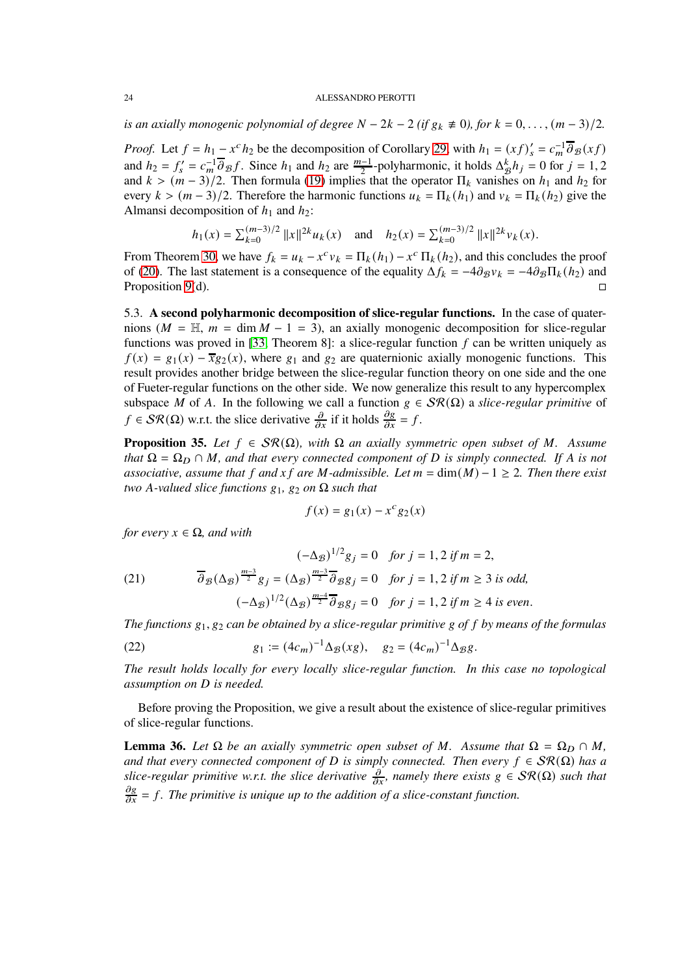*is an axially monogenic polynomial of degree*  $N - 2k - 2$  *(if*  $g_k \neq 0$ ), for  $k = 0, \ldots, (m-3)/2$ .

*Proof.* Let  $f = h_1 - x^c h_2$  be the decomposition of Corollary [29,](#page-18-1) with  $h_1 = (xf)_s' = c_m^{-1} \overline{\partial}_B(xf)$ and  $h_2 = f'_s = c_m^{-1} \overline{\partial}_B f$ . Since  $h_1$  and  $h_2$  are  $\frac{m-1}{2}$ -polyharmonic, it holds  $\Delta_B^k h_j = 0$  for  $j = 1, 2$ and  $k > (m-3)/2$ . Then formula [\(19\)](#page-22-0) implies that the operator  $\Pi_k$  vanishes on  $h_1$  and  $h_2$  for every  $k > (m-3)/2$ . Therefore the harmonic functions  $u_k = \prod_k(h_1)$  and  $v_k = \prod_k(h_2)$  give the Almansi decomposition of  $h_1$  and  $h_2$ :

$$
h_1(x) = \sum_{k=0}^{(m-3)/2} ||x||^{2k} u_k(x)
$$
 and  $h_2(x) = \sum_{k=0}^{(m-3)/2} ||x||^{2k} v_k(x)$ .

From Theorem [30,](#page-18-0) we have  $f_k = u_k - x^c v_k = \prod_k (h_1) - x^c \prod_k (h_2)$ , and this concludes the proof of [\(20\)](#page-22-1). The last statement is a consequence of the equality  $\Delta f_k = -4\partial g v_k = -4\partial g \prod_k (h_2)$  and Proposition [9\(](#page-7-1)d).  $\Box$ 

<span id="page-23-0"></span>5.3. **A second polyharmonic decomposition of slice-regular functions.** In the case of quaternions ( $M = H, m = \dim M - 1 = 3$ ), an axially monogenic decomposition for slice-regular functions was proved in [\[33,](#page-33-10) Theorem 8]: a slice-regular function  $f$  can be written uniquely as  $f(x) = g_1(x) - \overline{x}g_2(x)$ , where  $g_1$  and  $g_2$  are quaternionic axially monogenic functions. This result provides another bridge between the slice-regular function theory on one side and the one of Fueter-regular functions on the other side. We now generalize this result to any hypercomplex subspace M of A. In the following we call a function  $g \in \mathcal{SR}(\Omega)$  a *slice-regular primitive* of  $f \in \mathcal{SR}(\Omega)$  w.r.t. the slice derivative  $\frac{\partial}{\partial x}$  if it holds  $\frac{\partial g}{\partial x} = f$ .

<span id="page-23-1"></span>**Proposition 35.** *Let*  $f \in \mathcal{SR}(\Omega)$ *, with*  $\Omega$  *an axially symmetric open subset of*  $M$ *. Assume that*  $\Omega = \Omega_D \cap M$ , and that every connected component of D is simply connected. If A is not *associative, assume that*  $f$  *and*  $xf$  *are*  $M$ -*admissible. Let*  $m = \dim(M) - 1 \geq 2$ *. Then there exist two* A-valued slice functions  $g_1$ ,  $g_2$  on  $\Omega$  such that

$$
f(x) = g_1(x) - x^c g_2(x)
$$

*for every*  $x \in \Omega$ *, and with* 

<span id="page-23-2"></span>(21) 
$$
(-\Delta_{\mathcal{B}})^{1/2}g_{j} = 0 \text{ for } j = 1, 2 \text{ if } m = 2,
$$

$$
\overline{\partial}_{\mathcal{B}}(\Delta_{\mathcal{B}})^{\frac{m-3}{2}}g_{j} = (\Delta_{\mathcal{B}})^{\frac{m-3}{2}}\overline{\partial}_{\mathcal{B}}g_{j} = 0 \text{ for } j = 1, 2 \text{ if } m \ge 3 \text{ is odd,}
$$

$$
(-\Delta_{\mathcal{B}})^{1/2}(\Delta_{\mathcal{B}})^{\frac{m-4}{2}}\overline{\partial}_{\mathcal{B}}g_{j} = 0 \text{ for } j = 1, 2 \text{ if } m \ge 4 \text{ is even.}
$$

*The functions*  $g_1, g_2$  *can be obtained by a slice-regular primitive* g of f by means of the formulas

(22) 
$$
g_1 := (4c_m)^{-1} \Delta_{\mathcal{B}}(xg), \quad g_2 = (4c_m)^{-1} \Delta_{\mathcal{B}}g.
$$

*The result holds locally for every locally slice-regular function. In this case no topological assumption on D is needed.* 

Before proving the Proposition, we give a result about the existence of slice-regular primitives of slice-regular functions.

**Lemma 36.** Let  $\Omega$  be an axially symmetric open subset of M. Assume that  $\Omega = \Omega_D \cap M$ , *and that every connected component of D is simply connected. Then every*  $f \in \mathcal{SR}(\Omega)$  *has a slice-regular primitive w.r.t. the slice derivative*  $\frac{\partial}{\partial x}$ *, namely there exists*  $g \in \mathcal{SR}(\Omega)$  *such that*  $\frac{\partial g}{\partial x} = f$ . The primitive is unique up to the addition of a slice-constant function.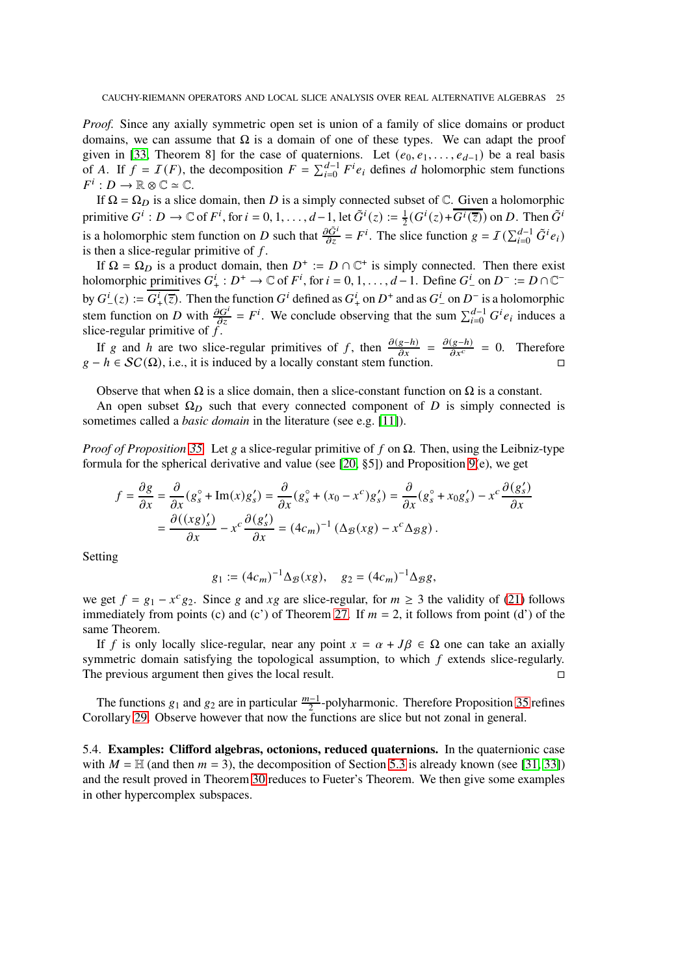*Proof.* Since any axially symmetric open set is union of a family of slice domains or product domains, we can assume that  $\Omega$  is a domain of one of these types. We can adapt the proof given in [\[33,](#page-33-10) Theorem 8] for the case of quaternions. Let  $(e_0, e_1, \ldots, e_{d-1})$  be a real basis of A. If  $f = I(F)$ , the decomposition  $F = \sum_{i=0}^{d-1} F^i e_i$  defines d holomorphic stem functions  $F^i: D \to \mathbb{R} \otimes \mathbb{C} \simeq \mathbb{C}.$ 

If  $\Omega = \Omega_D$  is a slice domain, then D is a simply connected subset of  $\mathbb{C}$ . Given a holomorphic primitive  $G^i : D \to \mathbb{C}$  of  $F^i$ , for  $i = 0, 1, ..., d-1$ , let  $\tilde{G}^i(z) := \frac{1}{2}$  $\frac{1}{2}(G^i(z)+\overline{G^i(\overline{z})})$  on D. Then  $\tilde{G}^i$ is a holomorphic stem function on D such that  $\frac{\partial \tilde{G}^i}{\partial z} = F^i$ . The slice function  $g = I(\sum_{i=0}^{d-1} \tilde{G}^i e_i)$ is then a slice-regular primitive of  $f$ .

If  $\Omega = \Omega_D$  is a product domain, then  $D^+ := D \cap \mathbb{C}^+$  is simply connected. Then there exist holomorphic primitives  $G^i_+ : D^+ \to \mathbb{C}$  of  $F^i$ , for  $i = 0, 1, ..., d-1$ . Define  $G^i_-$  on  $D^- := D \cap \mathbb{C}^$ by  $G^i_-(z) := G^i_+(\overline{z})$ . Then the function  $G^i$  defined as  $G^i_+$  on  $D^+$  and as  $G^i_-$  on  $D^-$  is a holomorphic stem function on D with  $\frac{\partial G^i}{\partial z} = F^i$ . We conclude observing that the sum  $\sum_{i=0}^{d-1} G^i e_i$  induces a slice-regular primitive of  $f$ .

If g and h are two slice-regular primitives of f, then  $\frac{\partial(g-h)}{\partial x} = \frac{\partial(g-h)}{\partial x^c} = 0$ . Therefore  $g - h \in SC(\Omega)$ , i.e., it is induced by a locally constant stem function.

Observe that when  $\Omega$  is a slice domain, then a slice-constant function on  $\Omega$  is a constant.

An open subset  $\Omega_D$  such that every connected component of D is simply connected is sometimes called a *basic domain* in the literature (see e.g. [\[11\]](#page-32-25)).

*Proof of Proposition* [35.](#page-23-1) Let  $g$  a slice-regular primitive of  $f$  on  $\Omega$ . Then, using the Leibniz-type formula for the spherical derivative and value (see [\[20,](#page-32-6)  $\S$ 5]) and Proposition [9\(](#page-7-1)e), we get

$$
f = \frac{\partial g}{\partial x} = \frac{\partial}{\partial x} (g_s^\circ + \text{Im}(x)g_s') = \frac{\partial}{\partial x} (g_s^\circ + (x_0 - x^c)g_s') = \frac{\partial}{\partial x} (g_s^\circ + x_0g_s') - x^c \frac{\partial (g_s')}{\partial x}
$$

$$
= \frac{\partial ((xg)_s')}{\partial x} - x^c \frac{\partial (g_s')}{\partial x} = (4c_m)^{-1} (\Delta g(xg) - x^c \Delta g g).
$$

Setting

$$
g_1 := (4c_m)^{-1} \Delta_{\mathcal{B}}(xg), \quad g_2 = (4c_m)^{-1} \Delta_{\mathcal{B}}g,
$$

we get  $f = g_1 - x^c g_2$ . Since g and xg are slice-regular, for  $m \ge 3$  the validity of [\(21\)](#page-23-2) follows immediately from points (c) and (c') of Theorem [27.](#page-16-0) If  $m = 2$ , it follows from point (d') of the same Theorem.

If f is only locally slice-regular, near any point  $x = \alpha + J\beta \in \Omega$  one can take an axially symmetric domain satisfying the topological assumption, to which  $f$  extends slice-regularly. The previous argument then gives the local result.

The functions  $g_1$  and  $g_2$  are in particular  $\frac{m-1}{2}$ -polyharmonic. Therefore Proposition [35](#page-23-1) refines Corollary [29.](#page-18-1) Observe however that now the functions are slice but not zonal in general.

5.4. **Examples: Clifford algebras, octonions, reduced quaternions.** In the quaternionic case with  $M = H$  (and then  $m = 3$ ), the decomposition of Section [5.3](#page-23-0) is already known (see [\[31,](#page-33-4) [33\]](#page-33-10)) and the result proved in Theorem [30](#page-18-0) reduces to Fueter's Theorem. We then give some examples in other hypercomplex subspaces.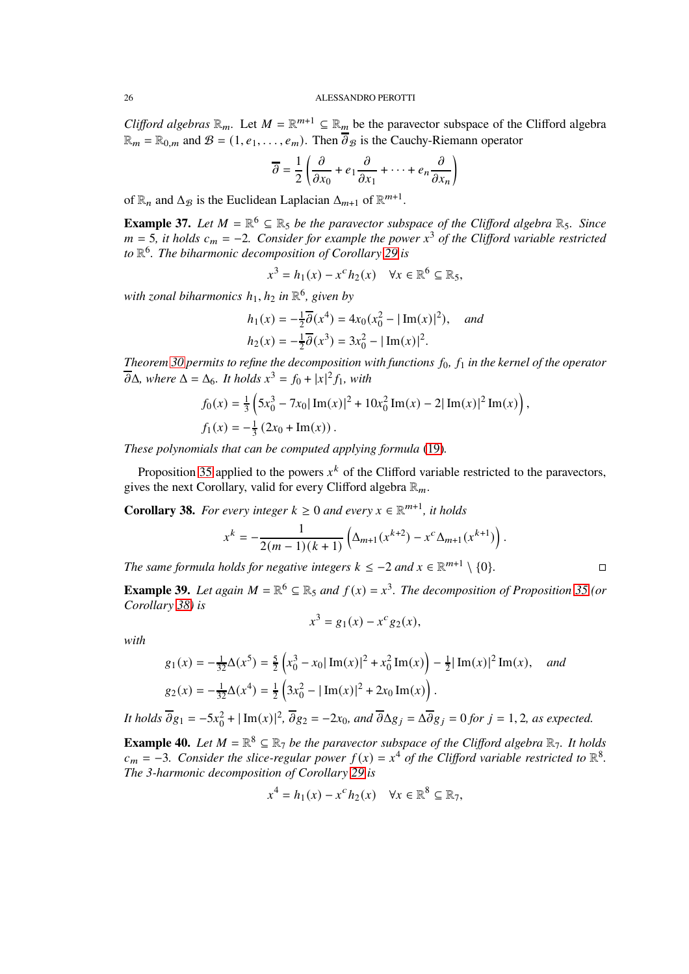*Clifford algebras*  $\mathbb{R}_m$ . Let  $M = \mathbb{R}^{m+1} \subseteq \mathbb{R}_m$  be the paravector subspace of the Clifford algebra  $\mathbb{R}_m = \mathbb{R}_{0,m}$  and  $\mathcal{B} = (1, e_1, \dots, e_m)$ . Then  $\overline{\partial}_{\mathcal{B}}$  is the Cauchy-Riemann operator

$$
\overline{\partial} = \frac{1}{2} \left( \frac{\partial}{\partial x_0} + e_1 \frac{\partial}{\partial x_1} + \dots + e_n \frac{\partial}{\partial x_n} \right)
$$

of  $\mathbb{R}_n$  and  $\Delta_B$  is the Euclidean Laplacian  $\Delta_{m+1}$  of  $\mathbb{R}^{m+1}$ .

**Example 37.** Let  $M = \mathbb{R}^6 \subseteq \mathbb{R}_5$  be the paravector subspace of the Clifford algebra  $\mathbb{R}_5$ . Since  $m = 5$ , it holds  $c_m = -2$ . Consider for example the power  $x^3$  of the Clifford variable restricted *to* R 6 *. The biharmonic decomposition of Corollary [29](#page-18-1) is*

$$
x^3 = h_1(x) - x^c h_2(x) \quad \forall x \in \mathbb{R}^6 \subseteq \mathbb{R}_5,
$$

*with zonal biharmonics* ℎ1, ℎ<sup>2</sup> *in* R 6 *, given by*

$$
h_1(x) = -\frac{1}{2}\overline{\partial}(x^4) = 4x_0(x_0^2 - |\operatorname{Im}(x)|^2), \text{ and}
$$
  

$$
h_2(x) = -\frac{1}{2}\overline{\partial}(x^3) = 3x_0^2 - |\operatorname{Im}(x)|^2.
$$

*Theorem* [30](#page-18-0) permits to refine the decomposition with functions  $f_0$ ,  $f_1$  in the kernel of the operator  $\overline{\partial}\Delta$ *, where*  $\Delta = \Delta_6$ *. It holds*  $x^3 = f_0 + |x|^2 f_1$ *, with* 

$$
f_0(x) = \frac{1}{3} \left( 5x_0^3 - 7x_0 |\operatorname{Im}(x)|^2 + 10x_0^2 \operatorname{Im}(x) - 2|\operatorname{Im}(x)|^2 \operatorname{Im}(x) \right),
$$
  

$$
f_1(x) = -\frac{1}{3} (2x_0 + \operatorname{Im}(x)).
$$

*These polynomials that can be computed applying formula* [\(19\)](#page-22-0)*.*

Proposition [35](#page-23-1) applied to the powers  $x^k$  of the Clifford variable restricted to the paravectors, gives the next Corollary, valid for every Clifford algebra  $\mathbb{R}_m$ .

<span id="page-25-0"></span>**Corollary 38.** For every integer  $k \geq 0$  and every  $x \in \mathbb{R}^{m+1}$ , it holds

$$
x^{k} = -\frac{1}{2(m-1)(k+1)} \left( \Delta_{m+1}(x^{k+2}) - x^{c} \Delta_{m+1}(x^{k+1}) \right).
$$

*The same formula holds for negative integers*  $k \leq -2$  *and*  $x \in \mathbb{R}^{m+1} \setminus \{0\}$ *.* 

**Example 39.** Let again  $M = \mathbb{R}^6 \subseteq \mathbb{R}_5$  and  $f(x) = x^3$ . The decomposition of Proposition [35](#page-23-1) (or *Corollary [38\)](#page-25-0) is*

$$
x^3 = g_1(x) - x^c g_2(x),
$$

*with*

$$
g_1(x) = -\frac{1}{32}\Delta(x^5) = \frac{5}{2}\left(x_0^3 - x_0|\operatorname{Im}(x)|^2 + x_0^2 \operatorname{Im}(x)\right) - \frac{1}{2}|\operatorname{Im}(x)|^2 \operatorname{Im}(x), \quad \text{and}
$$
  
\n
$$
g_2(x) = -\frac{1}{32}\Delta(x^4) = \frac{1}{2}\left(3x_0^2 - |\operatorname{Im}(x)|^2 + 2x_0 \operatorname{Im}(x)\right).
$$

*It holds*  $\overline{\partial}g_1 = -5x_0^2 + |\text{Im}(x)|^2$ ,  $\overline{\partial}g_2 = -2x_0$ , and  $\overline{\partial}\Delta g_j = \Delta\overline{\partial}g_j = 0$  for  $j = 1, 2$ , as expected.

<span id="page-25-1"></span>**Example 40.** Let  $M = \mathbb{R}^8 \subseteq \mathbb{R}_7$  be the paravector subspace of the Clifford algebra  $\mathbb{R}_7$ . It holds  $c_m = -3$ . Consider the slice-regular power  $f(x) = x^4$  of the Clifford variable restricted to  $\mathbb{R}^8$ . *The 3-harmonic decomposition of Corollary [29](#page-18-1) is*

$$
x^4 = h_1(x) - x^c h_2(x) \quad \forall x \in \mathbb{R}^8 \subseteq \mathbb{R}_7,
$$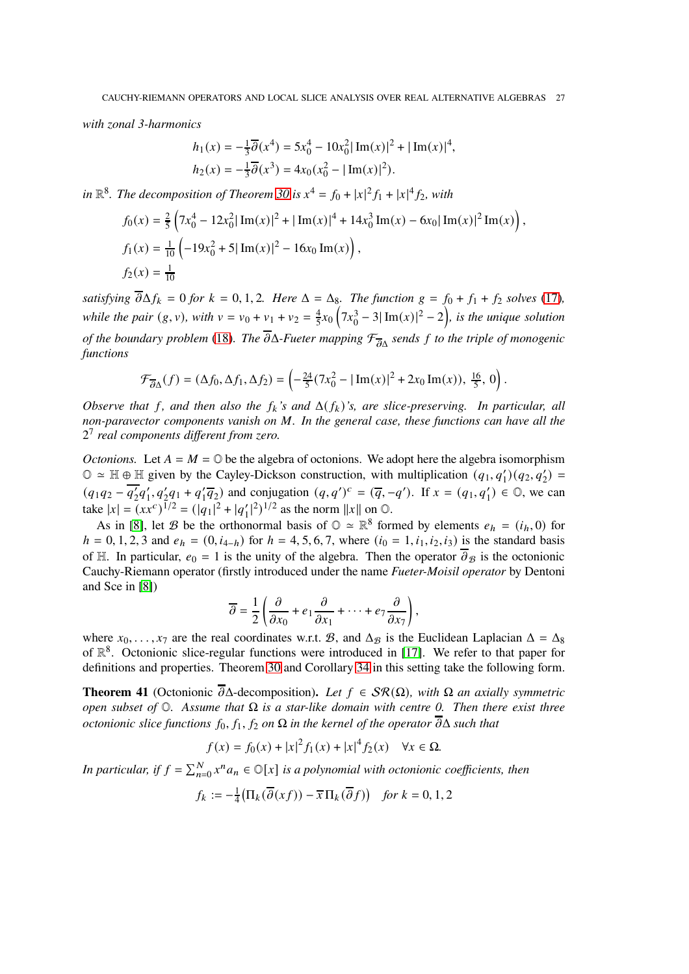*with zonal 3-harmonics*

$$
h_1(x) = -\frac{1}{3}\overline{\partial}(x^4) = 5x_0^4 - 10x_0^2 |\operatorname{Im}(x)|^2 + |\operatorname{Im}(x)|^4,
$$
  

$$
h_2(x) = -\frac{1}{3}\overline{\partial}(x^3) = 4x_0(x_0^2 - |\operatorname{Im}(x)|^2).
$$

in  $\mathbb{R}^8$ . The decomposition of Theorem [30](#page-18-0) is  $x^4 = f_0 + |x|^2 f_1 + |x|^4 f_2$ , with

$$
f_0(x) = \frac{2}{5} \left( 7x_0^4 - 12x_0^2 |\operatorname{Im}(x)|^2 + |\operatorname{Im}(x)|^4 + 14x_0^3 \operatorname{Im}(x) - 6x_0 |\operatorname{Im}(x)|^2 \operatorname{Im}(x) \right),
$$
  
\n
$$
f_1(x) = \frac{1}{10} \left( -19x_0^2 + 5|\operatorname{Im}(x)|^2 - 16x_0 \operatorname{Im}(x) \right),
$$
  
\n
$$
f_2(x) = \frac{1}{10}
$$

*satisfying*  $\overline{\partial} \Delta f_k = 0$  *for*  $k = 0, 1, 2$ *. Here*  $\Delta = \Delta_8$ *. The function*  $g = f_0 + f_1 + f_2$  *solves* [\(17\)](#page-20-1)*, while the pair*  $(g, v)$ *, with*  $v = v_0 + v_1 + v_2 = \frac{4}{5}$  $\frac{4}{5}x_0(7x_0^3 - 3|\text{Im}(x)|^2 - 2),$  is the unique solution *of the boundary problem* [\(18\)](#page-20-0). The  $\overline{\partial}\Delta$ -Fueter mapping  $\mathcal{F}_{\overline{\partial}\Delta}$  sends f to the triple of monogenic *functions*

$$
\mathcal{F}_{\overline{\partial}\Delta}(f) = (\Delta f_0, \Delta f_1, \Delta f_2) = \left(-\frac{24}{5}(7x_0^2 - |\operatorname{Im}(x)|^2 + 2x_0 \operatorname{Im}(x)), \frac{16}{5}, 0\right).
$$

*Observe that* f, and then also the  $f_k$ 's and  $\Delta(f_k)$ 's, are slice-preserving. In particular, all *non-paravector components vanish on* M. In the general case, these functions can have all the 2 7 *real components different from zero.*

*Octonions.* Let  $A = M = \mathbb{O}$  be the algebra of octonions. We adopt here the algebra isomorphism  $\mathbb{O} \simeq \mathbb{H} \oplus \mathbb{H}$  given by the Cayley-Dickson construction, with multiplication  $(q_1, q'_1)(q_2, q'_2) =$  $(q_1q_2 - \overline{q'_2}q'_1, q'_2q_1 + q'_1\overline{q_2})$  and conjugation  $(q, q')^c = (\overline{q}, -q')$ . If  $x = (q_1, q'_1) \in \mathbb{O}$ , we can take  $|x| = (xx^c)^{1/2} = (|q_1|^2 + |q'_1|^2)^{1/2}$  as the norm  $||x||$  on  $\odot$ .

As in [\[8\]](#page-32-26), let B be the orthonormal basis of  $\mathbb{O} \simeq \mathbb{R}^8$  formed by elements  $e_h = (i_h, 0)$  for  $h = 0, 1, 2, 3$  and  $e_h = (0, i_{4-h})$  for  $h = 4, 5, 6, 7$ , where  $(i_0 = 1, i_1, i_2, i_3)$  is the standard basis of H. In particular,  $e_0 = 1$  is the unity of the algebra. Then the operator  $\overline{\partial}_{\mathcal{B}}$  is the octonionic Cauchy-Riemann operator (firstly introduced under the name *Fueter-Moisil operator* by Dentoni and Sce in [\[8\]](#page-32-26))

$$
\overline{\partial} = \frac{1}{2} \left( \frac{\partial}{\partial x_0} + e_1 \frac{\partial}{\partial x_1} + \dots + e_7 \frac{\partial}{\partial x_7} \right),
$$

where  $x_0, \ldots, x_7$  are the real coordinates w.r.t. B, and  $\Delta g$  is the Euclidean Laplacian  $\Delta = \Delta_8$ of  $\mathbb{R}^8$ . Octonionic slice-regular functions were introduced in [\[17\]](#page-32-5). We refer to that paper for definitions and properties. Theorem [30](#page-18-0) and Corollary [34](#page-22-2) in this setting take the following form.

**Theorem 41** (Octonionic  $\overline{\partial} \Delta$ -decomposition). Let  $f \in \mathcal{SR}(\Omega)$ , with  $\Omega$  an axially symmetric *open subset of* O*. Assume that* Ω *is a star-like domain with centre 0. Then there exist three octonionic slice functions*  $f_0, f_1, f_2$  *on*  $\Omega$  *in the kernel of the operator*  $\overline{\partial} \Delta$  *such that* 

$$
f(x) = f_0(x) + |x|^2 f_1(x) + |x|^4 f_2(x) \quad \forall x \in \Omega.
$$

In particular, if  $f = \sum_{n=0}^{N} x^n a_n \in \mathbb{O}[x]$  is a polynomial with octonionic coefficients, then

$$
f_k := -\frac{1}{4} \big( \Pi_k(\overline{\partial}(xf)) - \overline{x} \Pi_k(\overline{\partial}f) \big) \quad \text{for } k = 0, 1, 2
$$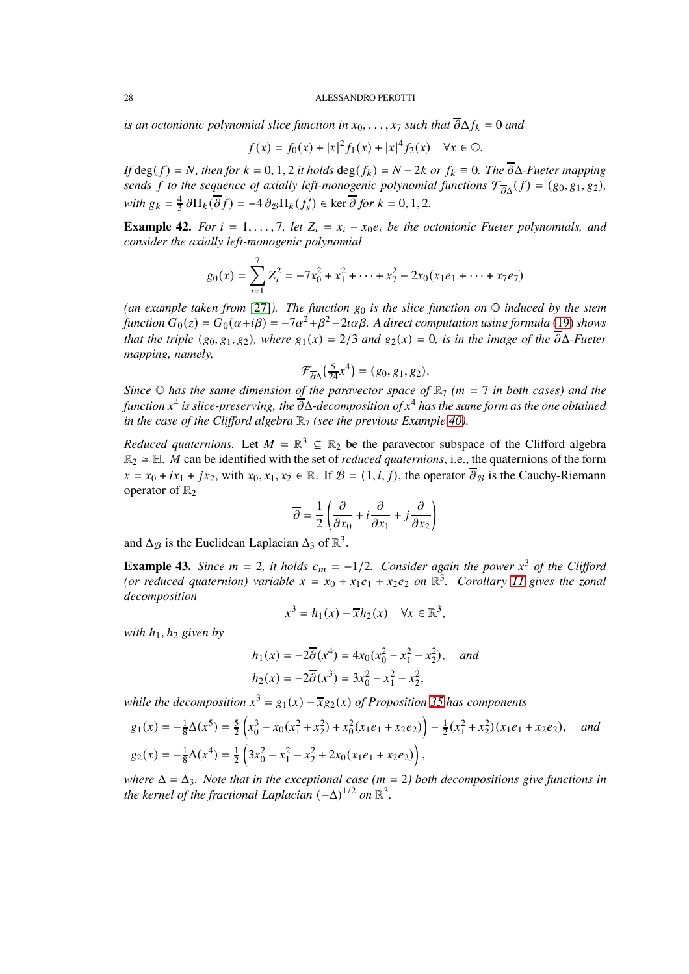*is an octonionic polynomial slice function in*  $x_0, \ldots, x_7$  *such that*  $\overline{\partial} \Delta f_k = 0$  *and* 

$$
f(x) = f_0(x) + |x|^2 f_1(x) + |x|^4 f_2(x) \quad \forall x \in \mathbb{Q}.
$$

*If* deg( $f$ ) =  $N$ *, then for*  $k = 0, 1, 2$  *it holds* deg( $f_k$ ) =  $N - 2k$  *or*  $f_k \equiv 0$ *. The*  $\overline{\partial} \Delta$ *-Fueter mapping sends* f to the sequence of axially left-monogenic polynomial functions  $\mathcal{F}_{\overline{\partial}\Delta}(f) = (g_0, g_1, g_2)$ , *with*  $g_k = \frac{4}{3}$  $\frac{4}{3} \frac{\partial \Pi_k(\overline{\partial} f)}{\partial f} = -4 \frac{\partial \mathcal{B}}{\partial k} (f'_s) \in \ker \overline{\partial} \text{ for } k = 0, 1, 2.$ 

**Example 42.** *For*  $i = 1, \ldots, 7$ , let  $Z_i = x_i - x_0 e_i$  be the octonionic Fueter polynomials, and *consider the axially left-monogenic polynomial*

$$
g_0(x) = \sum_{i=1}^7 Z_i^2 = -7x_0^2 + x_1^2 + \dots + x_7^2 - 2x_0(x_1e_1 + \dots + x_7e_7)
$$

(an example taken from [\[27\]](#page-32-27)). The function  $g_0$  is the slice function on  $\mathbb O$  *induced by the stem function*  $G_0(z) = G_0(\alpha + i\beta) = -7\alpha^2 + \beta^2 - 2i\alpha\beta$ . A direct computation using formula [\(19\)](#page-22-0) shows *that the triple*  $(g_0, g_1, g_2)$ *, where*  $g_1(x) = 2/3$  *and*  $g_2(x) = 0$ *, is in the image of the*  $\overline{\partial}$  $\Delta$ *-Fueter mapping, namely,*

$$
\mathcal{F}_{\overline{\partial}\Delta}\left(\frac{5}{24}x^4\right) = (g_0, g_1, g_2).
$$

*Since*  $\odot$  *has the same dimension of the paravector space of*  $\mathbb{R}$ <sub>7</sub> *(m = 7 in both cases) and the function* 𝑥 4 *is slice-preserving, the* 𝜕Δ*-decomposition of* 𝑥 <sup>4</sup> *has the same form as the one obtained in the case of the Clifford algebra*  $\mathbb{R}_7$  *(see the previous Example [40\)](#page-25-1).* 

*Reduced quaternions.* Let  $M = \mathbb{R}^3 \subseteq \mathbb{R}_2$  be the paravector subspace of the Clifford algebra  $\mathbb{R}_2 \simeq \mathbb{H}$ . *M* can be identified with the set of *reduced quaternions*, i.e., the quaternions of the form  $x = x_0 + ix_1 + jx_2$ , with  $x_0, x_1, x_2 \in \mathbb{R}$ . If  $\mathcal{B} = (1, i, j)$ , the operator  $\overline{\partial}_{\mathcal{B}}$  is the Cauchy-Riemann operator of  $\mathbb{R}_2$ 

$$
\overline{\partial} = \frac{1}{2} \left( \frac{\partial}{\partial x_0} + i \frac{\partial}{\partial x_1} + j \frac{\partial}{\partial x_2} \right)
$$

and  $\Delta_{\mathcal{B}}$  is the Euclidean Laplacian  $\Delta_3$  of  $\mathbb{R}^3$ .

**Example 43.** *Since*  $m = 2$ , *it holds*  $c_m = -1/2$ *. Consider again the power*  $x^3$  *of the Clifford* (or reduced quaternion) variable  $x = x_0 + x_1e_1 + x_2e_2$  on  $\mathbb{R}^3$ . Corollary [11](#page-9-2) gives the zonal *decomposition*

$$
x^3 = h_1(x) - \overline{x}h_2(x) \quad \forall x \in \mathbb{R}^3,
$$

*with*  $h_1$ ,  $h_2$  *given by* 

$$
h_1(x) = -2\overline{\partial}(x^4) = 4x_0(x_0^2 - x_1^2 - x_2^2), \text{ and}
$$
  

$$
h_2(x) = -2\overline{\partial}(x^3) = 3x_0^2 - x_1^2 - x_2^2,
$$

*while the decomposition*  $x^3 = g_1(x) - \overline{x}g_2(x)$  *of Proposition* [35](#page-23-1) *has components* 

$$
g_1(x) = -\frac{1}{8}\Delta(x^5) = \frac{5}{2}\left(x_0^3 - x_0(x_1^2 + x_2^2) + x_0^2(x_1e_1 + x_2e_2)\right) - \frac{1}{2}(x_1^2 + x_2^2)(x_1e_1 + x_2e_2), \quad \text{and}
$$
  
\n
$$
g_2(x) = -\frac{1}{8}\Delta(x^4) = \frac{1}{2}\left(3x_0^2 - x_1^2 - x_2^2 + 2x_0(x_1e_1 + x_2e_2)\right),
$$

*where*  $\Delta = \Delta_3$ *. Note that in the exceptional case* ( $m = 2$ ) both decompositions give functions in *the kernel of the fractional Laplacian*  $(-\Delta)^{1/2}$  *on*  $\mathbb{R}^3$ *.*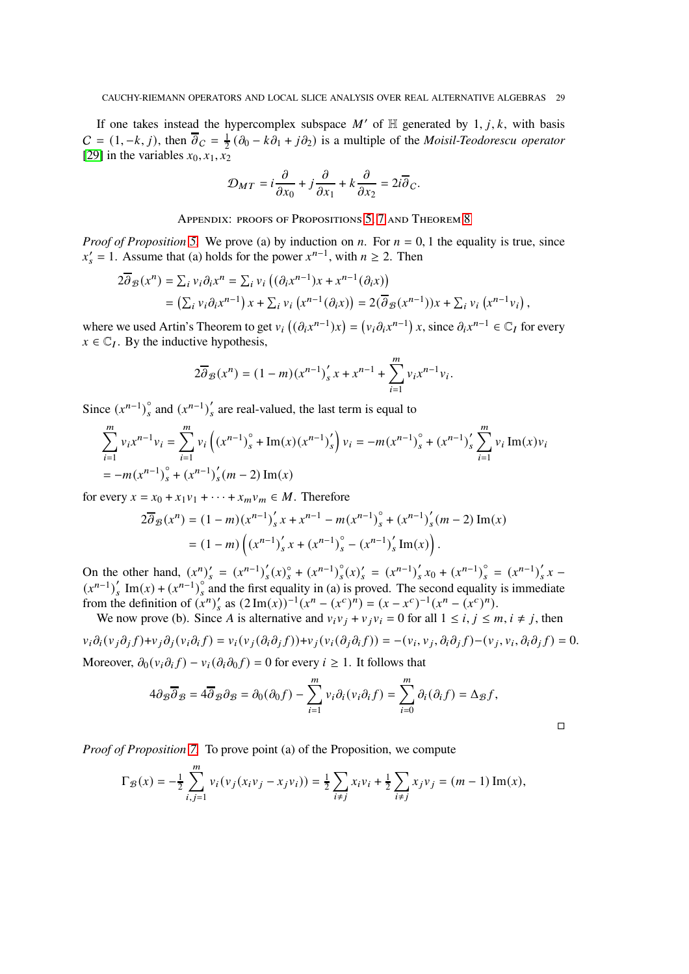If one takes instead the hypercomplex subspace  $M'$  of  $H$  generated by  $1, j, k$ , with basis  $C = (1, -k, j)$ , then  $\overline{\partial}_C = \frac{1}{2}$  $\frac{1}{2}$  ( $\partial_0 - k \partial_1 + j \partial_2$ ) is a multiple of the *Moisil-Teodorescu operator* [\[29\]](#page-32-28) in the variables  $x_0, x_1, x_2$ 

$$
\mathcal{D}_{MT} = i\frac{\partial}{\partial x_0} + j\frac{\partial}{\partial x_1} + k\frac{\partial}{\partial x_2} = 2i\overline{\partial}_C.
$$

APPENDIX: PROOFS OF PROPOSITIONS [5,](#page-6-0) [7](#page-6-1) AND THEOREM [8](#page-7-0)

*Proof of Proposition* [5.](#page-6-0) We prove (a) by induction on *n*. For  $n = 0, 1$  the equality is true, since  $x'_{s} = 1$ . Assume that (a) holds for the power  $x^{n-1}$ , with  $n \ge 2$ . Then

$$
2\overline{\partial}_{\mathcal{B}}(x^n) = \sum_{i} v_i \partial_i x^n = \sum_{i} v_i \left( (\partial_i x^{n-1}) x + x^{n-1} (\partial_i x) \right)
$$
  
= 
$$
\left( \sum_{i} v_i \partial_i x^{n-1} \right) x + \sum_{i} v_i \left( x^{n-1} (\partial_i x) \right) = 2(\overline{\partial}_{\mathcal{B}}(x^{n-1})) x + \sum_{i} v_i \left( x^{n-1} v_i \right),
$$

where we used Artin's Theorem to get  $v_i((\partial_i x^{n-1})x) = (v_i \partial_i x^{n-1})x$ , since  $\partial_i x^{n-1} \in \mathbb{C}$  for every  $x \in \mathbb{C}_I$ . By the inductive hypothesis,

$$
2\overline{\partial}_{\mathcal{B}}(x^n) = (1-m)(x^{n-1})_s' x + x^{n-1} + \sum_{i=1}^m v_i x^{n-1} v_i.
$$

Since  $(x^{n-1})_s^{\circ}$  $\int_{s}^{\infty}$  and  $(x^{n-1})'_{s}$  $\zeta$  are real-valued, the last term is equal to

$$
\sum_{i=1}^{m} v_i x^{n-1} v_i = \sum_{i=1}^{m} v_i \left( (x^{n-1})_s^\circ + \text{Im}(x) (x^{n-1})_s' \right) v_i = -m (x^{n-1})_s^\circ + (x^{n-1})_s' \sum_{i=1}^{m} v_i \text{Im}(x) v_i
$$
  
=  $-m (x^{n-1})_s^\circ + (x^{n-1})_s' (m-2) \text{Im}(x)$ 

for every  $x = x_0 + x_1v_1 + \cdots + x_mv_m \in M$ . Therefore

 $\boldsymbol{m}$ 

$$
2\overline{\partial}_{\mathcal{B}}(x^n) = (1-m)(x^{n-1})_s' x + x^{n-1} - m(x^{n-1})_s^{\circ} + (x^{n-1})_s' (m-2) \operatorname{Im}(x)
$$
  
=  $(1-m) \left( (x^{n-1})_s' x + (x^{n-1})_s^{\circ} - (x^{n-1})_s' \operatorname{Im}(x) \right).$ 

On the other hand,  $(x^n)'_s = (x^{n-1})'_s$  $'_{s}(x)_{s}^{\circ} + (x^{n-1})_{s}^{\circ}$  $S(s)_{s}^{\circ} = (x^{n-1})_{s}^{\circ}$  $\int_{s}^{\prime} x_0 + (x^{n-1})_s^{\circ} = (x^{n-1})_s^{\prime}$  $\int_s' x (x^{n-1})'$  $\int_{s}^{t} \text{Im}(x) + (x^{n-1})_s^{\circ}$  $\int_{s}^{\infty}$  and the first equality in (a) is proved. The second equality is immediate from the definition of  $(x^n)'_s$  as  $(2 \text{Im}(x))^{-1} (x^n - (x^c)^n) = (x - x^c)^{-1} (x^n - (x^c)^n)$ .

We now prove (b). Since A is alternative and  $v_i v_j + v_j v_i = 0$  for all  $1 \le i, j \le m, i \ne j$ , then  $v_i \partial_i (v_j \partial_j f) + v_j (v_i (\partial_i \partial_j f)) + v_j (v_i (\partial_j \partial_i f)) = -(v_i, v_j, \partial_i \partial_j f) - (v_j, v_i, \partial_i \partial_j f) = 0.$ 

Moreover,  $\partial_0 (v_i \partial_i f) - v_i (\partial_i \partial_0 f) = 0$  for every  $i \ge 1$ . It follows that

$$
4\partial_{\mathcal{B}}\overline{\partial}_{\mathcal{B}} = 4\overline{\partial}_{\mathcal{B}}\partial_{\mathcal{B}} = \partial_0(\partial_0 f) - \sum_{i=1}^m v_i \partial_i(v_i \partial_i f) = \sum_{i=0}^m \partial_i(\partial_i f) = \Delta_{\mathcal{B}} f,
$$

 $\overline{\Box}$ 

*Proof of Proposition [7.](#page-6-1)* To prove point (a) of the Proposition, we compute

$$
\Gamma_{\mathcal{B}}(x) = -\frac{1}{2} \sum_{i,j=1}^{n} v_i (v_j (x_i v_j - x_j v_i)) = \frac{1}{2} \sum_{i \neq j} x_i v_i + \frac{1}{2} \sum_{i \neq j} x_j v_j = (m-1) \operatorname{Im}(x),
$$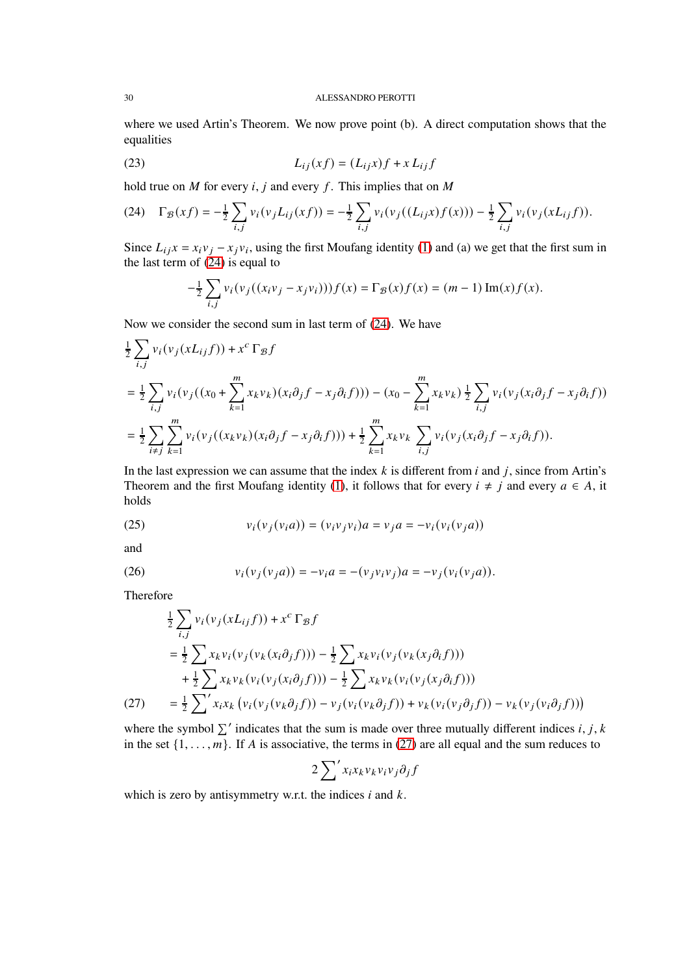where we used Artin's Theorem. We now prove point (b). A direct computation shows that the equalities

$$
(23) \qquad \qquad L_{ij}(xf) = (L_{ij}x)f + xL_{ij}f
$$

hold true on  $M$  for every  $i, j$  and every  $f$ . This implies that on  $M$ 

<span id="page-29-2"></span>(24) 
$$
\Gamma_{\mathcal{B}}(xf) = -\frac{1}{2} \sum_{i,j} v_i(v_j L_{ij}(xf)) = -\frac{1}{2} \sum_{i,j} v_i(v_j((L_{ij}x)f(x))) - \frac{1}{2} \sum_{i,j} v_i(v_j(x L_{ij}f)).
$$

Since  $L_{ij}x = x_i v_j - x_j v_i$ , using the first Moufang identity [\(1\)](#page-2-1) and (a) we get that the first sum in the last term of [\(24\)](#page-29-2) is equal to

$$
-\frac{1}{2}\sum_{i,j}v_i(v_j((x_iv_j-x_jv_i)))f(x)=\Gamma_{\mathcal{B}}(x)f(x)=(m-1)\operatorname{Im}(x)f(x).
$$

Now we consider the second sum in last term of [\(24\)](#page-29-2). We have

$$
\frac{1}{2} \sum_{i,j} v_i(v_j(xL_{ij}f)) + x^c \Gamma_{\mathcal{B}} f
$$
\n
$$
= \frac{1}{2} \sum_{i,j} v_i(v_j((x_0 + \sum_{k=1}^m x_k v_k)(x_i \partial_j f - x_j \partial_i f))) - (x_0 - \sum_{k=1}^m x_k v_k) \frac{1}{2} \sum_{i,j} v_i(v_j(x_i \partial_j f - x_j \partial_i f))
$$
\n
$$
= \frac{1}{2} \sum_{i \neq j} \sum_{k=1}^m v_i(v_j((x_k v_k)(x_i \partial_j f - x_j \partial_i f))) + \frac{1}{2} \sum_{k=1}^m x_k v_k \sum_{i,j} v_i(v_j(x_i \partial_j f - x_j \partial_i f)).
$$

In the last expression we can assume that the index  $k$  is different from  $i$  and  $j$ , since from Artin's Theorem and the first Moufang identity [\(1\)](#page-2-1), it follows that for every  $i \neq j$  and every  $a \in A$ , it holds

<span id="page-29-0"></span>(25) 
$$
v_i(v_j(v_ia)) = (v_iv_jv_i)a = v_ja = -v_i(v_i(v_ja))
$$

and

<span id="page-29-1"></span>(26) 
$$
v_i(v_j(v_ja)) = -v_ia = -(v_jv_iv_j)a = -v_j(v_i(v_ja)).
$$

Therefore

$$
\frac{1}{2} \sum_{i,j} v_i(v_j(xL_{ij}f)) + x^c \Gamma_{\mathcal{B}} f
$$
\n
$$
= \frac{1}{2} \sum_{k} x_k v_i(v_j(v_k(x_i \partial_j f))) - \frac{1}{2} \sum_{k} x_k v_i(v_j(v_k(x_j \partial_i f)))
$$
\n
$$
+ \frac{1}{2} \sum_{k} x_k v_k(v_i(v_j(x_i \partial_j f))) - \frac{1}{2} \sum_{k} x_k v_k(v_i(v_j(x_j \partial_i f)))
$$
\n(27)\n
$$
= \frac{1}{2} \sum_{k} x_k v_k(v_i(v_j(v_k \partial_j f)) - v_j(v_i(v_k \partial_j f)) + v_k(v_i(v_j \partial_j f)) - v_k(v_j(v_i \partial_j f)))
$$

<span id="page-29-3"></span>where the symbol  $\sum'$  indicates that the sum is made over three mutually different indices i, j, k in the set  $\{1, \ldots, m\}$ . If A is associative, the terms in [\(27\)](#page-29-3) are all equal and the sum reduces to

$$
2\sum' x_i x_k v_k v_i v_j \partial_j f
$$

which is zero by antisymmetry w.r.t. the indices  $i$  and  $k$ .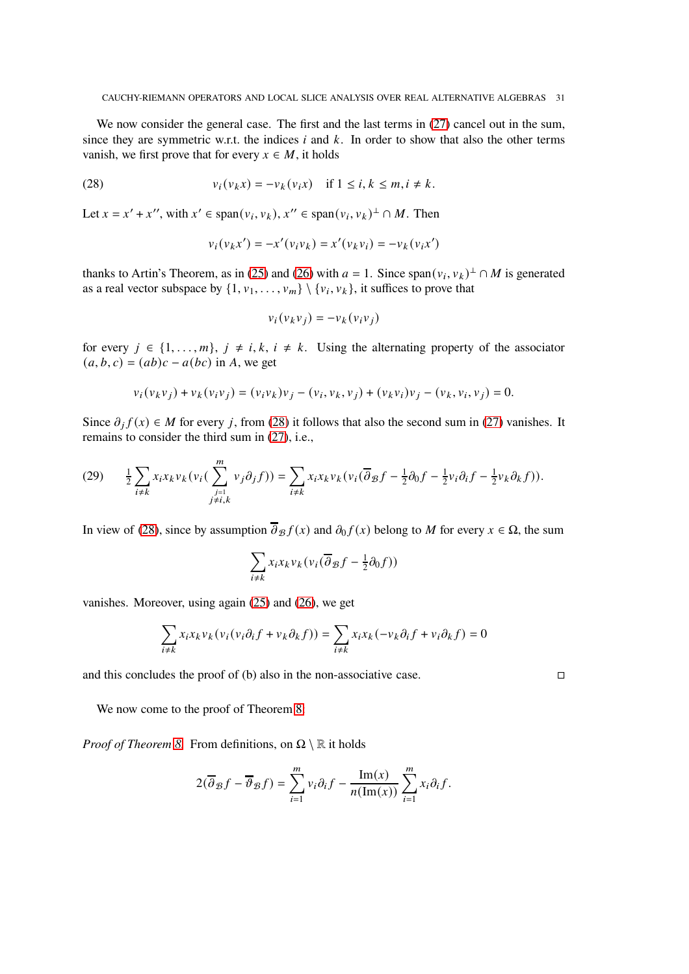We now consider the general case. The first and the last terms in  $(27)$  cancel out in the sum, since they are symmetric w.r.t. the indices  $i$  and  $k$ . In order to show that also the other terms vanish, we first prove that for every  $x \in M$ , it holds

(28) 
$$
v_i(v_k x) = -v_k(v_i x) \quad \text{if } 1 \le i, k \le m, i \ne k.
$$

Let  $x = x' + x''$ , with  $x' \in \text{span}(v_i, v_k)$ ,  $x'' \in \text{span}(v_i, v_k)^\perp \cap M$ . Then

<span id="page-30-0"></span>
$$
v_i(v_kx') = -x'(v_iv_k) = x'(v_kv_i) = -v_k(v_ix')
$$

thanks to Artin's Theorem, as in [\(25\)](#page-29-0) and [\(26\)](#page-29-1) with  $a = 1$ . Since span $(v_i, v_k)^\perp \cap M$  is generated as a real vector subspace by  $\{1, v_1, \ldots, v_m\} \setminus \{v_i, v_k\}$ , it suffices to prove that

$$
v_i(v_k v_j) = -v_k(v_i v_j)
$$

for every  $j \in \{1, \ldots, m\}, j \neq i, k, i \neq k$ . Using the alternating property of the associator  $(a, b, c) = (ab)c - a(bc)$  in A, we get

$$
v_i(v_k v_j) + v_k(v_i v_j) = (v_i v_k)v_j - (v_i, v_k, v_j) + (v_k v_i)v_j - (v_k, v_i, v_j) = 0.
$$

Since  $\partial_j f(x) \in M$  for every j, from [\(28\)](#page-30-0) it follows that also the second sum in [\(27\)](#page-29-3) vanishes. It remains to consider the third sum in [\(27\)](#page-29-3), i.e.,

<span id="page-30-1"></span>
$$
(29) \qquad \frac{1}{2}\sum_{i\neq k}x_ix_kv_k(v_i(\sum_{\substack{j=1\\j\neq i,k}}^mv_j\partial_jf))=\sum_{i\neq k}x_ix_kv_k(v_i(\overline{\partial}_{\mathcal{B}}f-\frac{1}{2}\partial_0f-\frac{1}{2}v_i\partial_if-\frac{1}{2}v_k\partial_kf)).
$$

In view of [\(28\)](#page-30-0), since by assumption  $\overline{\partial}_{\mathcal{B}} f(x)$  and  $\partial_{0} f(x)$  belong to M for every  $x \in \Omega$ , the sum

$$
\sum_{i \neq k} x_i x_k v_k (v_i(\overline{\partial}_{\mathcal{B}} f - \frac{1}{2}\partial_0 f))
$$

vanishes. Moreover, using again [\(25\)](#page-29-0) and [\(26\)](#page-29-1), we get

$$
\sum_{i\neq k}x_ix_kv_k(v_i(v_i\partial_if+v_k\partial_kf))=\sum_{i\neq k}x_ix_k(-v_k\partial_if+v_i\partial_kf)=0
$$

and this concludes the proof of (b) also in the non-associative case.  $\Box$ 

We now come to the proof of Theorem [8:](#page-7-0)

*Proof of Theorem [8.](#page-7-0)* From definitions, on  $\Omega \setminus \mathbb{R}$  it holds

$$
2(\overline{\partial}_\mathcal{B} f - \overline{\partial}_\mathcal{B} f) = \sum_{i=1}^m v_i \partial_i f - \frac{\text{Im}(x)}{n(\text{Im}(x))} \sum_{i=1}^m x_i \partial_i f.
$$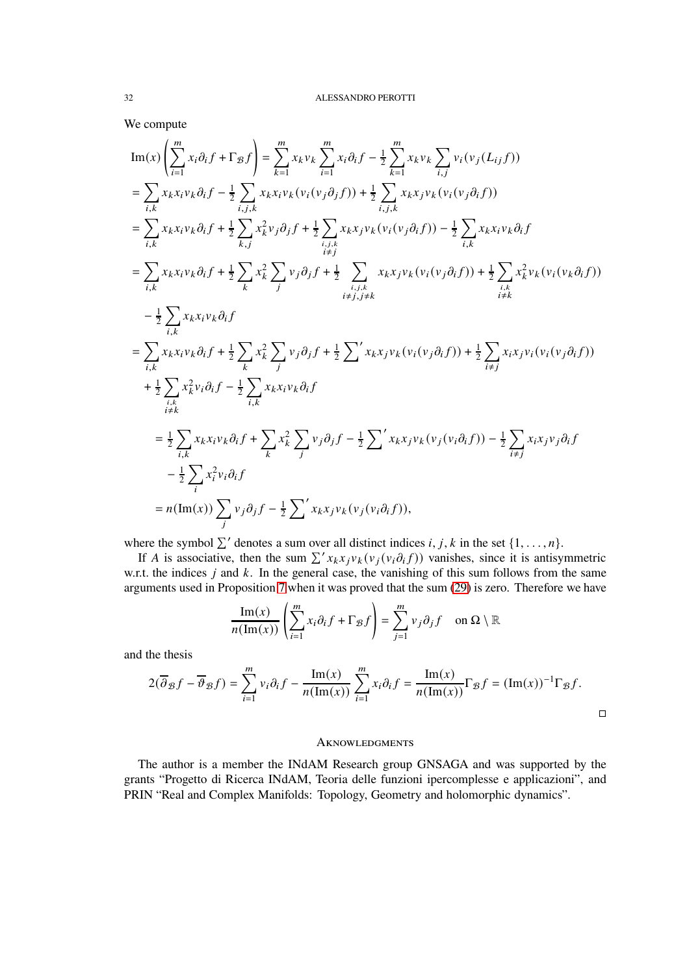We compute

$$
\begin{split}\n&\text{Im}(x)\left(\sum_{i=1}^{m}x_{i}\partial_{i}f+\Gamma_{\mathcal{B}}f\right)=\sum_{k=1}^{m}x_{k}v_{k}\sum_{i=1}^{m}x_{i}\partial_{i}f-\frac{1}{2}\sum_{k=1}^{m}x_{k}v_{k}\sum_{i,j}v_{i}(v_{j}(L_{ij}f)) \\
&=\sum_{i,k}x_{k}x_{i}v_{k}\partial_{i}f-\frac{1}{2}\sum_{i,j,k}x_{k}x_{i}v_{k}(v_{i}(v_{j}\partial_{j}f))+\frac{1}{2}\sum_{i,j,k}x_{k}x_{j}v_{k}(v_{i}(v_{j}\partial_{i}f)) \\
&=\sum_{i,k}x_{k}x_{i}v_{k}\partial_{i}f+\frac{1}{2}\sum_{k,j}x_{k}^{2}v_{j}\partial_{j}f+\frac{1}{2}\sum_{i,j,k}x_{k}x_{j}v_{k}(v_{i}(v_{j}\partial_{i}f))-\frac{1}{2}\sum_{i,k}x_{k}x_{i}v_{k}\partial_{i}f \\
&=\sum_{i,k}x_{k}x_{i}v_{k}\partial_{i}f+\frac{1}{2}\sum_{k}x_{k}^{2}\sum_{j}v_{j}\partial_{j}f+\frac{1}{2}\sum_{i,j,k}x_{k}x_{j}v_{k}(v_{i}(v_{j}\partial_{i}f))+\frac{1}{2}\sum_{i,k}x_{k}^{2}v_{k}(v_{i}(v_{k}\partial_{i}f)) \\
&-\frac{1}{2}\sum_{i,k}x_{k}x_{i}v_{k}\partial_{i}f \\
&=\sum_{i,k}x_{k}x_{i}v_{k}\partial_{i}f+\frac{1}{2}\sum_{k}x_{k}^{2}\sum_{j}v_{j}\partial_{j}f+\frac{1}{2}\sum_{i}x_{k}x_{j}v_{k}(v_{i}(v_{j}\partial_{i}f))+\frac{1}{2}\sum_{i\neq j}x_{i}x_{j}v_{i}(v_{i}(v_{j}\partial_{i}f)) \\
&+\frac{1}{2}\sum_{i,k}x_{k}v_{i}\partial_{i}f+\frac{1}{2}\sum_{i,k}x_{k}v_{k}\partial_{i}f \\
&=\frac{1}{2}\sum_{i,k}x_{k}v_{i}\partial_{i}f-\frac{1}{2}\sum_{i,k}x_{k}v_{k}\partial_{i}f \\
&=\frac{1}{2}\
$$

where the symbol  $\sum'$  denotes a sum over all distinct indices *i*, *j*, *k* in the set {1, ..., *n*}.

If A is associative, then the sum  $\sum' x_k x_j v_k (v_j(v_i \partial_i f))$  vanishes, since it is antisymmetric w.r.t. the indices  $j$  and  $k$ . In the general case, the vanishing of this sum follows from the same arguments used in Proposition [7](#page-6-1) when it was proved that the sum [\(29\)](#page-30-1) is zero. Therefore we have

$$
\frac{\operatorname{Im}(x)}{n(\operatorname{Im}(x))} \left( \sum_{i=1}^{m} x_i \partial_i f + \Gamma_{\mathcal{B}} f \right) = \sum_{j=1}^{m} v_j \partial_j f \quad \text{on } \Omega \setminus \mathbb{R}
$$

and the thesis

$$
2(\overline{\partial}_{\mathcal{B}}f - \overline{\partial}_{\mathcal{B}}f) = \sum_{i=1}^{m} v_i \partial_i f - \frac{\text{Im}(x)}{n(\text{Im}(x))} \sum_{i=1}^{m} x_i \partial_i f = \frac{\text{Im}(x)}{n(\text{Im}(x))} \Gamma_{\mathcal{B}}f = (\text{Im}(x))^{-1} \Gamma_{\mathcal{B}}f.
$$

# **AKNOWLEDGMENTS**

The author is a member the INdAM Research group GNSAGA and was supported by the grants "Progetto di Ricerca INdAM, Teoria delle funzioni ipercomplesse e applicazioni", and PRIN "Real and Complex Manifolds: Topology, Geometry and holomorphic dynamics".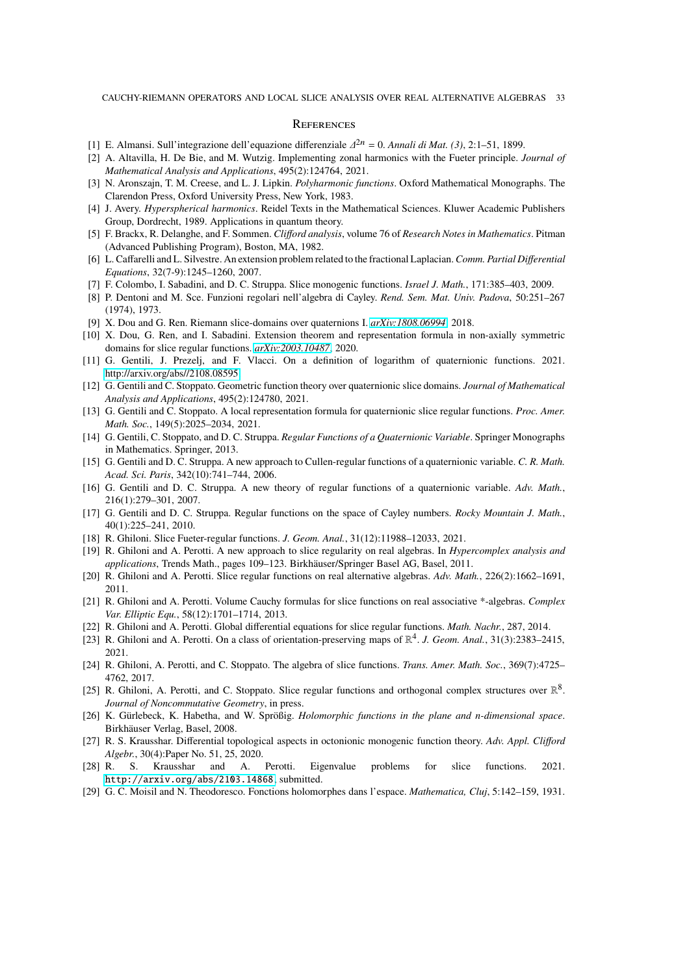### **REFERENCES**

- <span id="page-32-22"></span><span id="page-32-19"></span>[1] E. Almansi. Sull'integrazione dell'equazione differenziale  $\Delta^{2n} = 0$ . *Annali di Mat.* (3), 2:1–51, 1899.
- [2] A. Altavilla, H. De Bie, and M. Wutzig. Implementing zonal harmonics with the Fueter principle. *Journal of Mathematical Analysis and Applications*, 495(2):124764, 2021.
- <span id="page-32-23"></span>[3] N. Aronszajn, T. M. Creese, and L. J. Lipkin. *Polyharmonic functions*. Oxford Mathematical Monographs. The Clarendon Press, Oxford University Press, New York, 1983.
- <span id="page-32-24"></span>[4] J. Avery. *Hyperspherical harmonics*. Reidel Texts in the Mathematical Sciences. Kluwer Academic Publishers Group, Dordrecht, 1989. Applications in quantum theory.
- <span id="page-32-0"></span>[5] F. Brackx, R. Delanghe, and F. Sommen. *Clifford analysis*, volume 76 of *Research Notes in Mathematics*. Pitman (Advanced Publishing Program), Boston, MA, 1982.
- <span id="page-32-20"></span>[6] L. Caffarelli and L. Silvestre. An extension problem related to the fractional Laplacian.*Comm. Partial Differential Equations*, 32(7-9):1245–1260, 2007.
- <span id="page-32-26"></span><span id="page-32-4"></span>[7] F. Colombo, I. Sabadini, and D. C. Struppa. Slice monogenic functions. *Israel J. Math.*, 171:385–403, 2009.
- [8] P. Dentoni and M. Sce. Funzioni regolari nell'algebra di Cayley. *Rend. Sem. Mat. Univ. Padova*, 50:251–267 (1974), 1973.
- <span id="page-32-15"></span><span id="page-32-14"></span>[9] X. Dou and G. Ren. Riemann slice-domains over quaternions I. *[arXiv:1808.06994](http://arxiv.org/abs/1808.06994)*, 2018.
- [10] X. Dou, G. Ren, and I. Sabadini. Extension theorem and representation formula in non-axially symmetric domains for slice regular functions. *[arXiv:2003.10487](http://arxiv.org/abs/2003.10487)*, 2020.
- <span id="page-32-25"></span>[11] G. Gentili, J. Prezelj, and F. Vlacci. On a definition of logarithm of quaternionic functions. 2021. [http://arxiv.org/abs//2108.08595.](http://arxiv.org/abs//2108.08595)
- <span id="page-32-16"></span>[12] G. Gentili and C. Stoppato. Geometric function theory over quaternionic slice domains. *Journal of Mathematical Analysis and Applications*, 495(2):124780, 2021.
- <span id="page-32-17"></span>[13] G. Gentili and C. Stoppato. A local representation formula for quaternionic slice regular functions. *Proc. Amer. Math. Soc.*, 149(5):2025–2034, 2021.
- <span id="page-32-7"></span>[14] G. Gentili, C. Stoppato, and D. C. Struppa. *Regular Functions of a Quaternionic Variable*. Springer Monographs in Mathematics. Springer, 2013.
- <span id="page-32-2"></span>[15] G. Gentili and D. C. Struppa. A new approach to Cullen-regular functions of a quaternionic variable. *C. R. Math. Acad. Sci. Paris*, 342(10):741–744, 2006.
- <span id="page-32-3"></span>[16] G. Gentili and D. C. Struppa. A new theory of regular functions of a quaternionic variable. *Adv. Math.*, 216(1):279–301, 2007.
- <span id="page-32-5"></span>[17] G. Gentili and D. C. Struppa. Regular functions on the space of Cayley numbers. *Rocky Mountain J. Math.*, 40(1):225–241, 2010.
- <span id="page-32-12"></span><span id="page-32-8"></span>[18] R. Ghiloni. Slice Fueter-regular functions. *J. Geom. Anal.*, 31(12):11988–12033, 2021.
- [19] R. Ghiloni and A. Perotti. A new approach to slice regularity on real algebras. In *Hypercomplex analysis and applications*, Trends Math., pages 109–123. Birkhäuser/Springer Basel AG, Basel, 2011.
- <span id="page-32-10"></span><span id="page-32-6"></span>[20] R. Ghiloni and A. Perotti. Slice regular functions on real alternative algebras. *Adv. Math.*, 226(2):1662–1691, 2011.
- [21] R. Ghiloni and A. Perotti. Volume Cauchy formulas for slice functions on real associative \*-algebras. *Complex Var. Elliptic Equ.*, 58(12):1701–1714, 2013.
- <span id="page-32-18"></span><span id="page-32-11"></span>[22] R. Ghiloni and A. Perotti. Global differential equations for slice regular functions. *Math. Nachr.*, 287, 2014.
- [23] R. Ghiloni and A. Perotti. On a class of orientation-preserving maps of  $\mathbb{R}^4$ . *J. Geom. Anal.*, 31(3):2383-2415, 2021.
- <span id="page-32-9"></span>[24] R. Ghiloni, A. Perotti, and C. Stoppato. The algebra of slice functions. *Trans. Amer. Math. Soc.*, 369(7):4725– 4762, 2017.
- <span id="page-32-21"></span>[25] R. Ghiloni, A. Perotti, and C. Stoppato. Slice regular functions and orthogonal complex structures over  $\mathbb{R}^8$ . *Journal of Noncommutative Geometry*, in press.
- <span id="page-32-1"></span>[26] K. Gürlebeck, K. Habetha, and W. Sprößig. *Holomorphic functions in the plane and n-dimensional space*. Birkhäuser Verlag, Basel, 2008.
- <span id="page-32-27"></span>[27] R. S. Krausshar. Differential topological aspects in octonionic monogenic function theory. *Adv. Appl. Clifford Algebr.*, 30(4):Paper No. 51, 25, 2020.
- <span id="page-32-13"></span>[28] R. S. Krausshar and A. Perotti. Eigenvalue problems for slice functions. 2021. <http://arxiv.org/abs/2103.14868>, submitted.
- <span id="page-32-28"></span>[29] G. C. Moisil and N. Theodoresco. Fonctions holomorphes dans l'espace. *Mathematica, Cluj*, 5:142–159, 1931.